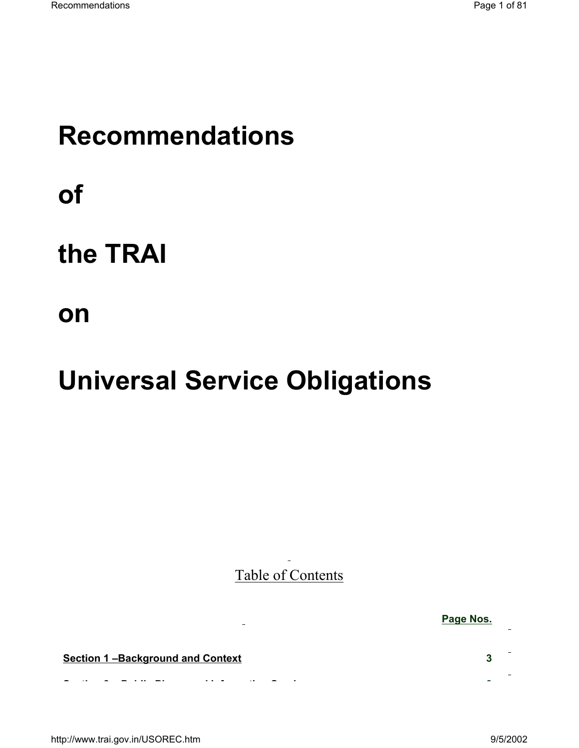# **Recommendations**

**of** 

# **the TRAI**

**on** 

# **Universal Service Obligations**

 $\equiv$  .

Table of Contents

**Section 1 –Background and Context 3**

**S ti 2 P bli Ph d I f ti S i 8**

http://www.trai.gov.in/USOREC.htm 9/5/2002

**Page Nos.**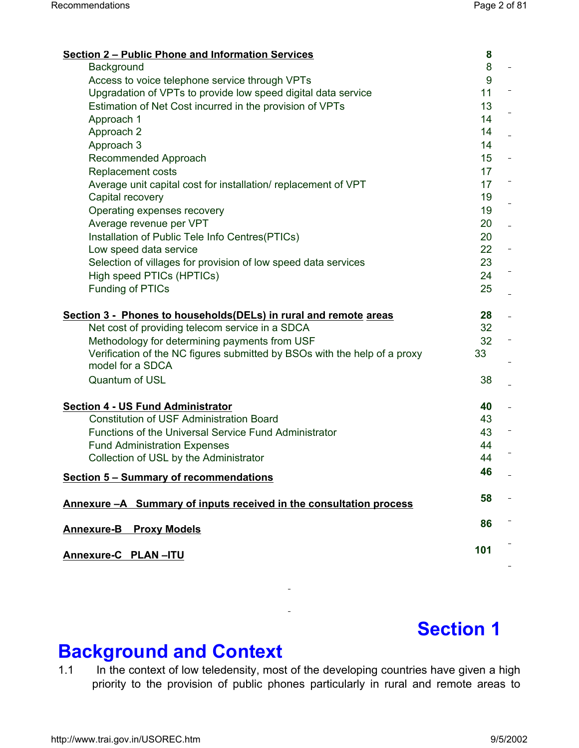| <b>Section 2 – Public Phone and Information Services</b>                  | 8                           |
|---------------------------------------------------------------------------|-----------------------------|
| Background                                                                | 8                           |
| Access to voice telephone service through VPTs                            | 9                           |
| Upgradation of VPTs to provide low speed digital data service             | 11                          |
| Estimation of Net Cost incurred in the provision of VPTs                  | 13                          |
| Approach 1                                                                | 14                          |
| Approach 2                                                                | 14<br>$\frac{1}{2}$         |
| Approach 3                                                                | 14                          |
| Recommended Approach                                                      | 15 <sub>1</sub><br>$\equiv$ |
| <b>Replacement costs</b>                                                  | 17                          |
| Average unit capital cost for installation/replacement of VPT             | 17                          |
| Capital recovery                                                          | 19                          |
| Operating expenses recovery                                               | 19                          |
| Average revenue per VPT                                                   | 20<br>$\bar{\phantom{a}}$   |
| Installation of Public Tele Info Centres(PTICs)                           | 20                          |
| Low speed data service                                                    | 22<br>$\frac{1}{\sqrt{2}}$  |
| Selection of villages for provision of low speed data services            | 23                          |
| High speed PTICs (HPTICs)                                                 | 24                          |
| <b>Funding of PTICs</b>                                                   | 25                          |
|                                                                           |                             |
| Section 3 - Phones to households (DELs) in rural and remote areas         | 28<br>$\Box$                |
| Net cost of providing telecom service in a SDCA                           | 32                          |
| Methodology for determining payments from USF                             | 32<br>$\equiv$              |
| Verification of the NC figures submitted by BSOs with the help of a proxy | 33                          |
| model for a SDCA                                                          |                             |
| <b>Quantum of USL</b>                                                     | 38                          |
|                                                                           |                             |
| <b>Section 4 - US Fund Administrator</b>                                  | 40<br>$\equiv$              |
| <b>Constitution of USF Administration Board</b>                           | 43                          |
| <b>Functions of the Universal Service Fund Administrator</b>              | 43                          |
| <b>Fund Administration Expenses</b>                                       | 44                          |
| Collection of USL by the Administrator                                    | 44                          |
|                                                                           | 46                          |
| <b>Section 5 - Summary of recommendations</b>                             |                             |
| Annexure -A Summary of inputs received in the consultation process        | 58                          |
|                                                                           |                             |
| <b>Annexure-B</b><br><b>Proxy Models</b>                                  | 86                          |
|                                                                           |                             |
| Annexure-C PLAN-ITU                                                       | 101                         |
|                                                                           |                             |

# **Section 1**

# **Background and Context**

1.1 In the context of low teledensity, most of the developing countries have given a high priority to the provision of public phones particularly in rural and remote areas to

 $\equiv$ 

 $\bar{\omega}$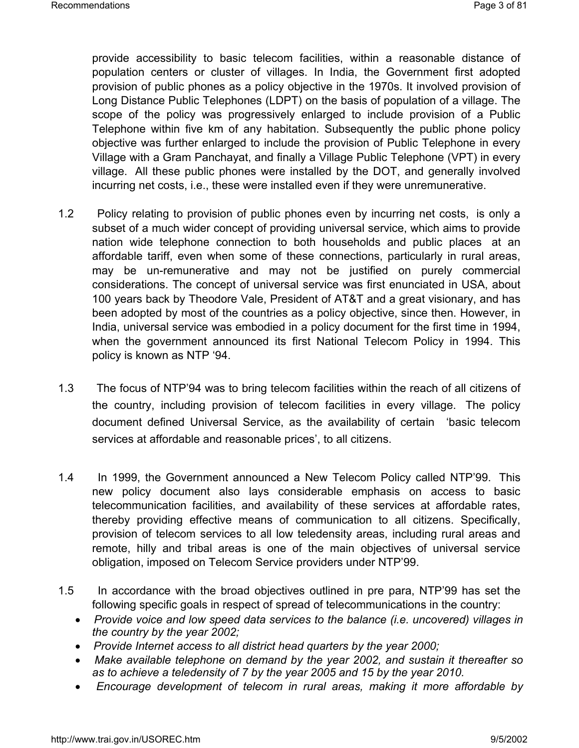provide accessibility to basic telecom facilities, within a reasonable distance of population centers or cluster of villages. In India, the Government first adopted provision of public phones as a policy objective in the 1970s. It involved provision of Long Distance Public Telephones (LDPT) on the basis of population of a village. The scope of the policy was progressively enlarged to include provision of a Public Telephone within five km of any habitation. Subsequently the public phone policy objective was further enlarged to include the provision of Public Telephone in every Village with a Gram Panchayat, and finally a Village Public Telephone (VPT) in every village. All these public phones were installed by the DOT, and generally involved incurring net costs, i.e., these were installed even if they were unremunerative.

- 1.2 Policy relating to provision of public phones even by incurring net costs, is only a subset of a much wider concept of providing universal service, which aims to provide nation wide telephone connection to both households and public places at an affordable tariff, even when some of these connections, particularly in rural areas, may be un-remunerative and may not be justified on purely commercial considerations. The concept of universal service was first enunciated in USA, about 100 years back by Theodore Vale, President of AT&T and a great visionary, and has been adopted by most of the countries as a policy objective, since then. However, in India, universal service was embodied in a policy document for the first time in 1994, when the government announced its first National Telecom Policy in 1994. This policy is known as NTP '94.
- 1.3 The focus of NTP'94 was to bring telecom facilities within the reach of all citizens of the country, including provision of telecom facilities in every village. The policy document defined Universal Service, as the availability of certain 'basic telecom services at affordable and reasonable prices', to all citizens.
- 1.4 In 1999, the Government announced a New Telecom Policy called NTP'99. This new policy document also lays considerable emphasis on access to basic telecommunication facilities, and availability of these services at affordable rates, thereby providing effective means of communication to all citizens. Specifically, provision of telecom services to all low teledensity areas, including rural areas and remote, hilly and tribal areas is one of the main objectives of universal service obligation, imposed on Telecom Service providers under NTP'99.
- 1.5 In accordance with the broad objectives outlined in pre para, NTP'99 has set the following specific goals in respect of spread of telecommunications in the country:
	- *Provide voice and low speed data services to the balance (i.e. uncovered) villages in the country by the year 2002;*
	- *Provide Internet access to all district head quarters by the year 2000;*
	- *Make available telephone on demand by the year 2002, and sustain it thereafter so as to achieve a teledensity of 7 by the year 2005 and 15 by the year 2010.*
	- *Encourage development of telecom in rural areas, making it more affordable by*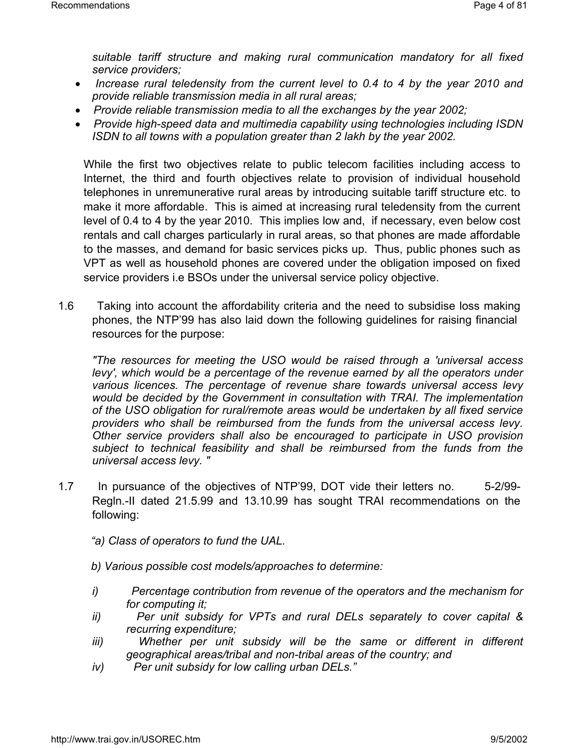*suitable tariff structure and making rural communication mandatory for all fixed service providers;*

- *Increase rural teledensity from the current level to 0.4 to 4 by the year 2010 and provide reliable transmission media in all rural areas;*
- *Provide reliable transmission media to all the exchanges by the year 2002;*
- *Provide high-speed data and multimedia capability using technologies including ISDN ISDN to all towns with a population greater than 2 lakh by the year 2002.*

While the first two objectives relate to public telecom facilities including access to Internet, the third and fourth objectives relate to provision of individual household telephones in unremunerative rural areas by introducing suitable tariff structure etc. to make it more affordable. This is aimed at increasing rural teledensity from the current level of 0.4 to 4 by the year 2010. This implies low and, if necessary, even below cost rentals and call charges particularly in rural areas, so that phones are made affordable to the masses, and demand for basic services picks up. Thus, public phones such as VPT as well as household phones are covered under the obligation imposed on fixed service providers i.e BSOs under the universal service policy objective.

1.6 Taking into account the affordability criteria and the need to subsidise loss making phones, the NTP'99 has also laid down the following guidelines for raising financial resources for the purpose:

*"The resources for meeting the USO would be raised through a 'universal access*  levy', which would be a percentage of the revenue earned by all the operators under *various licences. The percentage of revenue share towards universal access levy would be decided by the Government in consultation with TRAI. The implementation of the USO obligation for rural/remote areas would be undertaken by all fixed service providers who shall be reimbursed from the funds from the universal access levy. Other service providers shall also be encouraged to participate in USO provision subject to technical feasibility and shall be reimbursed from the funds from the universal access levy. "*

- 1.7 In pursuance of the objectives of NTP'99, DOT vide their letters no. 5-2/99- Regln.-II dated 21.5.99 and 13.10.99 has sought TRAI recommendations on the following:
	- *"a) Class of operators to fund the UAL.*
	- *b) Various possible cost models/approaches to determine:*
	- *i) Percentage contribution from revenue of the operators and the mechanism for for computing it;*
	- *ii) Per unit subsidy for VPTs and rural DELs separately to cover capital & recurring expenditure;*
	- *iii*) *Whether per unit subsidy will be the same or different in different geographical areas/tribal and non-tribal areas of the country; and*
	- *iv) Per unit subsidy for low calling urban DELs."*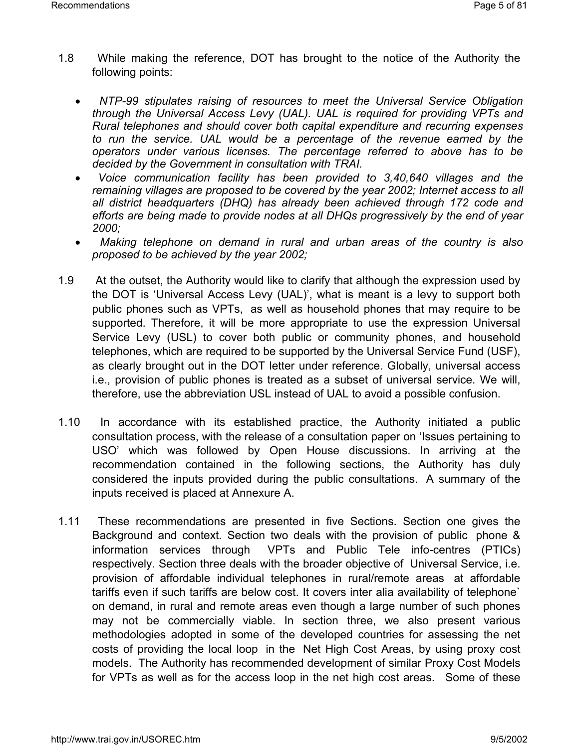- 1.8 While making the reference, DOT has brought to the notice of the Authority the following points:
	- *NTP-99 stipulates raising of resources to meet the Universal Service Obligation through the Universal Access Levy (UAL). UAL is required for providing VPTs and Rural telephones and should cover both capital expenditure and recurring expenses to run the service. UAL would be a percentage of the revenue earned by the operators under various licenses. The percentage referred to above has to be decided by the Government in consultation with TRAI.*
	- *Voice communication facility has been provided to 3,40,640 villages and the remaining villages are proposed to be covered by the year 2002; Internet access to all all district headquarters (DHQ) has already been achieved through 172 code and efforts are being made to provide nodes at all DHQs progressively by the end of year 2000;*
	- *Making telephone on demand in rural and urban areas of the country is also proposed to be achieved by the year 2002;*
- 1.9 At the outset, the Authority would like to clarify that although the expression used by the DOT is 'Universal Access Levy (UAL)', what is meant is a levy to support both public phones such as VPTs, as well as household phones that may require to be supported. Therefore, it will be more appropriate to use the expression Universal Service Levy (USL) to cover both public or community phones, and household telephones, which are required to be supported by the Universal Service Fund (USF), as clearly brought out in the DOT letter under reference. Globally, universal access i.e., provision of public phones is treated as a subset of universal service. We will, therefore, use the abbreviation USL instead of UAL to avoid a possible confusion.
- 1.10 In accordance with its established practice, the Authority initiated a public consultation process, with the release of a consultation paper on 'Issues pertaining to USO' which was followed by Open House discussions. In arriving at the recommendation contained in the following sections, the Authority has duly considered the inputs provided during the public consultations. A summary of the inputs received is placed at Annexure A.
- 1.11 These recommendations are presented in five Sections. Section one gives the Background and context. Section two deals with the provision of public phone & information services through VPTs and Public Tele info-centres (PTICs) respectively. Section three deals with the broader objective of Universal Service, i.e. provision of affordable individual telephones in rural/remote areas at affordable tariffs even if such tariffs are below cost. It covers inter alia availability of telephone` on demand, in rural and remote areas even though a large number of such phones may not be commercially viable. In section three, we also present various methodologies adopted in some of the developed countries for assessing the net costs of providing the local loop in the Net High Cost Areas, by using proxy cost models. The Authority has recommended development of similar Proxy Cost Models for VPTs as well as for the access loop in the net high cost areas. Some of these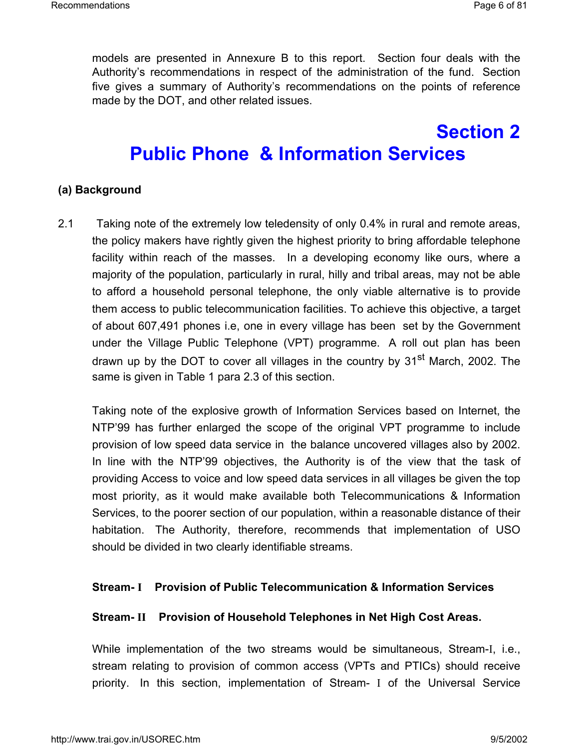models are presented in Annexure B to this report. Section four deals with the Authority's recommendations in respect of the administration of the fund. Section five gives a summary of Authority's recommendations on the points of reference made by the DOT, and other related issues.

# **Section 2 Public Phone & Information Services**

#### **(a) Background**

2.1 Taking note of the extremely low teledensity of only 0.4% in rural and remote areas, the policy makers have rightly given the highest priority to bring affordable telephone facility within reach of the masses. In a developing economy like ours, where a majority of the population, particularly in rural, hilly and tribal areas, may not be able to afford a household personal telephone, the only viable alternative is to provide them access to public telecommunication facilities. To achieve this objective, a target of about 607,491 phones i.e, one in every village has been set by the Government under the Village Public Telephone (VPT) programme. A roll out plan has been drawn up by the DOT to cover all villages in the country by 31<sup>st</sup> March, 2002. The same is given in Table 1 para 2.3 of this section.

Taking note of the explosive growth of Information Services based on Internet, the NTP'99 has further enlarged the scope of the original VPT programme to include provision of low speed data service in the balance uncovered villages also by 2002. In line with the NTP'99 objectives, the Authority is of the view that the task of providing Access to voice and low speed data services in all villages be given the top most priority, as it would make available both Telecommunications & Information Services, to the poorer section of our population, within a reasonable distance of their habitation. The Authority, therefore, recommends that implementation of USO should be divided in two clearly identifiable streams.

#### **Stream- I Provision of Public Telecommunication & Information Services**

#### **Stream- II Provision of Household Telephones in Net High Cost Areas.**

While implementation of the two streams would be simultaneous, Stream-I, i.e., stream relating to provision of common access (VPTs and PTICs) should receive priority. In this section, implementation of Stream- I of the Universal Service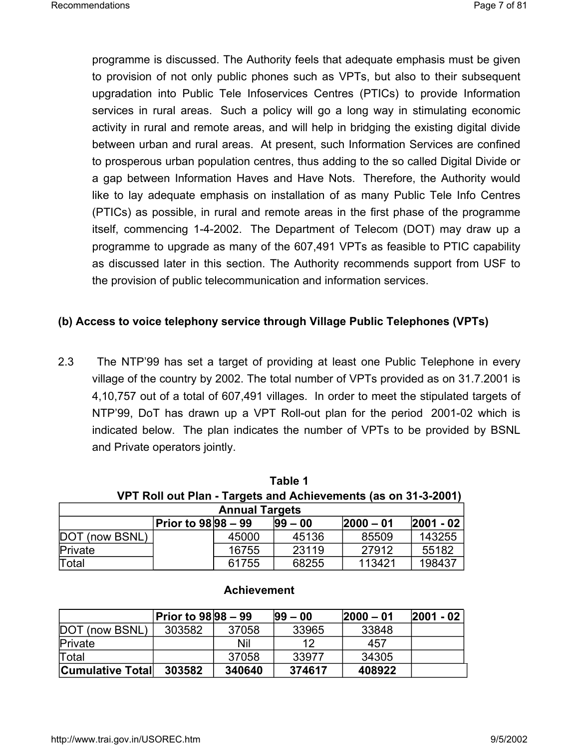programme is discussed. The Authority feels that adequate emphasis must be given to provision of not only public phones such as VPTs, but also to their subsequent upgradation into Public Tele Infoservices Centres (PTICs) to provide Information services in rural areas. Such a policy will go a long way in stimulating economic activity in rural and remote areas, and will help in bridging the existing digital divide between urban and rural areas. At present, such Information Services are confined to prosperous urban population centres, thus adding to the so called Digital Divide or a gap between Information Haves and Have Nots. Therefore, the Authority would like to lay adequate emphasis on installation of as many Public Tele Info Centres (PTICs) as possible, in rural and remote areas in the first phase of the programme itself, commencing 1-4-2002. The Department of Telecom (DOT) may draw up a programme to upgrade as many of the 607,491 VPTs as feasible to PTIC capability as discussed later in this section. The Authority recommends support from USF to the provision of public telecommunication and information services.

#### **(b) Access to voice telephony service through Village Public Telephones (VPTs)**

2.3 The NTP'99 has set a target of providing at least one Public Telephone in every village of the country by 2002. The total number of VPTs provided as on 31.7.2001 is 4,10,757 out of a total of 607,491 villages. In order to meet the stipulated targets of NTP'99, DoT has drawn up a VPT Roll-out plan for the period 2001-02 which is indicated below. The plan indicates the number of VPTs to be provided by BSNL and Private operators jointly.

**Table 1**

| l able 1                                                       |                     |       |             |              |               |
|----------------------------------------------------------------|---------------------|-------|-------------|--------------|---------------|
| VPT Roll out Plan - Targets and Achievements (as on 31-3-2001) |                     |       |             |              |               |
| <b>Annual Targets</b>                                          |                     |       |             |              |               |
|                                                                | Prior to 98 98 - 99 |       | $ 99 - 00 $ | $ 2000 - 01$ | $ 2001 - 02 $ |
| DOT (now BSNL)                                                 |                     | 45000 | 45136       | 85509        | 143255        |
| Private                                                        |                     | 16755 | 23119       | 27912        | 55182         |
| Total                                                          |                     | 61755 | 68255       | 113421       | 198437        |

#### **Achievement**

|                         | Prior to 98 98 – 99 |        | $ 99 - 00 $ | $ 2000 - 01$ | $ 2001 - 02 $ |
|-------------------------|---------------------|--------|-------------|--------------|---------------|
| DOT (now BSNL)          | 303582              | 37058  | 33965       | 33848        |               |
| Private                 |                     | Nil    | 12          | 457          |               |
| Total                   |                     | 37058  | 33977       | 34305        |               |
| <b>Cumulative Total</b> | 303582              | 340640 | 374617      | 408922       |               |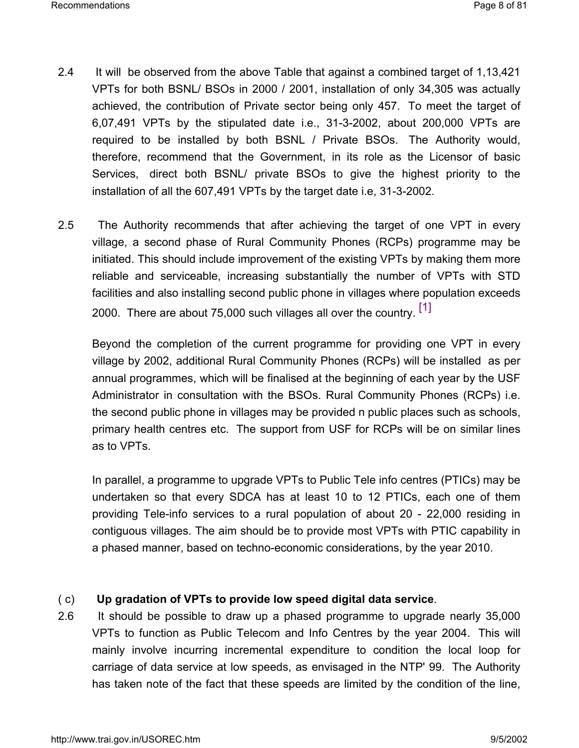- 2.4 It will be observed from the above Table that against a combined target of 1,13,421 VPTs for both BSNL/ BSOs in 2000 / 2001, installation of only 34,305 was actually achieved, the contribution of Private sector being only 457. To meet the target of 6,07,491 VPTs by the stipulated date i.e., 31-3-2002, about 200,000 VPTs are required to be installed by both BSNL / Private BSOs. The Authority would, therefore, recommend that the Government, in its role as the Licensor of basic Services, direct both BSNL/ private BSOs to give the highest priority to the installation of all the 607,491 VPTs by the target date i.e, 31-3-2002.
- 2.5 The Authority recommends that after achieving the target of one VPT in every village, a second phase of Rural Community Phones (RCPs) programme may be initiated. This should include improvement of the existing VPTs by making them more reliable and serviceable, increasing substantially the number of VPTs with STD facilities and also installing second public phone in villages where population exceeds 2000. There are about 75,000 such villages all over the country. [1]

Beyond the completion of the current programme for providing one VPT in every village by 2002, additional Rural Community Phones (RCPs) will be installed as per annual programmes, which will be finalised at the beginning of each year by the USF Administrator in consultation with the BSOs. Rural Community Phones (RCPs) i.e. the second public phone in villages may be provided n public places such as schools, primary health centres etc. The support from USF for RCPs will be on similar lines as to VPTs.

In parallel, a programme to upgrade VPTs to Public Tele info centres (PTICs) may be undertaken so that every SDCA has at least 10 to 12 PTICs, each one of them providing Tele-info services to a rural population of about 20 - 22,000 residing in contiguous villages. The aim should be to provide most VPTs with PTIC capability in a phased manner, based on techno-economic considerations, by the year 2010.

## ( c) **Up gradation of VPTs to provide low speed digital data service**.

2.6 It should be possible to draw up a phased programme to upgrade nearly 35,000 VPTs to function as Public Telecom and Info Centres by the year 2004. This will mainly involve incurring incremental expenditure to condition the local loop for carriage of data service at low speeds, as envisaged in the NTP' 99. The Authority has taken note of the fact that these speeds are limited by the condition of the line,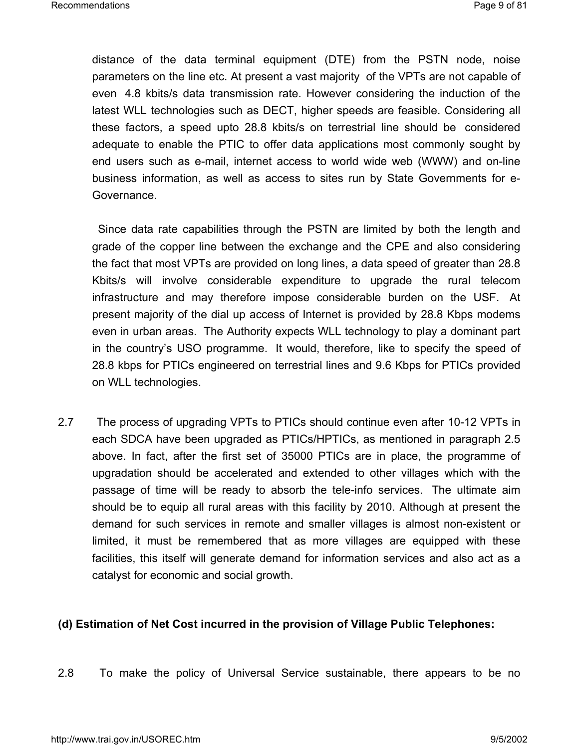distance of the data terminal equipment (DTE) from the PSTN node, noise parameters on the line etc. At present a vast majority of the VPTs are not capable of even 4.8 kbits/s data transmission rate. However considering the induction of the latest WLL technologies such as DECT, higher speeds are feasible. Considering all these factors, a speed upto 28.8 kbits/s on terrestrial line should be considered adequate to enable the PTIC to offer data applications most commonly sought by end users such as e-mail, internet access to world wide web (WWW) and on-line business information, as well as access to sites run by State Governments for e-Governance.

 Since data rate capabilities through the PSTN are limited by both the length and grade of the copper line between the exchange and the CPE and also considering the fact that most VPTs are provided on long lines, a data speed of greater than 28.8 Kbits/s will involve considerable expenditure to upgrade the rural telecom infrastructure and may therefore impose considerable burden on the USF. At present majority of the dial up access of Internet is provided by 28.8 Kbps modems even in urban areas. The Authority expects WLL technology to play a dominant part in the country's USO programme. It would, therefore, like to specify the speed of 28.8 kbps for PTICs engineered on terrestrial lines and 9.6 Kbps for PTICs provided on WLL technologies.

2.7 The process of upgrading VPTs to PTICs should continue even after 10-12 VPTs in each SDCA have been upgraded as PTICs/HPTICs, as mentioned in paragraph 2.5 above. In fact, after the first set of 35000 PTICs are in place, the programme of upgradation should be accelerated and extended to other villages which with the passage of time will be ready to absorb the tele-info services. The ultimate aim should be to equip all rural areas with this facility by 2010. Although at present the demand for such services in remote and smaller villages is almost non-existent or limited, it must be remembered that as more villages are equipped with these facilities, this itself will generate demand for information services and also act as a catalyst for economic and social growth.

#### **(d) Estimation of Net Cost incurred in the provision of Village Public Telephones:**

2.8 To make the policy of Universal Service sustainable, there appears to be no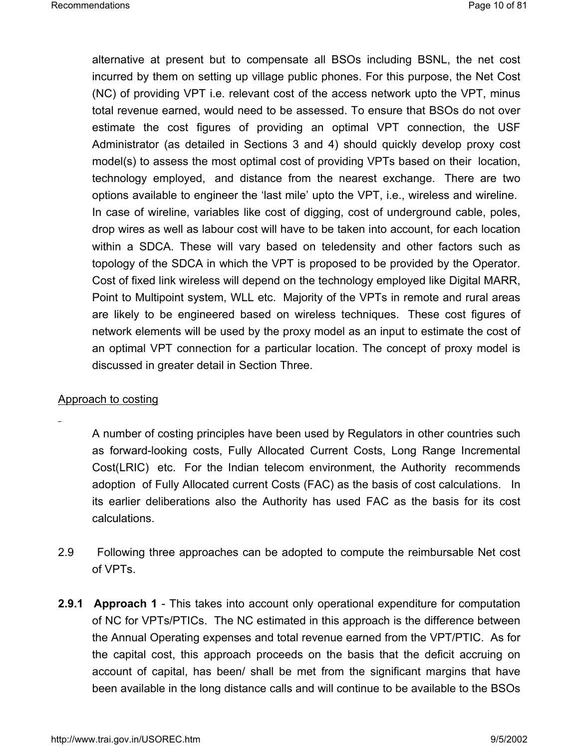alternative at present but to compensate all BSOs including BSNL, the net cost incurred by them on setting up village public phones. For this purpose, the Net Cost (NC) of providing VPT i.e. relevant cost of the access network upto the VPT, minus total revenue earned, would need to be assessed. To ensure that BSOs do not over estimate the cost figures of providing an optimal VPT connection, the USF Administrator (as detailed in Sections 3 and 4) should quickly develop proxy cost model(s) to assess the most optimal cost of providing VPTs based on their location, technology employed, and distance from the nearest exchange. There are two options available to engineer the 'last mile' upto the VPT, i.e., wireless and wireline. In case of wireline, variables like cost of digging, cost of underground cable, poles, drop wires as well as labour cost will have to be taken into account, for each location within a SDCA. These will vary based on teledensity and other factors such as topology of the SDCA in which the VPT is proposed to be provided by the Operator. Cost of fixed link wireless will depend on the technology employed like Digital MARR, Point to Multipoint system, WLL etc. Majority of the VPTs in remote and rural areas are likely to be engineered based on wireless techniques. These cost figures of network elements will be used by the proxy model as an input to estimate the cost of an optimal VPT connection for a particular location. The concept of proxy model is discussed in greater detail in Section Three.

#### Approach to costing

A number of costing principles have been used by Regulators in other countries such as forward-looking costs, Fully Allocated Current Costs, Long Range Incremental Cost(LRIC) etc. For the Indian telecom environment, the Authority recommends adoption of Fully Allocated current Costs (FAC) as the basis of cost calculations. In its earlier deliberations also the Authority has used FAC as the basis for its cost calculations.

- 2.9 Following three approaches can be adopted to compute the reimbursable Net cost of VPTs.
- **2.9.1 Approach 1** This takes into account only operational expenditure for computation of NC for VPTs/PTICs. The NC estimated in this approach is the difference between the Annual Operating expenses and total revenue earned from the VPT/PTIC. As for the capital cost, this approach proceeds on the basis that the deficit accruing on account of capital, has been/ shall be met from the significant margins that have been available in the long distance calls and will continue to be available to the BSOs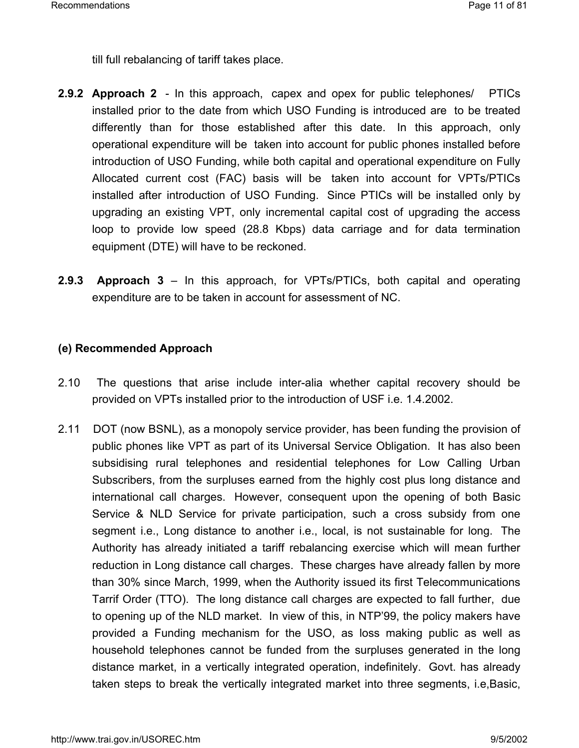till full rebalancing of tariff takes place.

- **2.9.2 Approach 2**  In this approach, capex and opex for public telephones/ PTICs installed prior to the date from which USO Funding is introduced are to be treated differently than for those established after this date. In this approach, only operational expenditure will be taken into account for public phones installed before introduction of USO Funding, while both capital and operational expenditure on Fully Allocated current cost (FAC) basis will be taken into account for VPTs/PTICs installed after introduction of USO Funding. Since PTICs will be installed only by upgrading an existing VPT, only incremental capital cost of upgrading the access loop to provide low speed (28.8 Kbps) data carriage and for data termination equipment (DTE) will have to be reckoned.
- **2.9.3 Approach 3** In this approach, for VPTs/PTICs, both capital and operating expenditure are to be taken in account for assessment of NC.

#### **(e) Recommended Approach**

- 2.10The questions that arise include inter-alia whether capital recovery should be provided on VPTs installed prior to the introduction of USF i.e. 1.4.2002.
- 2.11 DOT (now BSNL), as a monopoly service provider, has been funding the provision of public phones like VPT as part of its Universal Service Obligation. It has also been subsidising rural telephones and residential telephones for Low Calling Urban Subscribers, from the surpluses earned from the highly cost plus long distance and international call charges. However, consequent upon the opening of both Basic Service & NLD Service for private participation, such a cross subsidy from one segment i.e., Long distance to another i.e., local, is not sustainable for long. The Authority has already initiated a tariff rebalancing exercise which will mean further reduction in Long distance call charges. These charges have already fallen by more than 30% since March, 1999, when the Authority issued its first Telecommunications Tarrif Order (TTO). The long distance call charges are expected to fall further, due to opening up of the NLD market. In view of this, in NTP'99, the policy makers have provided a Funding mechanism for the USO, as loss making public as well as household telephones cannot be funded from the surpluses generated in the long distance market, in a vertically integrated operation, indefinitely. Govt. has already taken steps to break the vertically integrated market into three segments, i.e,Basic,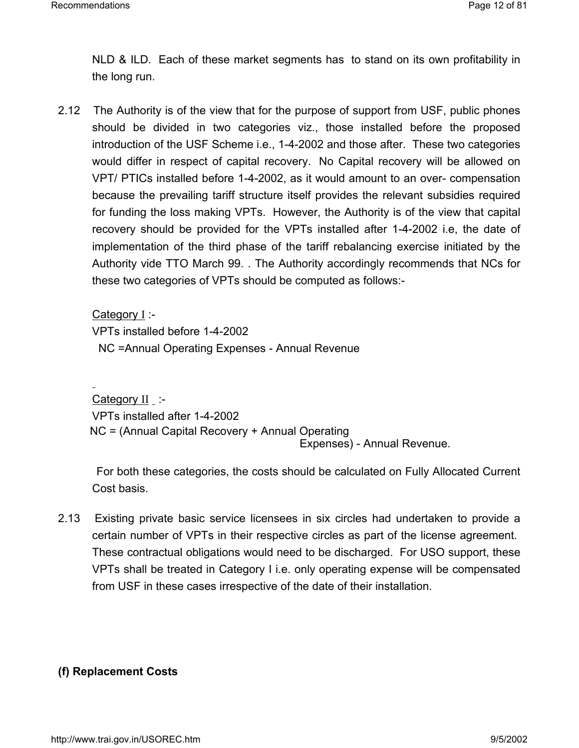NLD & ILD. Each of these market segments has to stand on its own profitability in the long run.

2.12 The Authority is of the view that for the purpose of support from USF, public phones should be divided in two categories viz., those installed before the proposed introduction of the USF Scheme i.e., 1-4-2002 and those after. These two categories would differ in respect of capital recovery. No Capital recovery will be allowed on VPT/ PTICs installed before 1-4-2002, as it would amount to an over- compensation because the prevailing tariff structure itself provides the relevant subsidies required for funding the loss making VPTs. However, the Authority is of the view that capital recovery should be provided for the VPTs installed after 1-4-2002 i.e, the date of implementation of the third phase of the tariff rebalancing exercise initiated by the Authority vide TTO March 99. . The Authority accordingly recommends that NCs for these two categories of VPTs should be computed as follows:-

Category I :- VPTs installed before 1-4-2002 NC =Annual Operating Expenses - Annual Revenue

Category II :-VPTs installed after 1-4-2002 NC = (Annual Capital Recovery + Annual Operating Expenses) - Annual Revenue.

For both these categories, the costs should be calculated on Fully Allocated Current Cost basis.

2.13 Existing private basic service licensees in six circles had undertaken to provide a certain number of VPTs in their respective circles as part of the license agreement. These contractual obligations would need to be discharged. For USO support, these VPTs shall be treated in Category I i.e. only operating expense will be compensated from USF in these cases irrespective of the date of their installation.

## **(f) Replacement Costs**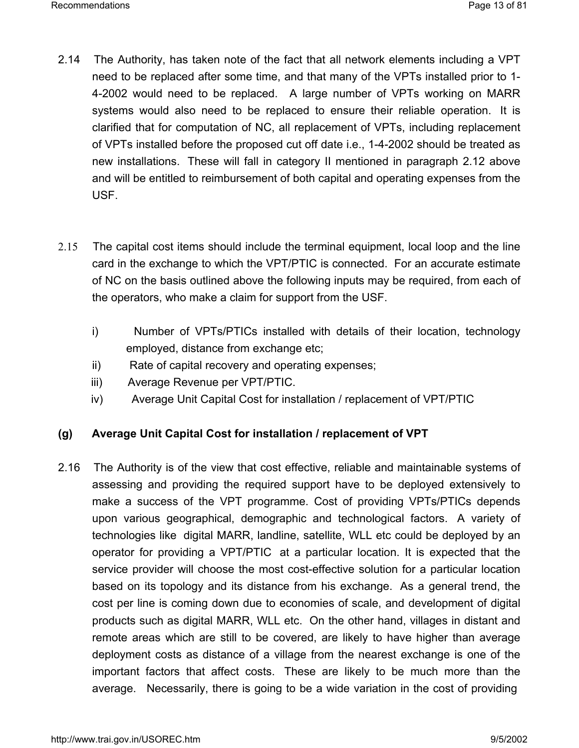- 2.14 The Authority, has taken note of the fact that all network elements including a VPT need to be replaced after some time, and that many of the VPTs installed prior to 1- 4-2002 would need to be replaced. A large number of VPTs working on MARR systems would also need to be replaced to ensure their reliable operation. It is clarified that for computation of NC, all replacement of VPTs, including replacement of VPTs installed before the proposed cut off date i.e., 1-4-2002 should be treated as new installations. These will fall in category II mentioned in paragraph 2.12 above and will be entitled to reimbursement of both capital and operating expenses from the USF.
- 2.15The capital cost items should include the terminal equipment, local loop and the line card in the exchange to which the VPT/PTIC is connected. For an accurate estimate of NC on the basis outlined above the following inputs may be required, from each of the operators, who make a claim for support from the USF.
	- i) Number of VPTs/PTICs installed with details of their location, technology employed, distance from exchange etc;
	- ii) Rate of capital recovery and operating expenses;
	- iii) Average Revenue per VPT/PTIC.
	- iv) Average Unit Capital Cost for installation / replacement of VPT/PTIC

#### **(g) Average Unit Capital Cost for installation / replacement of VPT**

2.16 The Authority is of the view that cost effective, reliable and maintainable systems of assessing and providing the required support have to be deployed extensively to make a success of the VPT programme. Cost of providing VPTs/PTICs depends upon various geographical, demographic and technological factors. A variety of technologies like digital MARR, landline, satellite, WLL etc could be deployed by an operator for providing a VPT/PTIC at a particular location. It is expected that the service provider will choose the most cost-effective solution for a particular location based on its topology and its distance from his exchange. As a general trend, the cost per line is coming down due to economies of scale, and development of digital products such as digital MARR, WLL etc. On the other hand, villages in distant and remote areas which are still to be covered, are likely to have higher than average deployment costs as distance of a village from the nearest exchange is one of the important factors that affect costs. These are likely to be much more than the average. Necessarily, there is going to be a wide variation in the cost of providing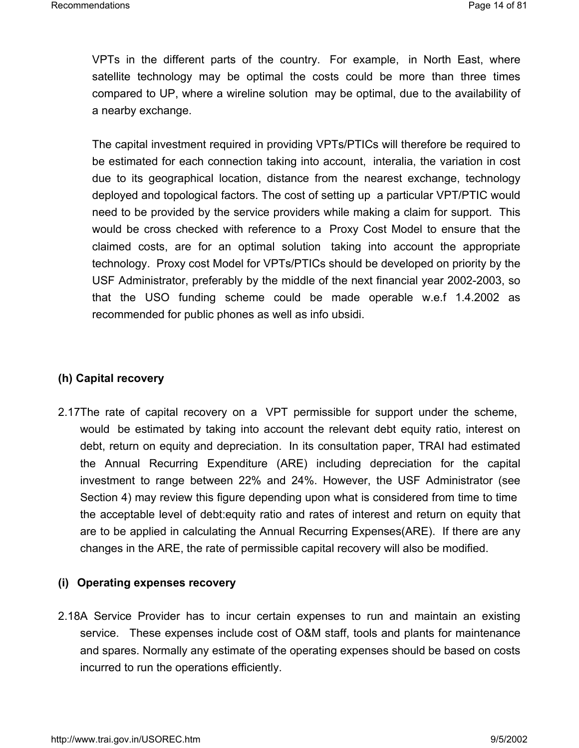VPTs in the different parts of the country. For example, in North East, where satellite technology may be optimal the costs could be more than three times compared to UP, where a wireline solution may be optimal, due to the availability of a nearby exchange.

The capital investment required in providing VPTs/PTICs will therefore be required to be estimated for each connection taking into account, interalia, the variation in cost due to its geographical location, distance from the nearest exchange, technology deployed and topological factors. The cost of setting up a particular VPT/PTIC would need to be provided by the service providers while making a claim for support. This would be cross checked with reference to a Proxy Cost Model to ensure that the claimed costs, are for an optimal solution taking into account the appropriate technology. Proxy cost Model for VPTs/PTICs should be developed on priority by the USF Administrator, preferably by the middle of the next financial year 2002-2003, so that the USO funding scheme could be made operable w.e.f 1.4.2002 as recommended for public phones as well as info ubsidi.

#### **(h) Capital recovery**

2.17The rate of capital recovery on a VPT permissible for support under the scheme, would be estimated by taking into account the relevant debt equity ratio, interest on debt, return on equity and depreciation. In its consultation paper, TRAI had estimated the Annual Recurring Expenditure (ARE) including depreciation for the capital investment to range between 22% and 24%. However, the USF Administrator (see Section 4) may review this figure depending upon what is considered from time to time the acceptable level of debt:equity ratio and rates of interest and return on equity that are to be applied in calculating the Annual Recurring Expenses(ARE). If there are any changes in the ARE, the rate of permissible capital recovery will also be modified.

#### **(i) Operating expenses recovery**

2.18A Service Provider has to incur certain expenses to run and maintain an existing service. These expenses include cost of O&M staff, tools and plants for maintenance and spares. Normally any estimate of the operating expenses should be based on costs incurred to run the operations efficiently.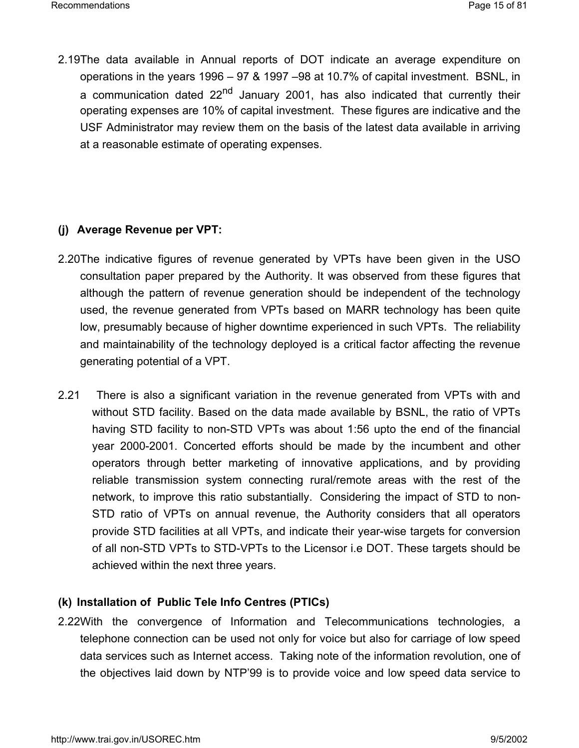2.19The data available in Annual reports of DOT indicate an average expenditure on operations in the years 1996 – 97 & 1997 –98 at 10.7% of capital investment. BSNL, in a communication dated  $22<sup>nd</sup>$  January 2001, has also indicated that currently their operating expenses are 10% of capital investment. These figures are indicative and the USF Administrator may review them on the basis of the latest data available in arriving at a reasonable estimate of operating expenses.

# **(j) Average Revenue per VPT:**

- 2.20The indicative figures of revenue generated by VPTs have been given in the USO consultation paper prepared by the Authority. It was observed from these figures that although the pattern of revenue generation should be independent of the technology used, the revenue generated from VPTs based on MARR technology has been quite low, presumably because of higher downtime experienced in such VPTs. The reliability and maintainability of the technology deployed is a critical factor affecting the revenue generating potential of a VPT.
- 2.21 There is also a significant variation in the revenue generated from VPTs with and without STD facility. Based on the data made available by BSNL, the ratio of VPTs having STD facility to non-STD VPTs was about 1:56 upto the end of the financial year 2000-2001. Concerted efforts should be made by the incumbent and other operators through better marketing of innovative applications, and by providing reliable transmission system connecting rural/remote areas with the rest of the network, to improve this ratio substantially. Considering the impact of STD to non-STD ratio of VPTs on annual revenue, the Authority considers that all operators provide STD facilities at all VPTs, and indicate their year-wise targets for conversion of all non-STD VPTs to STD-VPTs to the Licensor i.e DOT. These targets should be achieved within the next three years.

## **(k) Installation of Public Tele Info Centres (PTICs)**

2.22With the convergence of Information and Telecommunications technologies, a telephone connection can be used not only for voice but also for carriage of low speed data services such as Internet access. Taking note of the information revolution, one of the objectives laid down by NTP'99 is to provide voice and low speed data service to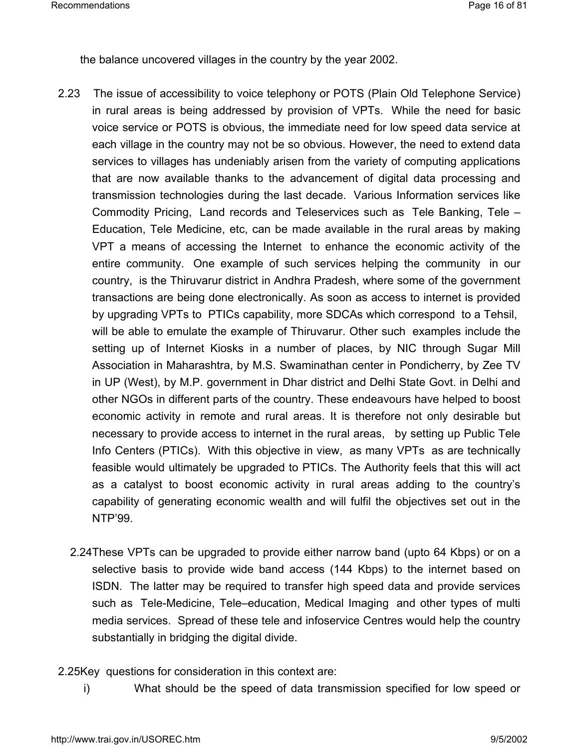the balance uncovered villages in the country by the year 2002.

- 2.23 The issue of accessibility to voice telephony or POTS (Plain Old Telephone Service) in rural areas is being addressed by provision of VPTs. While the need for basic voice service or POTS is obvious, the immediate need for low speed data service at each village in the country may not be so obvious. However, the need to extend data services to villages has undeniably arisen from the variety of computing applications that are now available thanks to the advancement of digital data processing and transmission technologies during the last decade. Various Information services like Commodity Pricing, Land records and Teleservices such as Tele Banking, Tele – Education, Tele Medicine, etc, can be made available in the rural areas by making VPT a means of accessing the Internet to enhance the economic activity of the entire community. One example of such services helping the community in our country, is the Thiruvarur district in Andhra Pradesh, where some of the government transactions are being done electronically. As soon as access to internet is provided by upgrading VPTs to PTICs capability, more SDCAs which correspond to a Tehsil, will be able to emulate the example of Thiruvarur. Other such examples include the setting up of Internet Kiosks in a number of places, by NIC through Sugar Mill Association in Maharashtra, by M.S. Swaminathan center in Pondicherry, by Zee TV in UP (West), by M.P. government in Dhar district and Delhi State Govt. in Delhi and other NGOs in different parts of the country. These endeavours have helped to boost economic activity in remote and rural areas. It is therefore not only desirable but necessary to provide access to internet in the rural areas, by setting up Public Tele Info Centers (PTICs). With this objective in view, as many VPTs as are technically feasible would ultimately be upgraded to PTICs. The Authority feels that this will act as a catalyst to boost economic activity in rural areas adding to the country's capability of generating economic wealth and will fulfil the objectives set out in the NTP'99.
	- 2.24These VPTs can be upgraded to provide either narrow band (upto 64 Kbps) or on a selective basis to provide wide band access (144 Kbps) to the internet based on ISDN. The latter may be required to transfer high speed data and provide services such as Tele-Medicine, Tele–education, Medical Imaging and other types of multi media services. Spread of these tele and infoservice Centres would help the country substantially in bridging the digital divide.
- 2.25Key questions for consideration in this context are:
	- i) What should be the speed of data transmission specified for low speed or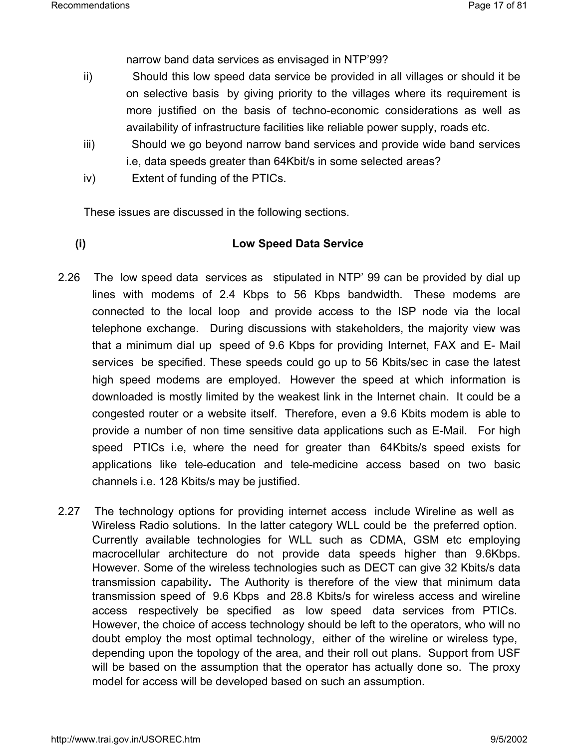narrow band data services as envisaged in NTP'99?

- ii) Should this low speed data service be provided in all villages or should it be on selective basis by giving priority to the villages where its requirement is more justified on the basis of techno-economic considerations as well as availability of infrastructure facilities like reliable power supply, roads etc.
- iii) Should we go beyond narrow band services and provide wide band services i.e, data speeds greater than 64Kbit/s in some selected areas?
- iv) Extent of funding of the PTICs.

These issues are discussed in the following sections.

#### **(i) Low Speed Data Service**

- 2.26 The low speed data services as stipulated in NTP' 99 can be provided by dial up lines with modems of 2.4 Kbps to 56 Kbps bandwidth. These modems are connected to the local loop and provide access to the ISP node via the local telephone exchange. During discussions with stakeholders, the majority view was that a minimum dial up speed of 9.6 Kbps for providing Internet, FAX and E- Mail services be specified. These speeds could go up to 56 Kbits/sec in case the latest high speed modems are employed. However the speed at which information is downloaded is mostly limited by the weakest link in the Internet chain. It could be a congested router or a website itself. Therefore, even a 9.6 Kbits modem is able to provide a number of non time sensitive data applications such as E-Mail. For high speed PTICs i.e, where the need for greater than 64Kbits/s speed exists for applications like tele-education and tele-medicine access based on two basic channels i.e. 128 Kbits/s may be justified.
- 2.27 The technology options for providing internet access include Wireline as well as Wireless Radio solutions. In the latter category WLL could be the preferred option. Currently available technologies for WLL such as CDMA, GSM etc employing macrocellular architecture do not provide data speeds higher than 9.6Kbps. However. Some of the wireless technologies such as DECT can give 32 Kbits/s data transmission capability**.** The Authority is therefore of the view that minimum data transmission speed of 9.6 Kbps and 28.8 Kbits/s for wireless access and wireline access respectively be specified as low speed data services from PTICs. However, the choice of access technology should be left to the operators, who will no doubt employ the most optimal technology, either of the wireline or wireless type, depending upon the topology of the area, and their roll out plans. Support from USF will be based on the assumption that the operator has actually done so. The proxy model for access will be developed based on such an assumption.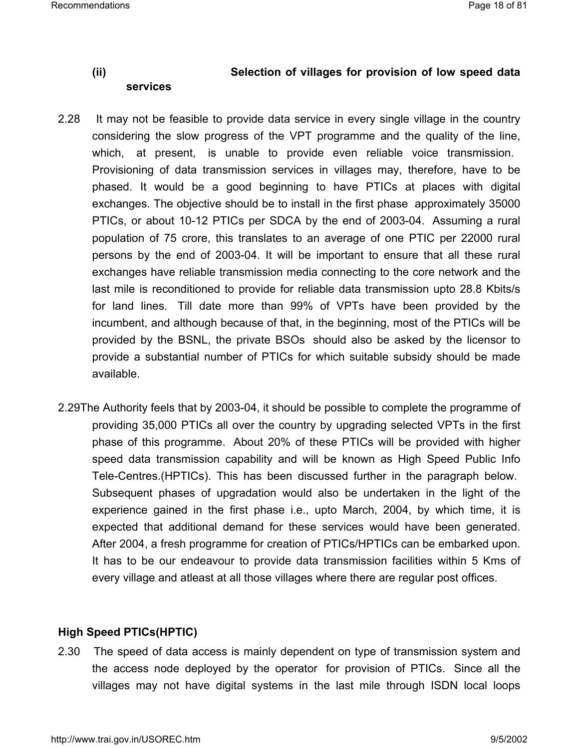### **(ii) Selection of villages for provision of low speed data services**

- 2.28 It may not be feasible to provide data service in every single village in the country considering the slow progress of the VPT programme and the quality of the line, which, at present, is unable to provide even reliable voice transmission. Provisioning of data transmission services in villages may, therefore, have to be phased. It would be a good beginning to have PTICs at places with digital exchanges. The objective should be to install in the first phase approximately 35000 PTICs, or about 10-12 PTICs per SDCA by the end of 2003-04. Assuming a rural population of 75 crore, this translates to an average of one PTIC per 22000 rural persons by the end of 2003-04. It will be important to ensure that all these rural exchanges have reliable transmission media connecting to the core network and the last mile is reconditioned to provide for reliable data transmission upto 28.8 Kbits/s for land lines. Till date more than 99% of VPTs have been provided by the incumbent, and although because of that, in the beginning, most of the PTICs will be provided by the BSNL, the private BSOs should also be asked by the licensor to provide a substantial number of PTICs for which suitable subsidy should be made available.
- 2.29The Authority feels that by 2003-04, it should be possible to complete the programme of providing 35,000 PTICs all over the country by upgrading selected VPTs in the first phase of this programme. About 20% of these PTICs will be provided with higher speed data transmission capability and will be known as High Speed Public Info Tele-Centres.(HPTICs). This has been discussed further in the paragraph below. Subsequent phases of upgradation would also be undertaken in the light of the experience gained in the first phase i.e., upto March, 2004, by which time, it is expected that additional demand for these services would have been generated. After 2004, a fresh programme for creation of PTICs/HPTICs can be embarked upon. It has to be our endeavour to provide data transmission facilities within 5 Kms of every village and atleast at all those villages where there are regular post offices.

#### **High Speed PTICs(HPTIC)**

2.30 The speed of data access is mainly dependent on type of transmission system and the access node deployed by the operator for provision of PTICs. Since all the villages may not have digital systems in the last mile through ISDN local loops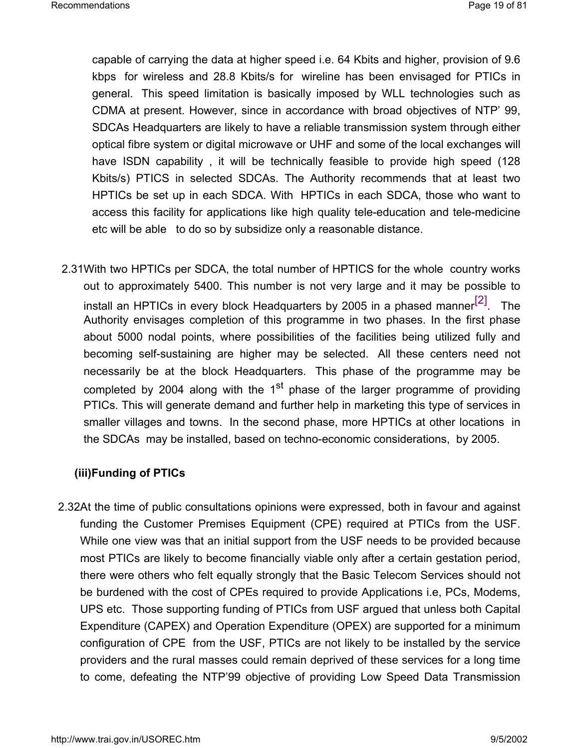capable of carrying the data at higher speed i.e. 64 Kbits and higher, provision of 9.6 kbps for wireless and 28.8 Kbits/s for wireline has been envisaged for PTICs in general. This speed limitation is basically imposed by WLL technologies such as CDMA at present. However, since in accordance with broad objectives of NTP' 99, SDCAs Headquarters are likely to have a reliable transmission system through either optical fibre system or digital microwave or UHF and some of the local exchanges will have ISDN capability , it will be technically feasible to provide high speed (128 Kbits/s) PTICS in selected SDCAs. The Authority recommends that at least two HPTICs be set up in each SDCA. With HPTICs in each SDCA, those who want to access this facility for applications like high quality tele-education and tele-medicine etc will be able to do so by subsidize only a reasonable distance.

2.31With two HPTICs per SDCA, the total number of HPTICS for the whole country works out to approximately 5400. This number is not very large and it may be possible to install an HPTICs in every block Headquarters by 2005 in a phased manner $^{[2]}$ . The Authority envisages completion of this programme in two phases. In the first phase about 5000 nodal points, where possibilities of the facilities being utilized fully and becoming self-sustaining are higher may be selected. All these centers need not necessarily be at the block Headquarters. This phase of the programme may be completed by 2004 along with the  $1<sup>st</sup>$  phase of the larger programme of providing PTICs. This will generate demand and further help in marketing this type of services in smaller villages and towns. In the second phase, more HPTICs at other locations in the SDCAs may be installed, based on techno-economic considerations, by 2005.

#### **(iii)Funding of PTICs**

2.32At the time of public consultations opinions were expressed, both in favour and against funding the Customer Premises Equipment (CPE) required at PTICs from the USF. While one view was that an initial support from the USF needs to be provided because most PTICs are likely to become financially viable only after a certain gestation period, there were others who felt equally strongly that the Basic Telecom Services should not be burdened with the cost of CPEs required to provide Applications i.e, PCs, Modems, UPS etc. Those supporting funding of PTICs from USF argued that unless both Capital Expenditure (CAPEX) and Operation Expenditure (OPEX) are supported for a minimum configuration of CPE from the USF, PTICs are not likely to be installed by the service providers and the rural masses could remain deprived of these services for a long time to come, defeating the NTP'99 objective of providing Low Speed Data Transmission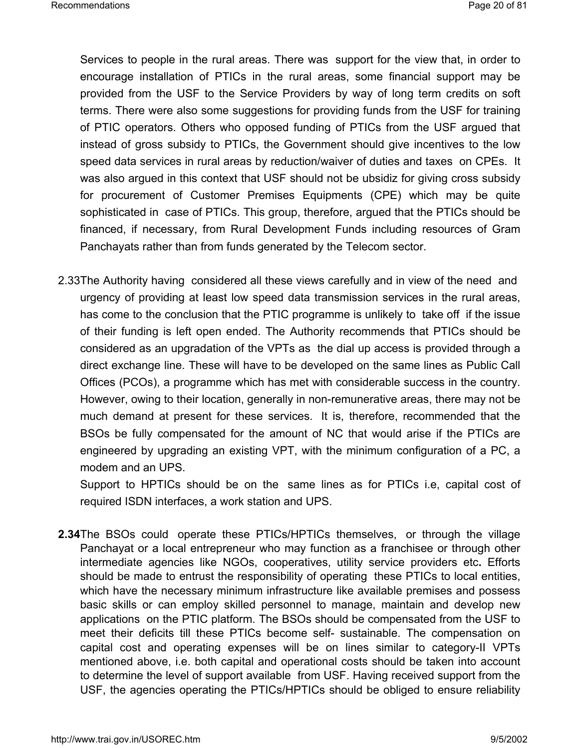Services to people in the rural areas. There was support for the view that, in order to encourage installation of PTICs in the rural areas, some financial support may be provided from the USF to the Service Providers by way of long term credits on soft terms. There were also some suggestions for providing funds from the USF for training of PTIC operators. Others who opposed funding of PTICs from the USF argued that instead of gross subsidy to PTICs, the Government should give incentives to the low speed data services in rural areas by reduction/waiver of duties and taxes on CPEs. It was also argued in this context that USF should not be ubsidiz for giving cross subsidy for procurement of Customer Premises Equipments (CPE) which may be quite sophisticated in case of PTICs. This group, therefore, argued that the PTICs should be financed, if necessary, from Rural Development Funds including resources of Gram Panchayats rather than from funds generated by the Telecom sector.

2.33The Authority having considered all these views carefully and in view of the need and urgency of providing at least low speed data transmission services in the rural areas, has come to the conclusion that the PTIC programme is unlikely to take off if the issue of their funding is left open ended. The Authority recommends that PTICs should be considered as an upgradation of the VPTs as the dial up access is provided through a direct exchange line. These will have to be developed on the same lines as Public Call Offices (PCOs), a programme which has met with considerable success in the country. However, owing to their location, generally in non-remunerative areas, there may not be much demand at present for these services. It is, therefore, recommended that the BSOs be fully compensated for the amount of NC that would arise if the PTICs are engineered by upgrading an existing VPT, with the minimum configuration of a PC, a modem and an UPS.

Support to HPTICs should be on the same lines as for PTICs i.e, capital cost of required ISDN interfaces, a work station and UPS.

**2.34**The BSOs could operate these PTICs/HPTICs themselves, or through the village Panchayat or a local entrepreneur who may function as a franchisee or through other intermediate agencies like NGOs, cooperatives, utility service providers etc**.** Efforts should be made to entrust the responsibility of operating these PTICs to local entities, which have the necessary minimum infrastructure like available premises and possess basic skills or can employ skilled personnel to manage, maintain and develop new applications on the PTIC platform. The BSOs should be compensated from the USF to meet their deficits till these PTICs become self- sustainable. The compensation on capital cost and operating expenses will be on lines similar to category-II VPTs mentioned above, i.e. both capital and operational costs should be taken into account to determine the level of support available from USF. Having received support from the USF, the agencies operating the PTICs/HPTICs should be obliged to ensure reliability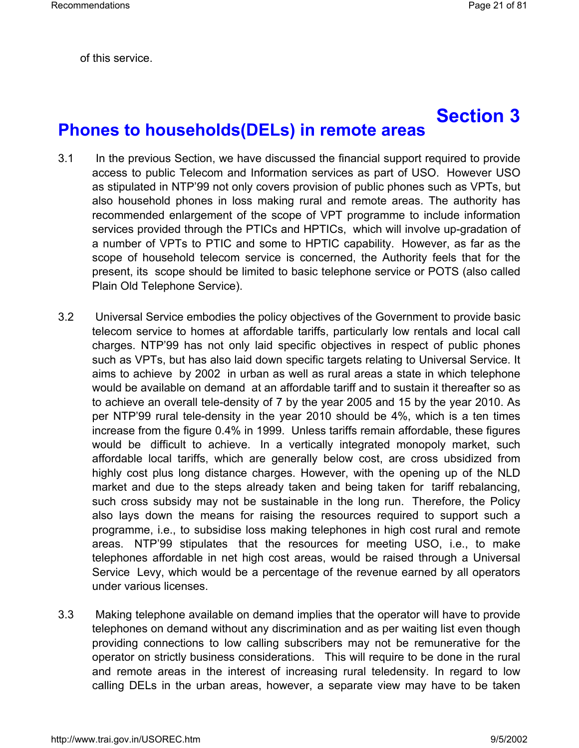of this service.

# **Section 3 Phones to households(DELs) in remote areas**

- 3.1 In the previous Section, we have discussed the financial support required to provide access to public Telecom and Information services as part of USO. However USO as stipulated in NTP'99 not only covers provision of public phones such as VPTs, but also household phones in loss making rural and remote areas. The authority has recommended enlargement of the scope of VPT programme to include information services provided through the PTICs and HPTICs, which will involve up-gradation of a number of VPTs to PTIC and some to HPTIC capability. However, as far as the scope of household telecom service is concerned, the Authority feels that for the present, its scope should be limited to basic telephone service or POTS (also called Plain Old Telephone Service).
- 3.2 Universal Service embodies the policy objectives of the Government to provide basic telecom service to homes at affordable tariffs, particularly low rentals and local call charges. NTP'99 has not only laid specific objectives in respect of public phones such as VPTs, but has also laid down specific targets relating to Universal Service. It aims to achieve by 2002 in urban as well as rural areas a state in which telephone would be available on demand at an affordable tariff and to sustain it thereafter so as to achieve an overall tele-density of 7 by the year 2005 and 15 by the year 2010. As per NTP'99 rural tele-density in the year 2010 should be 4%, which is a ten times increase from the figure 0.4% in 1999. Unless tariffs remain affordable, these figures would be difficult to achieve. In a vertically integrated monopoly market, such affordable local tariffs, which are generally below cost, are cross ubsidized from highly cost plus long distance charges. However, with the opening up of the NLD market and due to the steps already taken and being taken for tariff rebalancing, such cross subsidy may not be sustainable in the long run. Therefore, the Policy also lays down the means for raising the resources required to support such a programme, i.e., to subsidise loss making telephones in high cost rural and remote areas. NTP'99 stipulates that the resources for meeting USO, i.e., to make telephones affordable in net high cost areas, would be raised through a Universal Service Levy, which would be a percentage of the revenue earned by all operators under various licenses.
- 3.3 Making telephone available on demand implies that the operator will have to provide telephones on demand without any discrimination and as per waiting list even though providing connections to low calling subscribers may not be remunerative for the operator on strictly business considerations. This will require to be done in the rural and remote areas in the interest of increasing rural teledensity. In regard to low calling DELs in the urban areas, however, a separate view may have to be taken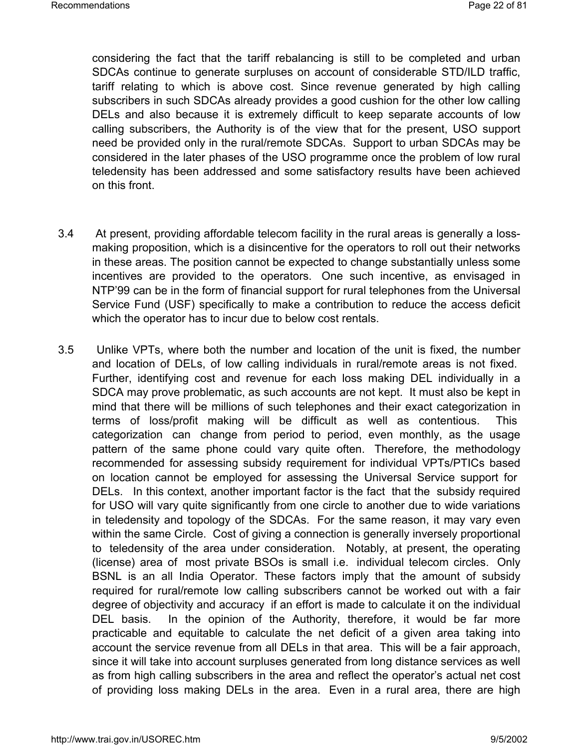considering the fact that the tariff rebalancing is still to be completed and urban SDCAs continue to generate surpluses on account of considerable STD/ILD traffic, tariff relating to which is above cost. Since revenue generated by high calling subscribers in such SDCAs already provides a good cushion for the other low calling DELs and also because it is extremely difficult to keep separate accounts of low calling subscribers, the Authority is of the view that for the present, USO support need be provided only in the rural/remote SDCAs. Support to urban SDCAs may be considered in the later phases of the USO programme once the problem of low rural teledensity has been addressed and some satisfactory results have been achieved on this front.

- 3.4 At present, providing affordable telecom facility in the rural areas is generally a lossmaking proposition, which is a disincentive for the operators to roll out their networks in these areas. The position cannot be expected to change substantially unless some incentives are provided to the operators. One such incentive, as envisaged in NTP'99 can be in the form of financial support for rural telephones from the Universal Service Fund (USF) specifically to make a contribution to reduce the access deficit which the operator has to incur due to below cost rentals.
- 3.5 Unlike VPTs, where both the number and location of the unit is fixed, the number and location of DELs, of low calling individuals in rural/remote areas is not fixed. Further, identifying cost and revenue for each loss making DEL individually in a SDCA may prove problematic, as such accounts are not kept. It must also be kept in mind that there will be millions of such telephones and their exact categorization in terms of loss/profit making will be difficult as well as contentious. This categorization can change from period to period, even monthly, as the usage pattern of the same phone could vary quite often. Therefore, the methodology recommended for assessing subsidy requirement for individual VPTs/PTICs based on location cannot be employed for assessing the Universal Service support for DELs. In this context, another important factor is the fact that the subsidy required for USO will vary quite significantly from one circle to another due to wide variations in teledensity and topology of the SDCAs. For the same reason, it may vary even within the same Circle. Cost of giving a connection is generally inversely proportional to teledensity of the area under consideration. Notably, at present, the operating (license) area of most private BSOs is small i.e. individual telecom circles. Only BSNL is an all India Operator. These factors imply that the amount of subsidy required for rural/remote low calling subscribers cannot be worked out with a fair degree of objectivity and accuracy if an effort is made to calculate it on the individual DEL basis. In the opinion of the Authority, therefore, it would be far more practicable and equitable to calculate the net deficit of a given area taking into account the service revenue from all DELs in that area. This will be a fair approach, since it will take into account surpluses generated from long distance services as well as from high calling subscribers in the area and reflect the operator's actual net cost of providing loss making DELs in the area. Even in a rural area, there are high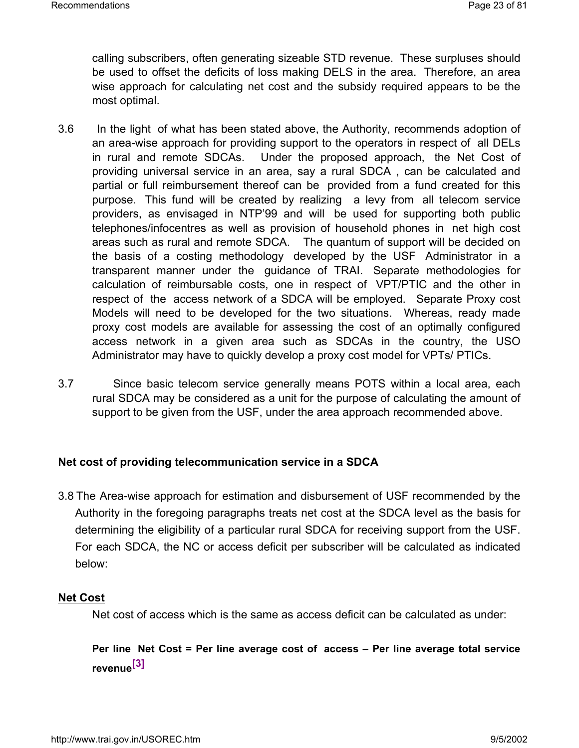calling subscribers, often generating sizeable STD revenue. These surpluses should be used to offset the deficits of loss making DELS in the area. Therefore, an area wise approach for calculating net cost and the subsidy required appears to be the most optimal.

- 3.6 In the light of what has been stated above, the Authority, recommends adoption of an area-wise approach for providing support to the operators in respect of all DELs in rural and remote SDCAs. Under the proposed approach, the Net Cost of providing universal service in an area, say a rural SDCA , can be calculated and partial or full reimbursement thereof can be provided from a fund created for this purpose. This fund will be created by realizing a levy from all telecom service providers, as envisaged in NTP'99 and will be used for supporting both public telephones/infocentres as well as provision of household phones in net high cost areas such as rural and remote SDCA. The quantum of support will be decided on the basis of a costing methodology developed by the USF Administrator in a transparent manner under the guidance of TRAI. Separate methodologies for calculation of reimbursable costs, one in respect of VPT/PTIC and the other in respect of the access network of a SDCA will be employed. Separate Proxy cost Models will need to be developed for the two situations. Whereas, ready made proxy cost models are available for assessing the cost of an optimally configured access network in a given area such as SDCAs in the country, the USO Administrator may have to quickly develop a proxy cost model for VPTs/ PTICs.
- 3.7 Since basic telecom service generally means POTS within a local area, each rural SDCA may be considered as a unit for the purpose of calculating the amount of support to be given from the USF, under the area approach recommended above.

#### **Net cost of providing telecommunication service in a SDCA**

3.8 The Area-wise approach for estimation and disbursement of USF recommended by the Authority in the foregoing paragraphs treats net cost at the SDCA level as the basis for determining the eligibility of a particular rural SDCA for receiving support from the USF. For each SDCA, the NC or access deficit per subscriber will be calculated as indicated below:

#### **Net Cost**

Net cost of access which is the same as access deficit can be calculated as under:

# **Per line Net Cost = Per line average cost of access – Per line average total service revenue[3]**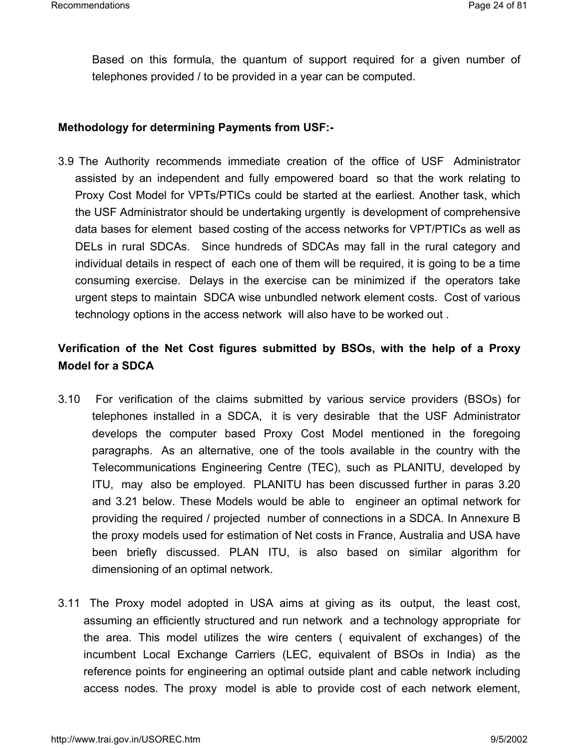Based on this formula, the quantum of support required for a given number of telephones provided / to be provided in a year can be computed.

#### **Methodology for determining Payments from USF:-**

3.9 The Authority recommends immediate creation of the office of USF Administrator assisted by an independent and fully empowered board so that the work relating to Proxy Cost Model for VPTs/PTICs could be started at the earliest. Another task, which the USF Administrator should be undertaking urgently is development of comprehensive data bases for element based costing of the access networks for VPT/PTICs as well as DELs in rural SDCAs. Since hundreds of SDCAs may fall in the rural category and individual details in respect of each one of them will be required, it is going to be a time consuming exercise. Delays in the exercise can be minimized if the operators take urgent steps to maintain SDCA wise unbundled network element costs. Cost of various technology options in the access network will also have to be worked out .

# **Verification of the Net Cost figures submitted by BSOs, with the help of a Proxy Model for a SDCA**

- 3.10 For verification of the claims submitted by various service providers (BSOs) for telephones installed in a SDCA, it is very desirable that the USF Administrator develops the computer based Proxy Cost Model mentioned in the foregoing paragraphs. As an alternative, one of the tools available in the country with the Telecommunications Engineering Centre (TEC), such as PLANITU, developed by ITU, may also be employed. PLANITU has been discussed further in paras 3.20 and 3.21 below. These Models would be able to engineer an optimal network for providing the required / projected number of connections in a SDCA. In Annexure B the proxy models used for estimation of Net costs in France, Australia and USA have been briefly discussed. PLAN ITU, is also based on similar algorithm for dimensioning of an optimal network.
- 3.11 The Proxy model adopted in USA aims at giving as its output, the least cost, assuming an efficiently structured and run network and a technology appropriate for the area. This model utilizes the wire centers ( equivalent of exchanges) of the incumbent Local Exchange Carriers (LEC, equivalent of BSOs in India) as the reference points for engineering an optimal outside plant and cable network including access nodes. The proxy model is able to provide cost of each network element,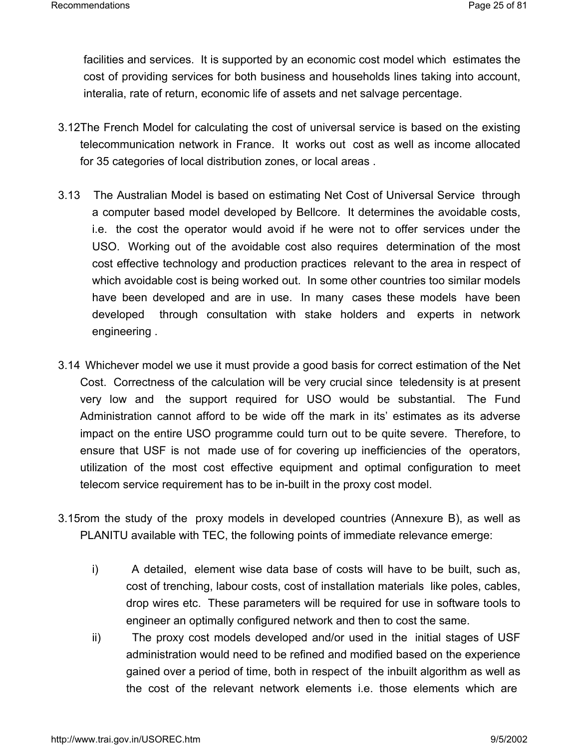facilities and services. It is supported by an economic cost model which estimates the cost of providing services for both business and households lines taking into account, interalia, rate of return, economic life of assets and net salvage percentage.

- 3.12The French Model for calculating the cost of universal service is based on the existing telecommunication network in France. It works out cost as well as income allocated for 35 categories of local distribution zones, or local areas .
- 3.13 The Australian Model is based on estimating Net Cost of Universal Service through a computer based model developed by Bellcore. It determines the avoidable costs, i.e. the cost the operator would avoid if he were not to offer services under the USO. Working out of the avoidable cost also requires determination of the most cost effective technology and production practices relevant to the area in respect of which avoidable cost is being worked out. In some other countries too similar models have been developed and are in use. In many cases these models have been developed through consultation with stake holders and experts in network engineering .
- 3.14 Whichever model we use it must provide a good basis for correct estimation of the Net Cost. Correctness of the calculation will be very crucial since teledensity is at present very low and the support required for USO would be substantial. The Fund Administration cannot afford to be wide off the mark in its' estimates as its adverse impact on the entire USO programme could turn out to be quite severe. Therefore, to ensure that USF is not made use of for covering up inefficiencies of the operators, utilization of the most cost effective equipment and optimal configuration to meet telecom service requirement has to be in-built in the proxy cost model.
- 3.15rom the study of the proxy models in developed countries (Annexure B), as well as PLANITU available with TEC, the following points of immediate relevance emerge:
	- i) A detailed, element wise data base of costs will have to be built, such as, cost of trenching, labour costs, cost of installation materials like poles, cables, drop wires etc. These parameters will be required for use in software tools to engineer an optimally configured network and then to cost the same.
	- ii) The proxy cost models developed and/or used in the initial stages of USF administration would need to be refined and modified based on the experience gained over a period of time, both in respect of the inbuilt algorithm as well as the cost of the relevant network elements i.e. those elements which are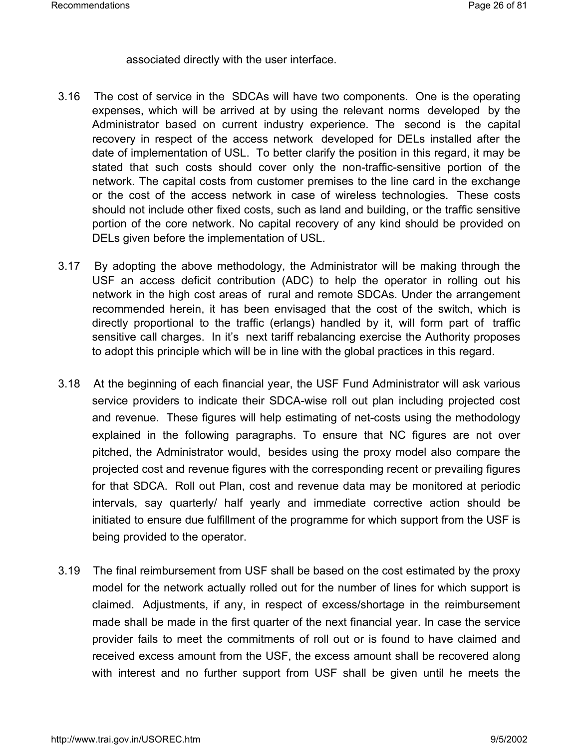#### associated directly with the user interface.

- 3.16 The cost of service in the SDCAs will have two components. One is the operating expenses, which will be arrived at by using the relevant norms developed by the Administrator based on current industry experience. The second is the capital recovery in respect of the access network developed for DELs installed after the date of implementation of USL. To better clarify the position in this regard, it may be stated that such costs should cover only the non-traffic-sensitive portion of the network. The capital costs from customer premises to the line card in the exchange or the cost of the access network in case of wireless technologies. These costs should not include other fixed costs, such as land and building, or the traffic sensitive portion of the core network. No capital recovery of any kind should be provided on DELs given before the implementation of USL.
- 3.17 By adopting the above methodology, the Administrator will be making through the USF an access deficit contribution (ADC) to help the operator in rolling out his network in the high cost areas of rural and remote SDCAs. Under the arrangement recommended herein, it has been envisaged that the cost of the switch, which is directly proportional to the traffic (erlangs) handled by it, will form part of traffic sensitive call charges. In it's next tariff rebalancing exercise the Authority proposes to adopt this principle which will be in line with the global practices in this regard.
- 3.18 At the beginning of each financial year, the USF Fund Administrator will ask various service providers to indicate their SDCA-wise roll out plan including projected cost and revenue. These figures will help estimating of net-costs using the methodology explained in the following paragraphs. To ensure that NC figures are not over pitched, the Administrator would, besides using the proxy model also compare the projected cost and revenue figures with the corresponding recent or prevailing figures for that SDCA. Roll out Plan, cost and revenue data may be monitored at periodic intervals, say quarterly/ half yearly and immediate corrective action should be initiated to ensure due fulfillment of the programme for which support from the USF is being provided to the operator.
- 3.19 The final reimbursement from USF shall be based on the cost estimated by the proxy model for the network actually rolled out for the number of lines for which support is claimed. Adjustments, if any, in respect of excess/shortage in the reimbursement made shall be made in the first quarter of the next financial year. In case the service provider fails to meet the commitments of roll out or is found to have claimed and received excess amount from the USF, the excess amount shall be recovered along with interest and no further support from USF shall be given until he meets the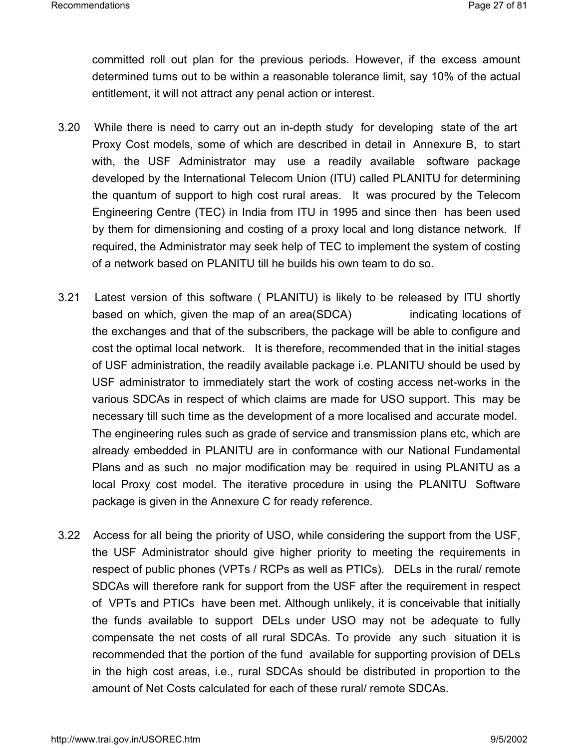committed roll out plan for the previous periods. However, if the excess amount determined turns out to be within a reasonable tolerance limit, say 10% of the actual entitlement, it will not attract any penal action or interest.

- 3.20 While there is need to carry out an in-depth study for developing state of the art Proxy Cost models, some of which are described in detail in Annexure B, to start with, the USF Administrator may use a readily available software package developed by the International Telecom Union (ITU) called PLANITU for determining the quantum of support to high cost rural areas. It was procured by the Telecom Engineering Centre (TEC) in India from ITU in 1995 and since then has been used by them for dimensioning and costing of a proxy local and long distance network. If required, the Administrator may seek help of TEC to implement the system of costing of a network based on PLANITU till he builds his own team to do so.
- 3.21 Latest version of this software ( PLANITU) is likely to be released by ITU shortly based on which, given the map of an area(SDCA) indicating locations of the exchanges and that of the subscribers, the package will be able to configure and cost the optimal local network. It is therefore, recommended that in the initial stages of USF administration, the readily available package i.e. PLANITU should be used by USF administrator to immediately start the work of costing access net-works in the various SDCAs in respect of which claims are made for USO support. This may be necessary till such time as the development of a more localised and accurate model. The engineering rules such as grade of service and transmission plans etc, which are already embedded in PLANITU are in conformance with our National Fundamental Plans and as such no major modification may be required in using PLANITU as a local Proxy cost model. The iterative procedure in using the PLANITU Software package is given in the Annexure C for ready reference.
- 3.22 Access for all being the priority of USO, while considering the support from the USF, the USF Administrator should give higher priority to meeting the requirements in respect of public phones (VPTs / RCPs as well as PTICs). DELs in the rural/ remote SDCAs will therefore rank for support from the USF after the requirement in respect of VPTs and PTICs have been met. Although unlikely, it is conceivable that initially the funds available to support DELs under USO may not be adequate to fully compensate the net costs of all rural SDCAs. To provide any such situation it is recommended that the portion of the fund available for supporting provision of DELs in the high cost areas, i.e., rural SDCAs should be distributed in proportion to the amount of Net Costs calculated for each of these rural/ remote SDCAs.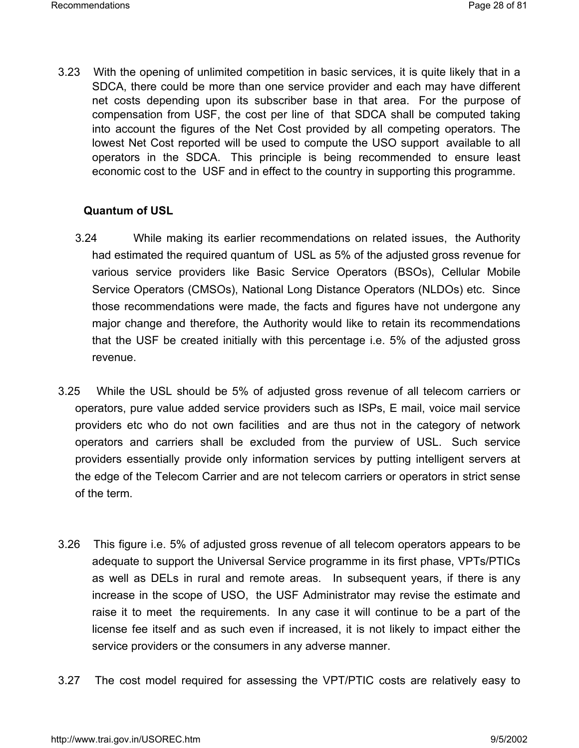3.23 With the opening of unlimited competition in basic services, it is quite likely that in a SDCA, there could be more than one service provider and each may have different net costs depending upon its subscriber base in that area. For the purpose of compensation from USF, the cost per line of that SDCA shall be computed taking into account the figures of the Net Cost provided by all competing operators. The lowest Net Cost reported will be used to compute the USO support available to all operators in the SDCA. This principle is being recommended to ensure least economic cost to the USF and in effect to the country in supporting this programme.

#### **Quantum of USL**

- 3.24 While making its earlier recommendations on related issues, the Authority had estimated the required quantum of USL as 5% of the adjusted gross revenue for various service providers like Basic Service Operators (BSOs), Cellular Mobile Service Operators (CMSOs), National Long Distance Operators (NLDOs) etc. Since those recommendations were made, the facts and figures have not undergone any major change and therefore, the Authority would like to retain its recommendations that the USF be created initially with this percentage i.e. 5% of the adjusted gross revenue.
- 3.25 While the USL should be 5% of adjusted gross revenue of all telecom carriers or operators, pure value added service providers such as ISPs, E mail, voice mail service providers etc who do not own facilities and are thus not in the category of network operators and carriers shall be excluded from the purview of USL. Such service providers essentially provide only information services by putting intelligent servers at the edge of the Telecom Carrier and are not telecom carriers or operators in strict sense of the term.
- 3.26 This figure i.e. 5% of adjusted gross revenue of all telecom operators appears to be adequate to support the Universal Service programme in its first phase, VPTs/PTICs as well as DELs in rural and remote areas. In subsequent years, if there is any increase in the scope of USO, the USF Administrator may revise the estimate and raise it to meet the requirements. In any case it will continue to be a part of the license fee itself and as such even if increased, it is not likely to impact either the service providers or the consumers in any adverse manner.
- 3.27 The cost model required for assessing the VPT/PTIC costs are relatively easy to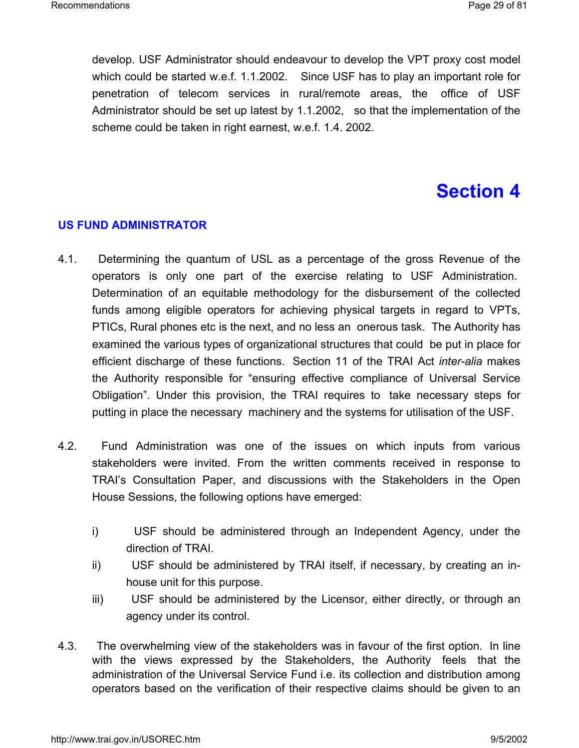develop. USF Administrator should endeavour to develop the VPT proxy cost model which could be started w.e.f. 1.1.2002. Since USF has to play an important role for penetration of telecom services in rural/remote areas, the office of USF Administrator should be set up latest by 1.1.2002, so that the implementation of the scheme could be taken in right earnest, w.e.f. 1.4. 2002.

# **Section 4**

## **US FUND ADMINISTRATOR**

- 4.1. Determining the quantum of USL as a percentage of the gross Revenue of the operators is only one part of the exercise relating to USF Administration. Determination of an equitable methodology for the disbursement of the collected funds among eligible operators for achieving physical targets in regard to VPTs, PTICs, Rural phones etc is the next, and no less an onerous task. The Authority has examined the various types of organizational structures that could be put in place for efficient discharge of these functions. Section 11 of the TRAI Act *inter-alia* makes the Authority responsible for "ensuring effective compliance of Universal Service Obligation". Under this provision, the TRAI requires to take necessary steps for putting in place the necessary machinery and the systems for utilisation of the USF.
- 4.2. Fund Administration was one of the issues on which inputs from various stakeholders were invited. From the written comments received in response to TRAI's Consultation Paper, and discussions with the Stakeholders in the Open House Sessions, the following options have emerged:
	- i) USF should be administered through an Independent Agency, under the direction of TRAI.
	- ii) USF should be administered by TRAI itself, if necessary, by creating an inhouse unit for this purpose.
	- iii) USF should be administered by the Licensor, either directly, or through an agency under its control.
- 4.3. The overwhelming view of the stakeholders was in favour of the first option. In line with the views expressed by the Stakeholders, the Authority feels that the administration of the Universal Service Fund i.e. its collection and distribution among operators based on the verification of their respective claims should be given to an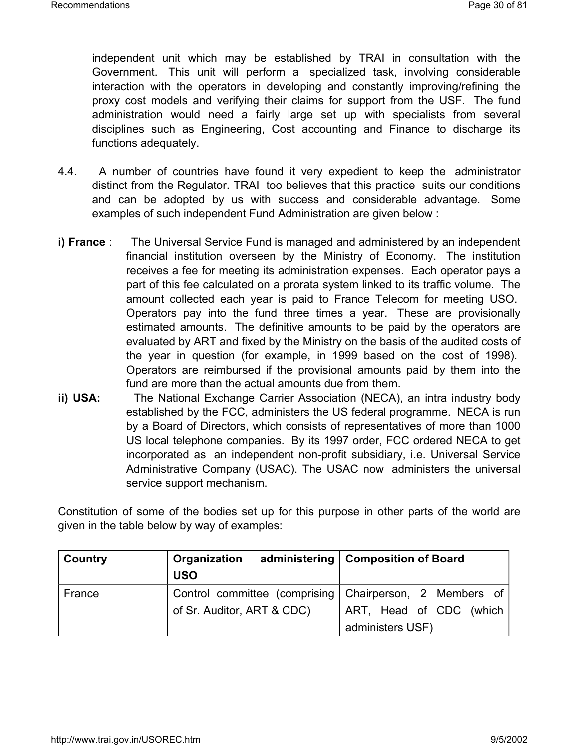independent unit which may be established by TRAI in consultation with the Government. This unit will perform a specialized task, involving considerable interaction with the operators in developing and constantly improving/refining the proxy cost models and verifying their claims for support from the USF. The fund administration would need a fairly large set up with specialists from several disciplines such as Engineering, Cost accounting and Finance to discharge its functions adequately.

- 4.4. A number of countries have found it very expedient to keep the administrator distinct from the Regulator. TRAI too believes that this practice suits our conditions and can be adopted by us with success and considerable advantage. Some examples of such independent Fund Administration are given below :
- **i) France** : The Universal Service Fund is managed and administered by an independent financial institution overseen by the Ministry of Economy. The institution receives a fee for meeting its administration expenses. Each operator pays a part of this fee calculated on a prorata system linked to its traffic volume. The amount collected each year is paid to France Telecom for meeting USO. Operators pay into the fund three times a year. These are provisionally estimated amounts. The definitive amounts to be paid by the operators are evaluated by ART and fixed by the Ministry on the basis of the audited costs of the year in question (for example, in 1999 based on the cost of 1998). Operators are reimbursed if the provisional amounts paid by them into the fund are more than the actual amounts due from them.
- **ii) USA:** The National Exchange Carrier Association (NECA), an intra industry body established by the FCC, administers the US federal programme. NECA is run by a Board of Directors, which consists of representatives of more than 1000 US local telephone companies. By its 1997 order, FCC ordered NECA to get incorporated as an independent non-profit subsidiary, i.e. Universal Service Administrative Company (USAC). The USAC now administers the universal service support mechanism.

Constitution of some of the bodies set up for this purpose in other parts of the world are given in the table below by way of examples:

| <b>Country</b> | Organization                                            | administering   Composition of Board |
|----------------|---------------------------------------------------------|--------------------------------------|
|                | <b>USO</b>                                              |                                      |
| France         | Control committee (comprising Chairperson, 2 Members of |                                      |
|                | of Sr. Auditor, ART & CDC)                              | ART, Head of CDC (which              |
|                |                                                         | administers USF)                     |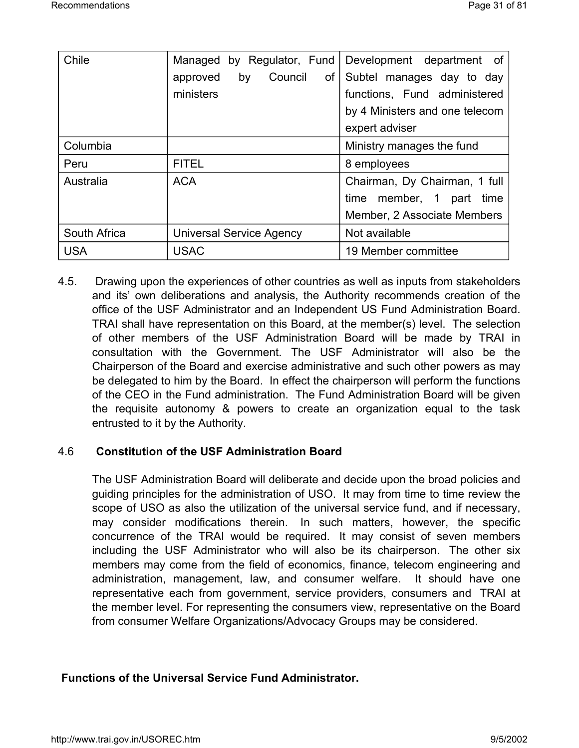| Chile        | Managed by Regulator, Fund        | Development department of      |
|--------------|-----------------------------------|--------------------------------|
|              | Council<br>approved<br>by<br>of I | Subtel manages day to day      |
|              | ministers                         | functions, Fund administered   |
|              |                                   | by 4 Ministers and one telecom |
|              |                                   | expert adviser                 |
| Columbia     |                                   | Ministry manages the fund      |
| Peru         | <b>FITEL</b>                      | 8 employees                    |
| Australia    | <b>ACA</b>                        | Chairman, Dy Chairman, 1 full  |
|              |                                   | time member, 1 part<br>time    |
|              |                                   | Member, 2 Associate Members    |
| South Africa | <b>Universal Service Agency</b>   | Not available                  |
| <b>USA</b>   | <b>USAC</b>                       | 19 Member committee            |

4.5. Drawing upon the experiences of other countries as well as inputs from stakeholders and its' own deliberations and analysis, the Authority recommends creation of the office of the USF Administrator and an Independent US Fund Administration Board. TRAI shall have representation on this Board, at the member(s) level. The selection of other members of the USF Administration Board will be made by TRAI in consultation with the Government. The USF Administrator will also be the Chairperson of the Board and exercise administrative and such other powers as may be delegated to him by the Board. In effect the chairperson will perform the functions of the CEO in the Fund administration. The Fund Administration Board will be given the requisite autonomy & powers to create an organization equal to the task entrusted to it by the Authority.

## 4.6 **Constitution of the USF Administration Board**

The USF Administration Board will deliberate and decide upon the broad policies and guiding principles for the administration of USO. It may from time to time review the scope of USO as also the utilization of the universal service fund, and if necessary, may consider modifications therein. In such matters, however, the specific concurrence of the TRAI would be required. It may consist of seven members including the USF Administrator who will also be its chairperson. The other six members may come from the field of economics, finance, telecom engineering and administration, management, law, and consumer welfare. It should have one representative each from government, service providers, consumers and TRAI at the member level. For representing the consumers view, representative on the Board from consumer Welfare Organizations/Advocacy Groups may be considered.

## **Functions of the Universal Service Fund Administrator.**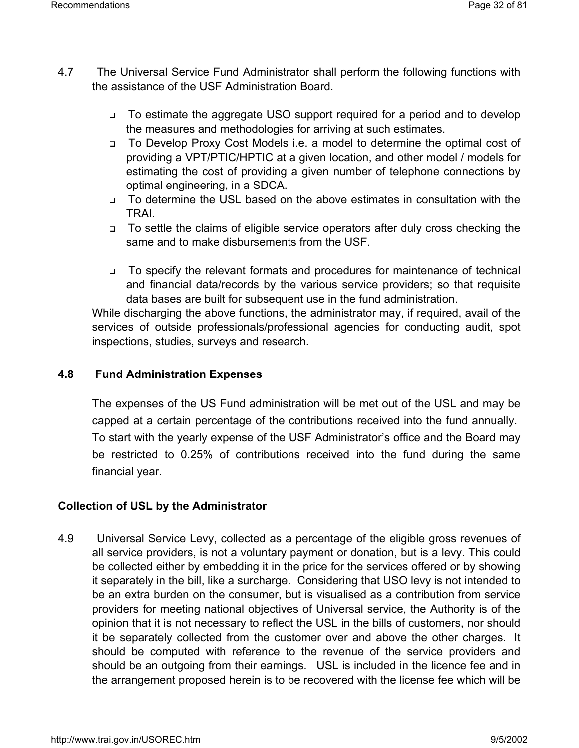- 4.7 The Universal Service Fund Administrator shall perform the following functions with the assistance of the USF Administration Board.
	- To estimate the aggregate USO support required for a period and to develop the measures and methodologies for arriving at such estimates.
	- To Develop Proxy Cost Models i.e. a model to determine the optimal cost of providing a VPT/PTIC/HPTIC at a given location, and other model / models for estimating the cost of providing a given number of telephone connections by optimal engineering, in a SDCA.
	- To determine the USL based on the above estimates in consultation with the TRAI.
	- □ To settle the claims of eligible service operators after duly cross checking the same and to make disbursements from the USF.
	- □ To specify the relevant formats and procedures for maintenance of technical and financial data/records by the various service providers; so that requisite data bases are built for subsequent use in the fund administration.

While discharging the above functions, the administrator may, if required, avail of the services of outside professionals/professional agencies for conducting audit, spot inspections, studies, surveys and research.

# **4.8 Fund Administration Expenses**

The expenses of the US Fund administration will be met out of the USL and may be capped at a certain percentage of the contributions received into the fund annually. To start with the yearly expense of the USF Administrator's office and the Board may be restricted to 0.25% of contributions received into the fund during the same financial year.

# **Collection of USL by the Administrator**

4.9 Universal Service Levy, collected as a percentage of the eligible gross revenues of all service providers, is not a voluntary payment or donation, but is a levy. This could be collected either by embedding it in the price for the services offered or by showing it separately in the bill, like a surcharge. Considering that USO levy is not intended to be an extra burden on the consumer, but is visualised as a contribution from service providers for meeting national objectives of Universal service, the Authority is of the opinion that it is not necessary to reflect the USL in the bills of customers, nor should it be separately collected from the customer over and above the other charges. It should be computed with reference to the revenue of the service providers and should be an outgoing from their earnings. USL is included in the licence fee and in the arrangement proposed herein is to be recovered with the license fee which will be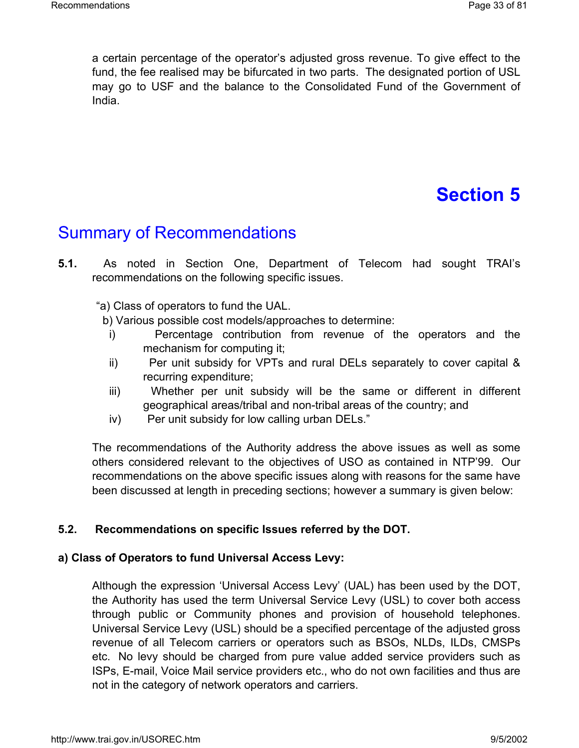a certain percentage of the operator's adjusted gross revenue. To give effect to the fund, the fee realised may be bifurcated in two parts. The designated portion of USL may go to USF and the balance to the Consolidated Fund of the Government of India.

# **Section 5**

# Summary of Recommendations

**5.1.** As noted in Section One, Department of Telecom had sought TRAI's recommendations on the following specific issues.

"a) Class of operators to fund the UAL.

b) Various possible cost models/approaches to determine:

- i) Percentage contribution from revenue of the operators and the mechanism for computing it;
- ii) Per unit subsidy for VPTs and rural DELs separately to cover capital & recurring expenditure;
- iii) Whether per unit subsidy will be the same or different in different geographical areas/tribal and non-tribal areas of the country; and
- iv) Per unit subsidy for low calling urban DELs."

The recommendations of the Authority address the above issues as well as some others considered relevant to the objectives of USO as contained in NTP'99. Our recommendations on the above specific issues along with reasons for the same have been discussed at length in preceding sections; however a summary is given below:

#### **5.2. Recommendations on specific Issues referred by the DOT.**

#### **a) Class of Operators to fund Universal Access Levy:**

Although the expression 'Universal Access Levy' (UAL) has been used by the DOT, the Authority has used the term Universal Service Levy (USL) to cover both access through public or Community phones and provision of household telephones. Universal Service Levy (USL) should be a specified percentage of the adjusted gross revenue of all Telecom carriers or operators such as BSOs, NLDs, ILDs, CMSPs etc. No levy should be charged from pure value added service providers such as ISPs, E-mail, Voice Mail service providers etc., who do not own facilities and thus are not in the category of network operators and carriers.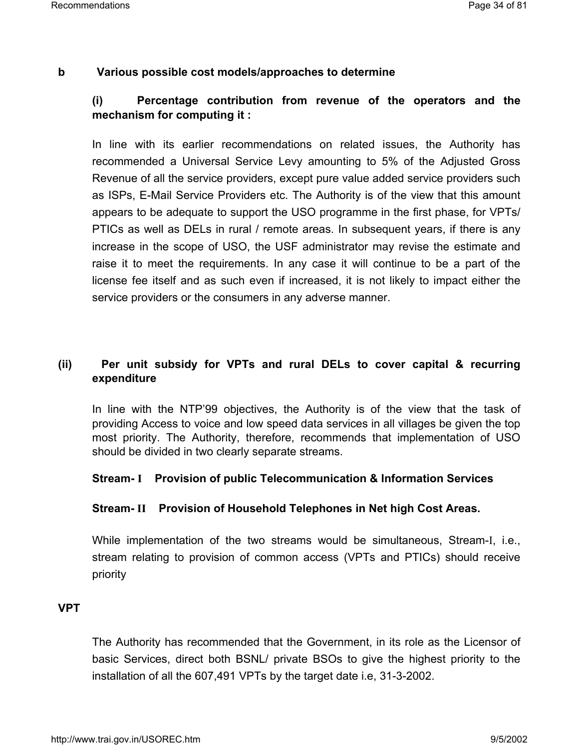#### **b Various possible cost models/approaches to determine**

# **(i) Percentage contribution from revenue of the operators and the mechanism for computing it :**

In line with its earlier recommendations on related issues, the Authority has recommended a Universal Service Levy amounting to 5% of the Adjusted Gross Revenue of all the service providers, except pure value added service providers such as ISPs, E-Mail Service Providers etc. The Authority is of the view that this amount appears to be adequate to support the USO programme in the first phase, for VPTs/ PTICs as well as DELs in rural / remote areas. In subsequent years, if there is any increase in the scope of USO, the USF administrator may revise the estimate and raise it to meet the requirements. In any case it will continue to be a part of the license fee itself and as such even if increased, it is not likely to impact either the service providers or the consumers in any adverse manner.

### **(ii) Per unit subsidy for VPTs and rural DELs to cover capital & recurring expenditure**

In line with the NTP'99 objectives, the Authority is of the view that the task of providing Access to voice and low speed data services in all villages be given the top most priority. The Authority, therefore, recommends that implementation of USO should be divided in two clearly separate streams.

#### **Stream- I Provision of public Telecommunication & Information Services**

#### **Stream- II Provision of Household Telephones in Net high Cost Areas.**

While implementation of the two streams would be simultaneous, Stream-I, i.e., stream relating to provision of common access (VPTs and PTICs) should receive priority

#### **VPT**

The Authority has recommended that the Government, in its role as the Licensor of basic Services, direct both BSNL/ private BSOs to give the highest priority to the installation of all the 607,491 VPTs by the target date i.e, 31-3-2002.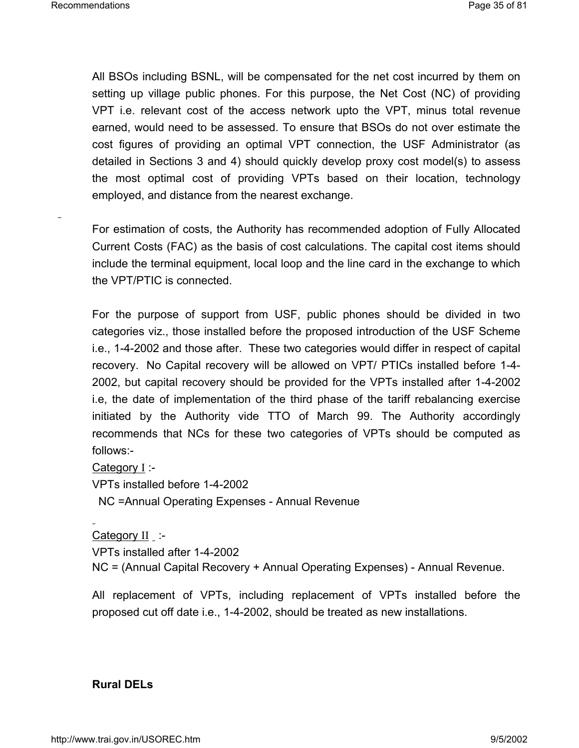All BSOs including BSNL, will be compensated for the net cost incurred by them on setting up village public phones. For this purpose, the Net Cost (NC) of providing VPT i.e. relevant cost of the access network upto the VPT, minus total revenue earned, would need to be assessed. To ensure that BSOs do not over estimate the cost figures of providing an optimal VPT connection, the USF Administrator (as detailed in Sections 3 and 4) should quickly develop proxy cost model(s) to assess the most optimal cost of providing VPTs based on their location, technology employed, and distance from the nearest exchange.

For estimation of costs, the Authority has recommended adoption of Fully Allocated Current Costs (FAC) as the basis of cost calculations. The capital cost items should include the terminal equipment, local loop and the line card in the exchange to which the VPT/PTIC is connected.

For the purpose of support from USF, public phones should be divided in two categories viz., those installed before the proposed introduction of the USF Scheme i.e., 1-4-2002 and those after. These two categories would differ in respect of capital recovery. No Capital recovery will be allowed on VPT/ PTICs installed before 1-4- 2002, but capital recovery should be provided for the VPTs installed after 1-4-2002 i.e, the date of implementation of the third phase of the tariff rebalancing exercise initiated by the Authority vide TTO of March 99. The Authority accordingly recommends that NCs for these two categories of VPTs should be computed as follows:-

Category I :-

VPTs installed before 1-4-2002

NC =Annual Operating Expenses - Annual Revenue

Category II :-VPTs installed after 1-4-2002 NC = (Annual Capital Recovery + Annual Operating Expenses) - Annual Revenue.

All replacement of VPTs, including replacement of VPTs installed before the proposed cut off date i.e., 1-4-2002, should be treated as new installations.

#### **Rural DELs**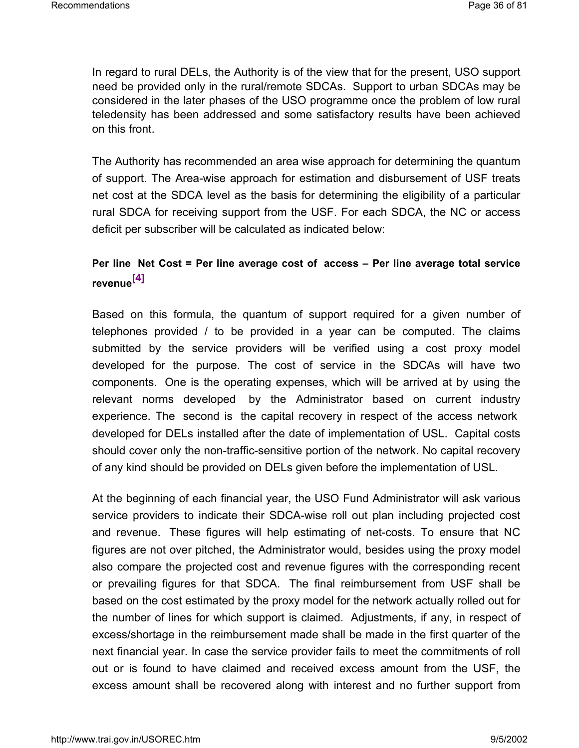In regard to rural DELs, the Authority is of the view that for the present, USO support need be provided only in the rural/remote SDCAs. Support to urban SDCAs may be considered in the later phases of the USO programme once the problem of low rural teledensity has been addressed and some satisfactory results have been achieved on this front.

The Authority has recommended an area wise approach for determining the quantum of support. The Area-wise approach for estimation and disbursement of USF treats net cost at the SDCA level as the basis for determining the eligibility of a particular rural SDCA for receiving support from the USF. For each SDCA, the NC or access deficit per subscriber will be calculated as indicated below:

# **Per line Net Cost = Per line average cost of access – Per line average total service revenue[4]**

Based on this formula, the quantum of support required for a given number of telephones provided / to be provided in a year can be computed. The claims submitted by the service providers will be verified using a cost proxy model developed for the purpose. The cost of service in the SDCAs will have two components. One is the operating expenses, which will be arrived at by using the relevant norms developed by the Administrator based on current industry experience. The second is the capital recovery in respect of the access network developed for DELs installed after the date of implementation of USL. Capital costs should cover only the non-traffic-sensitive portion of the network. No capital recovery of any kind should be provided on DELs given before the implementation of USL.

At the beginning of each financial year, the USO Fund Administrator will ask various service providers to indicate their SDCA-wise roll out plan including projected cost and revenue. These figures will help estimating of net-costs. To ensure that NC figures are not over pitched, the Administrator would, besides using the proxy model also compare the projected cost and revenue figures with the corresponding recent or prevailing figures for that SDCA. The final reimbursement from USF shall be based on the cost estimated by the proxy model for the network actually rolled out for the number of lines for which support is claimed. Adjustments, if any, in respect of excess/shortage in the reimbursement made shall be made in the first quarter of the next financial year. In case the service provider fails to meet the commitments of roll out or is found to have claimed and received excess amount from the USF, the excess amount shall be recovered along with interest and no further support from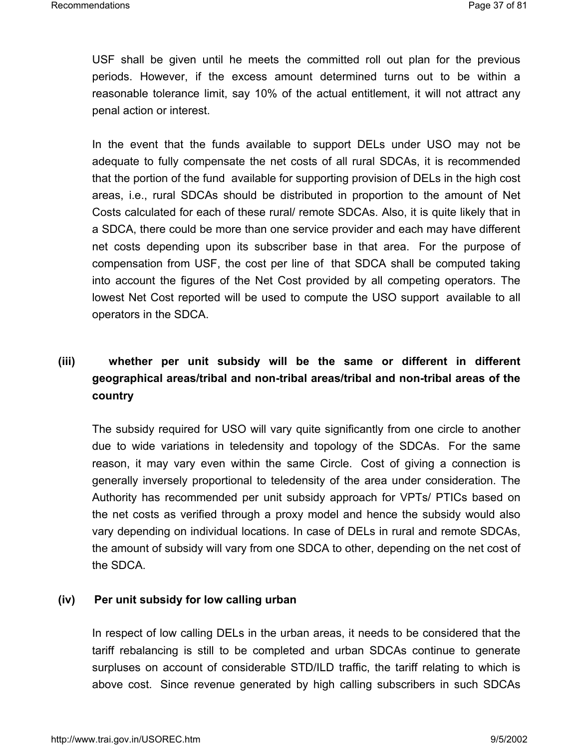USF shall be given until he meets the committed roll out plan for the previous periods. However, if the excess amount determined turns out to be within a reasonable tolerance limit, say 10% of the actual entitlement, it will not attract any penal action or interest.

In the event that the funds available to support DELs under USO may not be adequate to fully compensate the net costs of all rural SDCAs, it is recommended that the portion of the fund available for supporting provision of DELs in the high cost areas, i.e., rural SDCAs should be distributed in proportion to the amount of Net Costs calculated for each of these rural/ remote SDCAs. Also, it is quite likely that in a SDCA, there could be more than one service provider and each may have different net costs depending upon its subscriber base in that area. For the purpose of compensation from USF, the cost per line of that SDCA shall be computed taking into account the figures of the Net Cost provided by all competing operators. The lowest Net Cost reported will be used to compute the USO support available to all operators in the SDCA.

## **(iii) whether per unit subsidy will be the same or different in different geographical areas/tribal and non-tribal areas/tribal and non-tribal areas of the country**

The subsidy required for USO will vary quite significantly from one circle to another due to wide variations in teledensity and topology of the SDCAs. For the same reason, it may vary even within the same Circle. Cost of giving a connection is generally inversely proportional to teledensity of the area under consideration. The Authority has recommended per unit subsidy approach for VPTs/ PTICs based on the net costs as verified through a proxy model and hence the subsidy would also vary depending on individual locations. In case of DELs in rural and remote SDCAs, the amount of subsidy will vary from one SDCA to other, depending on the net cost of the SDCA.

## **(iv) Per unit subsidy for low calling urban**

In respect of low calling DELs in the urban areas, it needs to be considered that the tariff rebalancing is still to be completed and urban SDCAs continue to generate surpluses on account of considerable STD/ILD traffic, the tariff relating to which is above cost. Since revenue generated by high calling subscribers in such SDCAs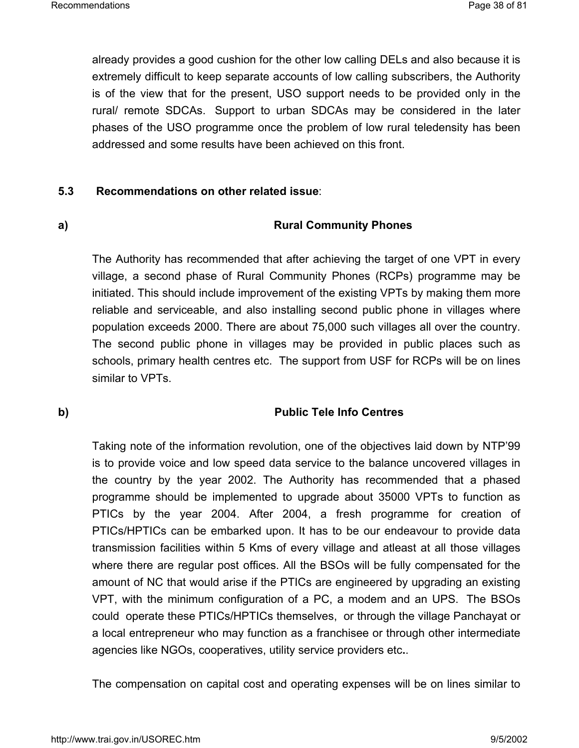already provides a good cushion for the other low calling DELs and also because it is extremely difficult to keep separate accounts of low calling subscribers, the Authority is of the view that for the present, USO support needs to be provided only in the rural/ remote SDCAs. Support to urban SDCAs may be considered in the later phases of the USO programme once the problem of low rural teledensity has been addressed and some results have been achieved on this front.

## **5.3 Recommendations on other related issue**:

## **a) Rural Community Phones**

The Authority has recommended that after achieving the target of one VPT in every village, a second phase of Rural Community Phones (RCPs) programme may be initiated. This should include improvement of the existing VPTs by making them more reliable and serviceable, and also installing second public phone in villages where population exceeds 2000. There are about 75,000 such villages all over the country. The second public phone in villages may be provided in public places such as schools, primary health centres etc. The support from USF for RCPs will be on lines similar to VPTs.

## **b) Public Tele Info Centres**

Taking note of the information revolution, one of the objectives laid down by NTP'99 is to provide voice and low speed data service to the balance uncovered villages in the country by the year 2002. The Authority has recommended that a phased programme should be implemented to upgrade about 35000 VPTs to function as PTICs by the year 2004. After 2004, a fresh programme for creation of PTICs/HPTICs can be embarked upon. It has to be our endeavour to provide data transmission facilities within 5 Kms of every village and atleast at all those villages where there are regular post offices. All the BSOs will be fully compensated for the amount of NC that would arise if the PTICs are engineered by upgrading an existing VPT, with the minimum configuration of a PC, a modem and an UPS. The BSOs could operate these PTICs/HPTICs themselves, or through the village Panchayat or a local entrepreneur who may function as a franchisee or through other intermediate agencies like NGOs, cooperatives, utility service providers etc**.**.

The compensation on capital cost and operating expenses will be on lines similar to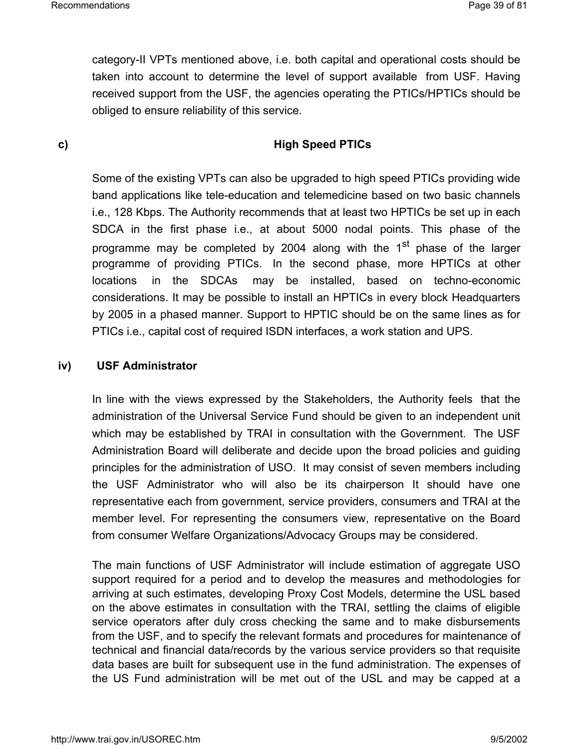category-II VPTs mentioned above, i.e. both capital and operational costs should be taken into account to determine the level of support available from USF. Having received support from the USF, the agencies operating the PTICs/HPTICs should be obliged to ensure reliability of this service.

## **c) High Speed PTICs**

Some of the existing VPTs can also be upgraded to high speed PTICs providing wide band applications like tele-education and telemedicine based on two basic channels i.e., 128 Kbps. The Authority recommends that at least two HPTICs be set up in each SDCA in the first phase i.e., at about 5000 nodal points. This phase of the programme may be completed by 2004 along with the 1<sup>st</sup> phase of the larger programme of providing PTICs. In the second phase, more HPTICs at other locations in the SDCAs may be installed, based on techno-economic considerations. It may be possible to install an HPTICs in every block Headquarters by 2005 in a phased manner. Support to HPTIC should be on the same lines as for PTICs i.e., capital cost of required ISDN interfaces, a work station and UPS.

## **iv) USF Administrator**

In line with the views expressed by the Stakeholders, the Authority feels that the administration of the Universal Service Fund should be given to an independent unit which may be established by TRAI in consultation with the Government. The USF Administration Board will deliberate and decide upon the broad policies and guiding principles for the administration of USO. It may consist of seven members including the USF Administrator who will also be its chairperson It should have one representative each from government, service providers, consumers and TRAI at the member level. For representing the consumers view, representative on the Board from consumer Welfare Organizations/Advocacy Groups may be considered.

The main functions of USF Administrator will include estimation of aggregate USO support required for a period and to develop the measures and methodologies for arriving at such estimates, developing Proxy Cost Models, determine the USL based on the above estimates in consultation with the TRAI, settling the claims of eligible service operators after duly cross checking the same and to make disbursements from the USF, and to specify the relevant formats and procedures for maintenance of technical and financial data/records by the various service providers so that requisite data bases are built for subsequent use in the fund administration. The expenses of the US Fund administration will be met out of the USL and may be capped at a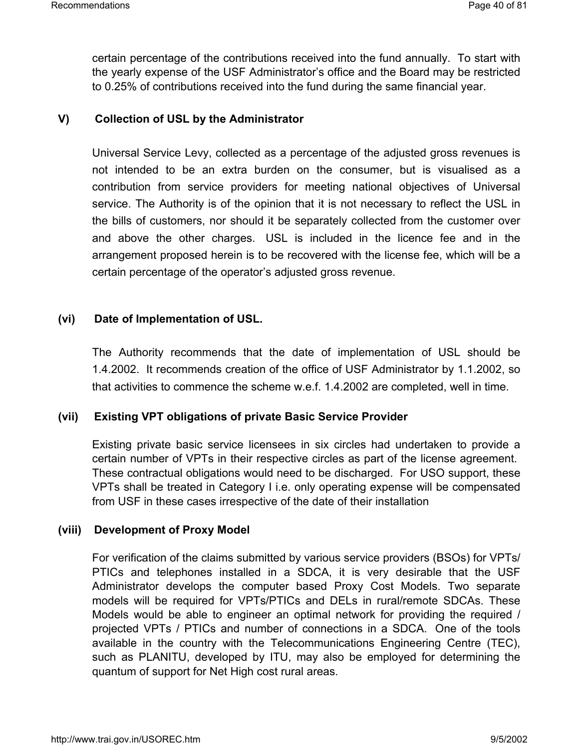certain percentage of the contributions received into the fund annually. To start with the yearly expense of the USF Administrator's office and the Board may be restricted to 0.25% of contributions received into the fund during the same financial year.

## **V) Collection of USL by the Administrator**

Universal Service Levy, collected as a percentage of the adjusted gross revenues is not intended to be an extra burden on the consumer, but is visualised as a contribution from service providers for meeting national objectives of Universal service. The Authority is of the opinion that it is not necessary to reflect the USL in the bills of customers, nor should it be separately collected from the customer over and above the other charges. USL is included in the licence fee and in the arrangement proposed herein is to be recovered with the license fee, which will be a certain percentage of the operator's adjusted gross revenue.

## **(vi) Date of Implementation of USL.**

The Authority recommends that the date of implementation of USL should be 1.4.2002. It recommends creation of the office of USF Administrator by 1.1.2002, so that activities to commence the scheme w.e.f. 1.4.2002 are completed, well in time.

## **(vii) Existing VPT obligations of private Basic Service Provider**

Existing private basic service licensees in six circles had undertaken to provide a certain number of VPTs in their respective circles as part of the license agreement. These contractual obligations would need to be discharged. For USO support, these VPTs shall be treated in Category I i.e. only operating expense will be compensated from USF in these cases irrespective of the date of their installation

#### **(viii) Development of Proxy Model**

For verification of the claims submitted by various service providers (BSOs) for VPTs/ PTICs and telephones installed in a SDCA, it is very desirable that the USF Administrator develops the computer based Proxy Cost Models. Two separate models will be required for VPTs/PTICs and DELs in rural/remote SDCAs. These Models would be able to engineer an optimal network for providing the required / projected VPTs / PTICs and number of connections in a SDCA. One of the tools available in the country with the Telecommunications Engineering Centre (TEC), such as PLANITU, developed by ITU, may also be employed for determining the quantum of support for Net High cost rural areas.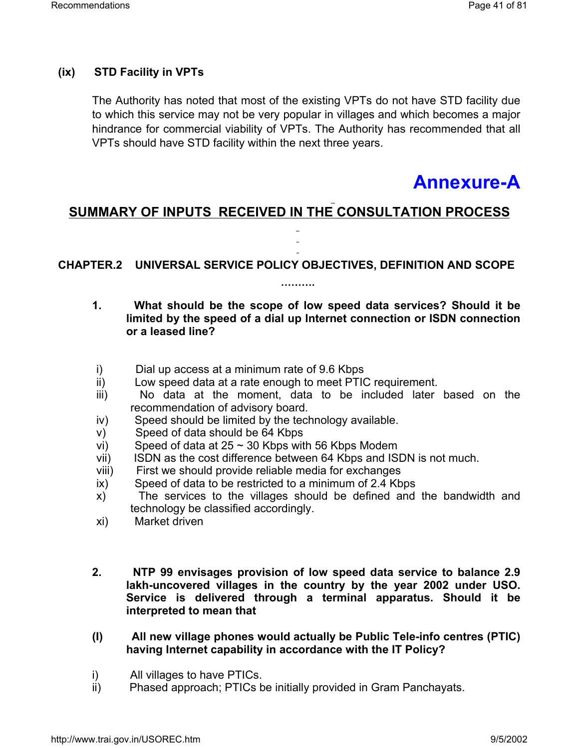## **(ix) STD Facility in VPTs**

The Authority has noted that most of the existing VPTs do not have STD facility due to which this service may not be very popular in villages and which becomes a major hindrance for commercial viability of VPTs. The Authority has recommended that all VPTs should have STD facility within the next three years.

# **Annexure-A**

## **SUMMARY OF INPUTS RECEIVED IN THE CONSULTATION PROCESS**

**CHAPTER.2 UNIVERSAL SERVICE POLICY OBJECTIVES, DEFINITION AND SCOPE** 

**……….**

## **1. What should be the scope of low speed data services? Should it be limited by the speed of a dial up Internet connection or ISDN connection or a leased line?**

- i) Dial up access at a minimum rate of 9.6 Kbps
- ii) Low speed data at a rate enough to meet PTIC requirement.
- iii) No data at the moment, data to be included later based on the recommendation of advisory board.
- iv) Speed should be limited by the technology available.
- v) Speed of data should be 64 Kbps
- vi) Speed of data at  $25 \sim 30$  Kbps with 56 Kbps Modem
- vii) ISDN as the cost difference between 64 Kbps and ISDN is not much.
- viii) First we should provide reliable media for exchanges
- ix) Speed of data to be restricted to a minimum of 2.4 Kbps
- x) The services to the villages should be defined and the bandwidth and technology be classified accordingly.
- xi) Market driven
- **2. NTP 99 envisages provision of low speed data service to balance 2.9 lakh-uncovered villages in the country by the year 2002 under USO. Service is delivered through a terminal apparatus. Should it be interpreted to mean that**
- **(I) All new village phones would actually be Public Tele-info centres (PTIC) having Internet capability in accordance with the IT Policy?**
- i) All villages to have PTICs.
- ii) Phased approach; PTICs be initially provided in Gram Panchayats.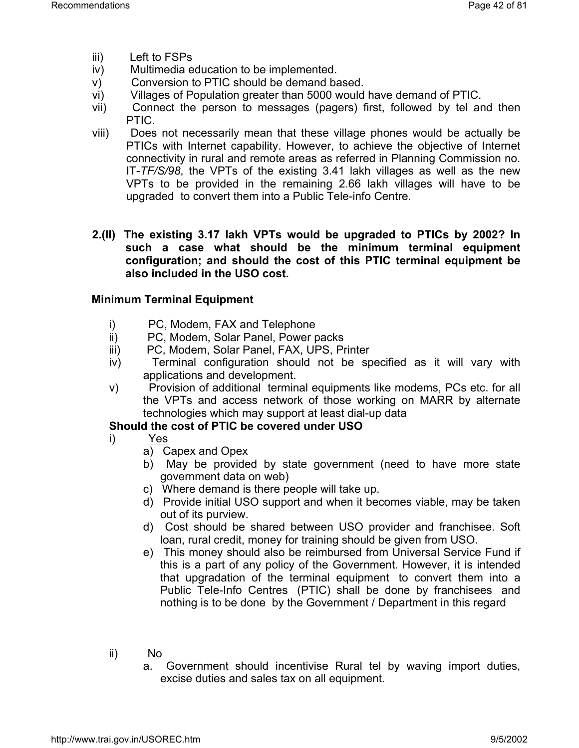- iii) Left to FSPs
- iv) Multimedia education to be implemented.
- v) Conversion to PTIC should be demand based.
- vi) Villages of Population greater than 5000 would have demand of PTIC.
- vii) Connect the person to messages (pagers) first, followed by tel and then PTIC.
- viii) Does not necessarily mean that these village phones would be actually be PTICs with Internet capability. However, to achieve the objective of Internet connectivity in rural and remote areas as referred in Planning Commission no. IT-*TF/S/98*, the VPTs of the existing 3.41 lakh villages as well as the new VPTs to be provided in the remaining 2.66 lakh villages will have to be upgraded to convert them into a Public Tele-info Centre.
- **2.(II) The existing 3.17 lakh VPTs would be upgraded to PTICs by 2002? In such a case what should be the minimum terminal equipment configuration; and should the cost of this PTIC terminal equipment be also included in the USO cost.**

## **Minimum Terminal Equipment**

- i) PC, Modem, FAX and Telephone
- ii) PC, Modem, Solar Panel, Power packs
- iii) PC, Modem, Solar Panel, FAX, UPS, Printer
- iv) Terminal configuration should not be specified as it will vary with applications and development.
- v) Provision of additional terminal equipments like modems, PCs etc. for all the VPTs and access network of those working on MARR by alternate technologies which may support at least dial-up data

## **Should the cost of PTIC be covered under USO**

- i) Yes
	- a) Capex and Opex
	- b) May be provided by state government (need to have more state government data on web)
	- c) Where demand is there people will take up.
	- d) Provide initial USO support and when it becomes viable, may be taken out of its purview.
	- d) Cost should be shared between USO provider and franchisee. Soft loan, rural credit, money for training should be given from USO.
	- e) This money should also be reimbursed from Universal Service Fund if this is a part of any policy of the Government. However, it is intended that upgradation of the terminal equipment to convert them into a Public Tele-Info Centres (PTIC) shall be done by franchisees and nothing is to be done by the Government / Department in this regard
- ii) No
	- a. Government should incentivise Rural tel by waving import duties, excise duties and sales tax on all equipment.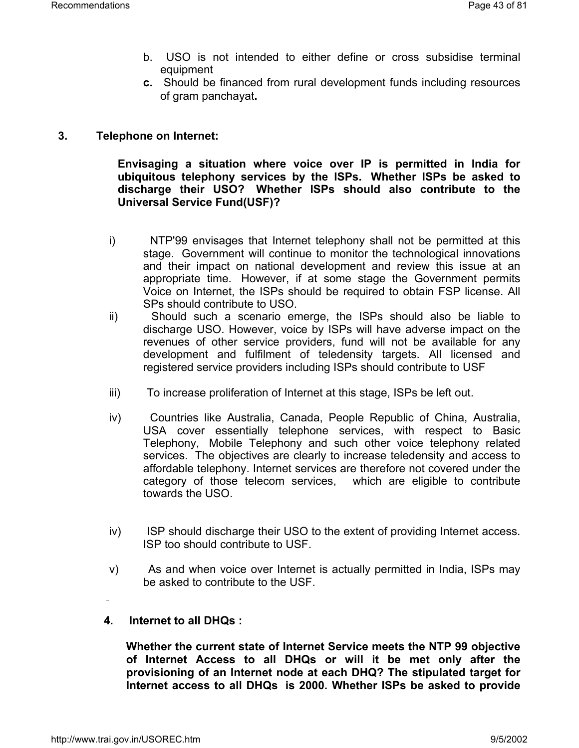- b. USO is not intended to either define or cross subsidise terminal equipment
- **c.** Should be financed from rural development funds including resources of gram panchayat**.**

## **3. Telephone on Internet:**

**Envisaging a situation where voice over IP is permitted in India for ubiquitous telephony services by the ISPs. Whether ISPs be asked to discharge their USO? Whether ISPs should also contribute to the Universal Service Fund(USF)?**

- i) NTP'99 envisages that Internet telephony shall not be permitted at this stage. Government will continue to monitor the technological innovations and their impact on national development and review this issue at an appropriate time. However, if at some stage the Government permits Voice on Internet, the ISPs should be required to obtain FSP license. All SPs should contribute to USO.
- ii) Should such a scenario emerge, the ISPs should also be liable to discharge USO. However, voice by ISPs will have adverse impact on the revenues of other service providers, fund will not be available for any development and fulfilment of teledensity targets. All licensed and registered service providers including ISPs should contribute to USF
- iii) To increase proliferation of Internet at this stage, ISPs be left out.
- iv) Countries like Australia, Canada, People Republic of China, Australia, USA cover essentially telephone services, with respect to Basic Telephony, Mobile Telephony and such other voice telephony related services. The objectives are clearly to increase teledensity and access to affordable telephony. Internet services are therefore not covered under the category of those telecom services, which are eligible to contribute towards the USO.
- iv) ISP should discharge their USO to the extent of providing Internet access. ISP too should contribute to USF.
- v) As and when voice over Internet is actually permitted in India, ISPs may be asked to contribute to the USF.
- **4. Internet to all DHQs :**

**Whether the current state of Internet Service meets the NTP 99 objective of Internet Access to all DHQs or will it be met only after the provisioning of an Internet node at each DHQ? The stipulated target for Internet access to all DHQs is 2000. Whether ISPs be asked to provide**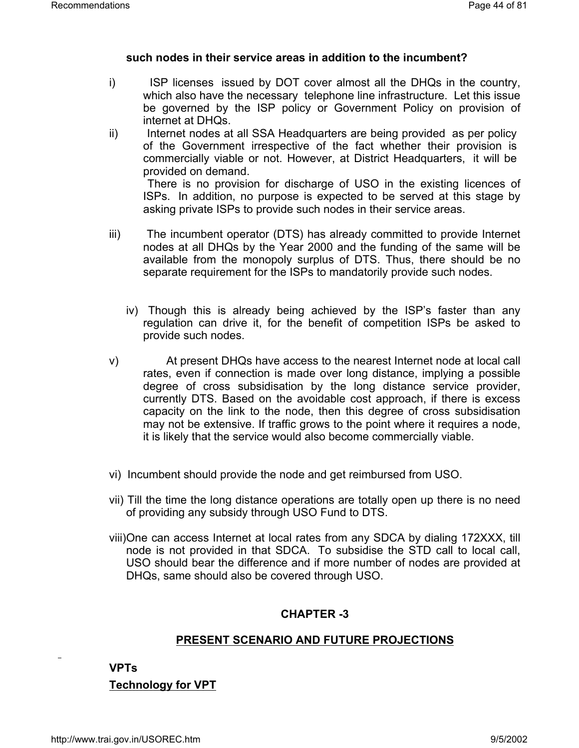#### **such nodes in their service areas in addition to the incumbent?**

- i) ISP licenses issued by DOT cover almost all the DHQs in the country, which also have the necessary telephone line infrastructure. Let this issue be governed by the ISP policy or Government Policy on provision of internet at DHQs.
- ii) Internet nodes at all SSA Headquarters are being provided as per policy of the Government irrespective of the fact whether their provision is commercially viable or not. However, at District Headquarters, it will be provided on demand.

There is no provision for discharge of USO in the existing licences of ISPs. In addition, no purpose is expected to be served at this stage by asking private ISPs to provide such nodes in their service areas.

- iii) The incumbent operator (DTS) has already committed to provide Internet nodes at all DHQs by the Year 2000 and the funding of the same will be available from the monopoly surplus of DTS. Thus, there should be no separate requirement for the ISPs to mandatorily provide such nodes.
	- iv) Though this is already being achieved by the ISP's faster than any regulation can drive it, for the benefit of competition ISPs be asked to provide such nodes.
- v) At present DHQs have access to the nearest Internet node at local call rates, even if connection is made over long distance, implying a possible degree of cross subsidisation by the long distance service provider, currently DTS. Based on the avoidable cost approach, if there is excess capacity on the link to the node, then this degree of cross subsidisation may not be extensive. If traffic grows to the point where it requires a node, it is likely that the service would also become commercially viable.
- vi) Incumbent should provide the node and get reimbursed from USO.
- vii) Till the time the long distance operations are totally open up there is no need of providing any subsidy through USO Fund to DTS.
- viii)One can access Internet at local rates from any SDCA by dialing 172XXX, till node is not provided in that SDCA. To subsidise the STD call to local call, USO should bear the difference and if more number of nodes are provided at DHQs, same should also be covered through USO.

## **CHAPTER -3**

## **PRESENT SCENARIO AND FUTURE PROJECTIONS**

**VPTs** 

**Technology for VPT**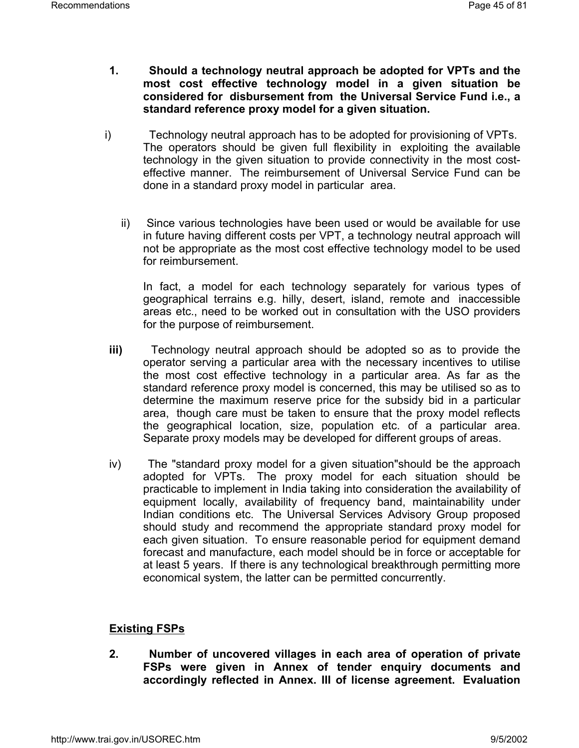- **1. Should a technology neutral approach be adopted for VPTs and the most cost effective technology model in a given situation be considered for disbursement from the Universal Service Fund i.e., a standard reference proxy model for a given situation.**
- i) Technology neutral approach has to be adopted for provisioning of VPTs. The operators should be given full flexibility in exploiting the available technology in the given situation to provide connectivity in the most costeffective manner. The reimbursement of Universal Service Fund can be done in a standard proxy model in particular area.
	- ii) Since various technologies have been used or would be available for use in future having different costs per VPT, a technology neutral approach will not be appropriate as the most cost effective technology model to be used for reimbursement.

In fact, a model for each technology separately for various types of geographical terrains e.g. hilly, desert, island, remote and inaccessible areas etc., need to be worked out in consultation with the USO providers for the purpose of reimbursement.

- **iii)** Technology neutral approach should be adopted so as to provide the operator serving a particular area with the necessary incentives to utilise the most cost effective technology in a particular area. As far as the standard reference proxy model is concerned, this may be utilised so as to determine the maximum reserve price for the subsidy bid in a particular area, though care must be taken to ensure that the proxy model reflects the geographical location, size, population etc. of a particular area. Separate proxy models may be developed for different groups of areas.
- iv) The "standard proxy model for a given situation"should be the approach adopted for VPTs. The proxy model for each situation should be practicable to implement in India taking into consideration the availability of equipment locally, availability of frequency band, maintainability under Indian conditions etc. The Universal Services Advisory Group proposed should study and recommend the appropriate standard proxy model for each given situation. To ensure reasonable period for equipment demand forecast and manufacture, each model should be in force or acceptable for at least 5 years. If there is any technological breakthrough permitting more economical system, the latter can be permitted concurrently.

## **Existing FSPs**

**2. Number of uncovered villages in each area of operation of private FSPs were given in Annex of tender enquiry documents and accordingly reflected in Annex. III of license agreement. Evaluation**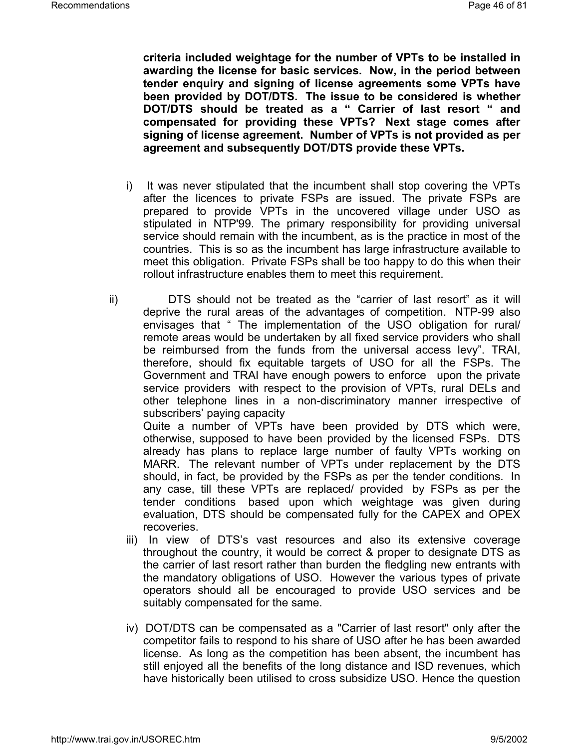**criteria included weightage for the number of VPTs to be installed in awarding the license for basic services. Now, in the period between tender enquiry and signing of license agreements some VPTs have been provided by DOT/DTS. The issue to be considered is whether DOT/DTS should be treated as a " Carrier of last resort " and compensated for providing these VPTs? Next stage comes after signing of license agreement. Number of VPTs is not provided as per agreement and subsequently DOT/DTS provide these VPTs.**

- i) It was never stipulated that the incumbent shall stop covering the VPTs after the licences to private FSPs are issued. The private FSPs are prepared to provide VPTs in the uncovered village under USO as stipulated in NTP'99. The primary responsibility for providing universal service should remain with the incumbent, as is the practice in most of the countries. This is so as the incumbent has large infrastructure available to meet this obligation. Private FSPs shall be too happy to do this when their rollout infrastructure enables them to meet this requirement.
- ii) DTS should not be treated as the "carrier of last resort" as it will deprive the rural areas of the advantages of competition. NTP-99 also envisages that " The implementation of the USO obligation for rural/ remote areas would be undertaken by all fixed service providers who shall be reimbursed from the funds from the universal access levy". TRAI, therefore, should fix equitable targets of USO for all the FSPs. The Government and TRAI have enough powers to enforce upon the private service providers with respect to the provision of VPTs, rural DELs and other telephone lines in a non-discriminatory manner irrespective of subscribers' paying capacity

Quite a number of VPTs have been provided by DTS which were, otherwise, supposed to have been provided by the licensed FSPs. DTS already has plans to replace large number of faulty VPTs working on MARR. The relevant number of VPTs under replacement by the DTS should, in fact, be provided by the FSPs as per the tender conditions. In any case, till these VPTs are replaced/ provided by FSPs as per the tender conditions based upon which weightage was given during evaluation, DTS should be compensated fully for the CAPEX and OPEX recoveries.

- iii) In view of DTS's vast resources and also its extensive coverage throughout the country, it would be correct & proper to designate DTS as the carrier of last resort rather than burden the fledgling new entrants with the mandatory obligations of USO. However the various types of private operators should all be encouraged to provide USO services and be suitably compensated for the same.
- iv) DOT/DTS can be compensated as a "Carrier of last resort" only after the competitor fails to respond to his share of USO after he has been awarded license. As long as the competition has been absent, the incumbent has still enjoyed all the benefits of the long distance and ISD revenues, which have historically been utilised to cross subsidize USO. Hence the question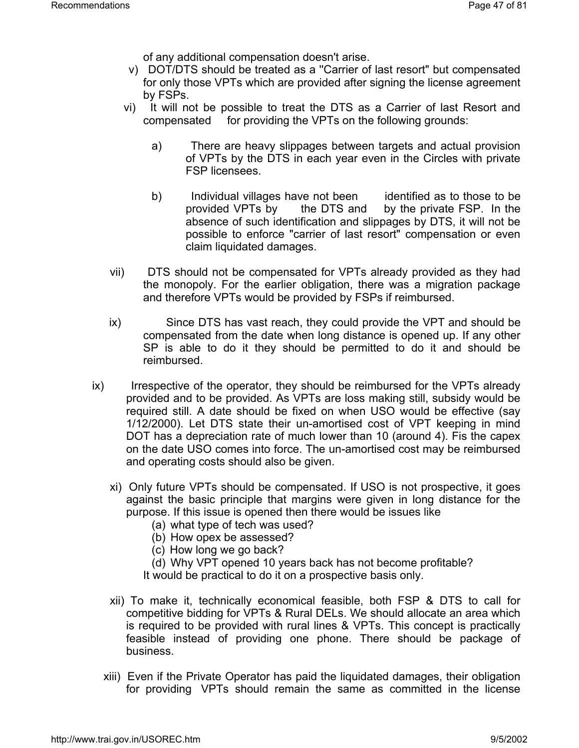of any additional compensation doesn't arise.

- v) DOT/DTS should be treated as a ''Carrier of last resort" but compensated for only those VPTs which are provided after signing the license agreement by FSPs.
- vi) It will not be possible to treat the DTS as a Carrier of last Resort and compensated for providing the VPTs on the following grounds:
	- a) There are heavy slippages between targets and actual provision of VPTs by the DTS in each year even in the Circles with private FSP licensees.
	- b) Individual villages have not been identified as to those to be provided VPTs by the DTS and by the private FSP. In the absence of such identification and slippages by DTS, it will not be possible to enforce "carrier of last resort" compensation or even claim liquidated damages.
- vii) DTS should not be compensated for VPTs already provided as they had the monopoly. For the earlier obligation, there was a migration package and therefore VPTs would be provided by FSPs if reimbursed.
- ix) Since DTS has vast reach, they could provide the VPT and should be compensated from the date when long distance is opened up. If any other SP is able to do it they should be permitted to do it and should be reimbursed.
- ix) Irrespective of the operator, they should be reimbursed for the VPTs already provided and to be provided. As VPTs are loss making still, subsidy would be required still. A date should be fixed on when USO would be effective (say 1/12/2000). Let DTS state their un-amortised cost of VPT keeping in mind DOT has a depreciation rate of much lower than 10 (around 4). Fis the capex on the date USO comes into force. The un-amortised cost may be reimbursed and operating costs should also be given.
	- xi) Only future VPTs should be compensated. If USO is not prospective, it goes against the basic principle that margins were given in long distance for the purpose. If this issue is opened then there would be issues like
		- (a) what type of tech was used?
		- (b) How opex be assessed?
		- (c) How long we go back?
		- (d) Why VPT opened 10 years back has not become profitable?
		- It would be practical to do it on a prospective basis only.
	- xii) To make it, technically economical feasible, both FSP & DTS to call for competitive bidding for VPTs & Rural DELs. We should allocate an area which is required to be provided with rural lines & VPTs. This concept is practically feasible instead of providing one phone. There should be package of business.
	- xiii) Even if the Private Operator has paid the liquidated damages, their obligation for providing VPTs should remain the same as committed in the license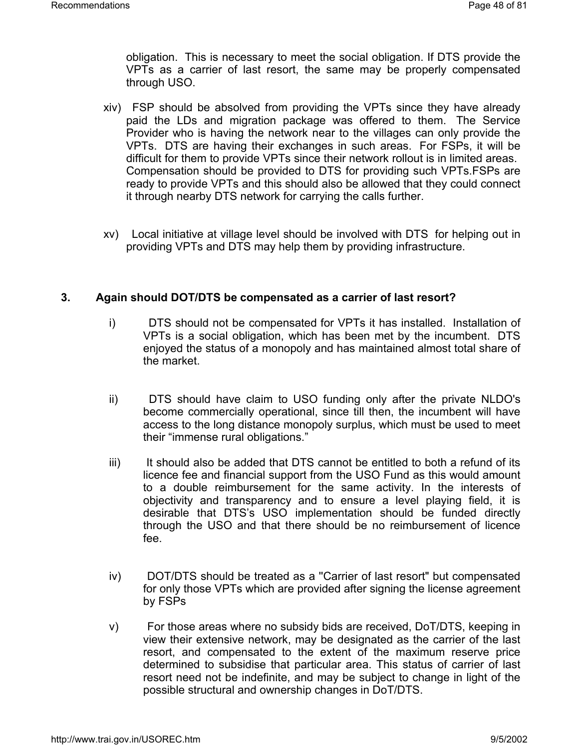obligation. This is necessary to meet the social obligation. If DTS provide the VPTs as a carrier of last resort, the same may be properly compensated through USO.

- xiv) FSP should be absolved from providing the VPTs since they have already paid the LDs and migration package was offered to them. The Service Provider who is having the network near to the villages can only provide the VPTs. DTS are having their exchanges in such areas. For FSPs, it will be difficult for them to provide VPTs since their network rollout is in limited areas. Compensation should be provided to DTS for providing such VPTs.FSPs are ready to provide VPTs and this should also be allowed that they could connect it through nearby DTS network for carrying the calls further.
- xv) Local initiative at village level should be involved with DTS for helping out in providing VPTs and DTS may help them by providing infrastructure.

## **3. Again should DOT/DTS be compensated as a carrier of last resort?**

- i) DTS should not be compensated for VPTs it has installed. Installation of VPTs is a social obligation, which has been met by the incumbent. DTS enjoyed the status of a monopoly and has maintained almost total share of the market.
- ii) DTS should have claim to USO funding only after the private NLDO's become commercially operational, since till then, the incumbent will have access to the long distance monopoly surplus, which must be used to meet their "immense rural obligations."
- iii) It should also be added that DTS cannot be entitled to both a refund of its licence fee and financial support from the USO Fund as this would amount to a double reimbursement for the same activity. In the interests of objectivity and transparency and to ensure a level playing field, it is desirable that DTS's USO implementation should be funded directly through the USO and that there should be no reimbursement of licence fee.
- iv) DOT/DTS should be treated as a ''Carrier of last resort" but compensated for only those VPTs which are provided after signing the license agreement by FSPs
- v) For those areas where no subsidy bids are received, DoT/DTS, keeping in view their extensive network, may be designated as the carrier of the last resort, and compensated to the extent of the maximum reserve price determined to subsidise that particular area. This status of carrier of last resort need not be indefinite, and may be subject to change in light of the possible structural and ownership changes in DoT/DTS.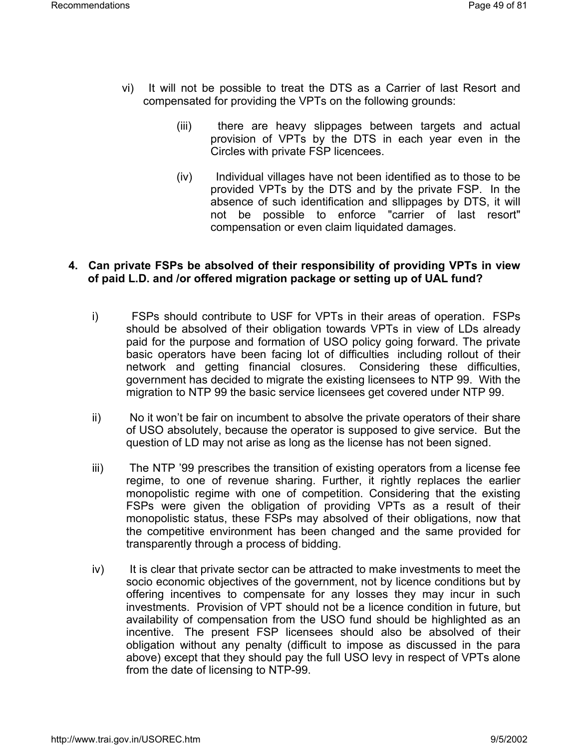- vi) It will not be possible to treat the DTS as a Carrier of last Resort and compensated for providing the VPTs on the following grounds:
	- (iii) there are heavy slippages between targets and actual provision of VPTs by the DTS in each year even in the Circles with private FSP licencees.
	- (iv) Individual villages have not been identified as to those to be provided VPTs by the DTS and by the private FSP. In the absence of such identification and sllippages by DTS, it will not be possible to enforce "carrier of last resort" compensation or even claim liquidated damages.

## **4. Can private FSPs be absolved of their responsibility of providing VPTs in view of paid L.D. and /or offered migration package or setting up of UAL fund?**

- i) FSPs should contribute to USF for VPTs in their areas of operation. FSPs should be absolved of their obligation towards VPTs in view of LDs already paid for the purpose and formation of USO policy going forward. The private basic operators have been facing lot of difficulties including rollout of their network and getting financial closures. Considering these difficulties, government has decided to migrate the existing licensees to NTP 99. With the migration to NTP 99 the basic service licensees get covered under NTP 99.
- ii) No it won't be fair on incumbent to absolve the private operators of their share of USO absolutely, because the operator is supposed to give service. But the question of LD may not arise as long as the license has not been signed.
- iii) The NTP '99 prescribes the transition of existing operators from a license fee regime, to one of revenue sharing. Further, it rightly replaces the earlier monopolistic regime with one of competition. Considering that the existing FSPs were given the obligation of providing VPTs as a result of their monopolistic status, these FSPs may absolved of their obligations, now that the competitive environment has been changed and the same provided for transparently through a process of bidding.
- iv) It is clear that private sector can be attracted to make investments to meet the socio economic objectives of the government, not by licence conditions but by offering incentives to compensate for any losses they may incur in such investments. Provision of VPT should not be a licence condition in future, but availability of compensation from the USO fund should be highlighted as an incentive. The present FSP licensees should also be absolved of their obligation without any penalty (difficult to impose as discussed in the para above) except that they should pay the full USO levy in respect of VPTs alone from the date of licensing to NTP-99.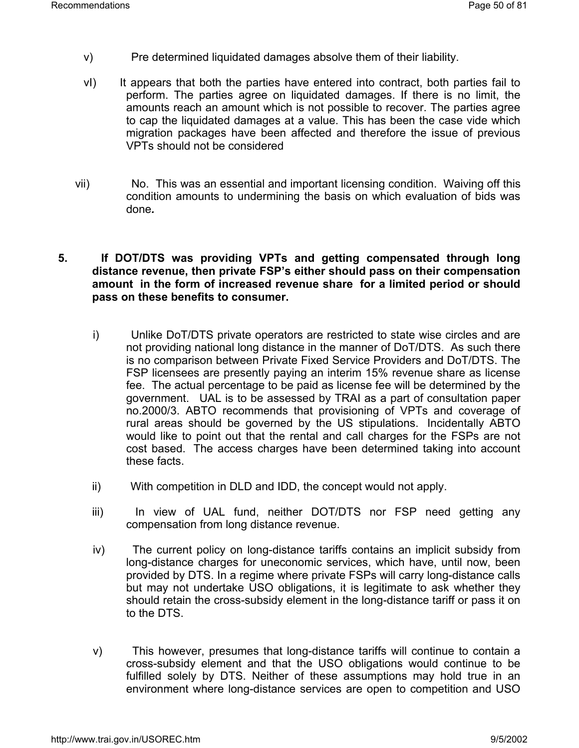- v) Pre determined liquidated damages absolve them of their liability.
- vI) It appears that both the parties have entered into contract, both parties fail to perform. The parties agree on liquidated damages. If there is no limit, the amounts reach an amount which is not possible to recover. The parties agree to cap the liquidated damages at a value. This has been the case vide which migration packages have been affected and therefore the issue of previous VPTs should not be considered
- vii) No. This was an essential and important licensing condition. Waiving off this condition amounts to undermining the basis on which evaluation of bids was done*.*
- **5. If DOT/DTS was providing VPTs and getting compensated through long distance revenue, then private FSP's either should pass on their compensation amount in the form of increased revenue share for a limited period or should pass on these benefits to consumer.**
	- i) Unlike DoT/DTS private operators are restricted to state wise circles and are not providing national long distance in the manner of DoT/DTS. As such there is no comparison between Private Fixed Service Providers and DoT/DTS. The FSP licensees are presently paying an interim 15% revenue share as license fee. The actual percentage to be paid as license fee will be determined by the government. UAL is to be assessed by TRAI as a part of consultation paper no.2000/3. ABTO recommends that provisioning of VPTs and coverage of rural areas should be governed by the US stipulations. Incidentally ABTO would like to point out that the rental and call charges for the FSPs are not cost based. The access charges have been determined taking into account these facts.
	- ii) With competition in DLD and IDD, the concept would not apply.
	- iii) In view of UAL fund, neither DOT/DTS nor FSP need getting any compensation from long distance revenue.
	- iv) The current policy on long-distance tariffs contains an implicit subsidy from long-distance charges for uneconomic services, which have, until now, been provided by DTS. In a regime where private FSPs will carry long-distance calls but may not undertake USO obligations, it is legitimate to ask whether they should retain the cross-subsidy element in the long-distance tariff or pass it on to the DTS.
	- v) This however, presumes that long-distance tariffs will continue to contain a cross-subsidy element and that the USO obligations would continue to be fulfilled solely by DTS. Neither of these assumptions may hold true in an environment where long-distance services are open to competition and USO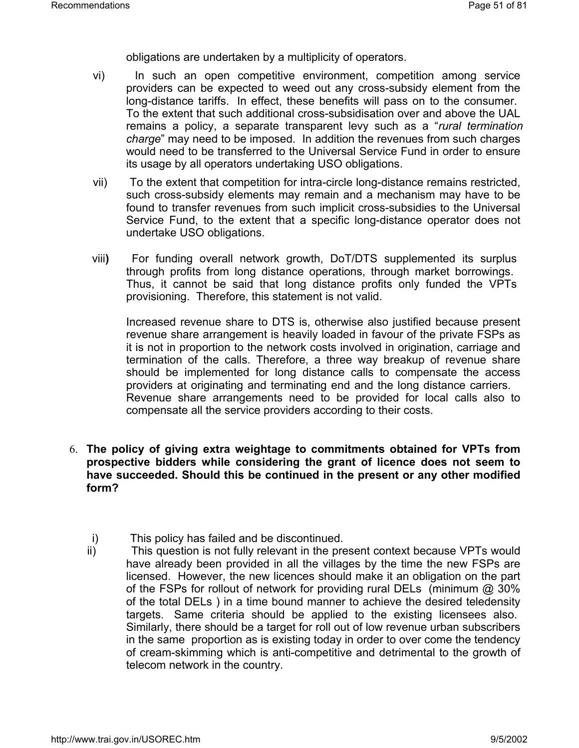obligations are undertaken by a multiplicity of operators.

- vi) In such an open competitive environment, competition among service providers can be expected to weed out any cross-subsidy element from the long-distance tariffs. In effect, these benefits will pass on to the consumer. To the extent that such additional cross-subsidisation over and above the UAL remains a policy, a separate transparent levy such as a "*rural termination charge*" may need to be imposed. In addition the revenues from such charges would need to be transferred to the Universal Service Fund in order to ensure its usage by all operators undertaking USO obligations.
- vii) To the extent that competition for intra-circle long-distance remains restricted, such cross-subsidy elements may remain and a mechanism may have to be found to transfer revenues from such implicit cross-subsidies to the Universal Service Fund, to the extent that a specific long-distance operator does not undertake USO obligations.
- viii**)** For funding overall network growth, DoT/DTS supplemented its surplus through profits from long distance operations, through market borrowings. Thus, it cannot be said that long distance profits only funded the VPTs provisioning. Therefore, this statement is not valid.

Increased revenue share to DTS is, otherwise also justified because present revenue share arrangement is heavily loaded in favour of the private FSPs as it is not in proportion to the network costs involved in origination, carriage and termination of the calls. Therefore, a three way breakup of revenue share should be implemented for long distance calls to compensate the access providers at originating and terminating end and the long distance carriers. Revenue share arrangements need to be provided for local calls also to compensate all the service providers according to their costs.

- 6. **The policy of giving extra weightage to commitments obtained for VPTs from prospective bidders while considering the grant of licence does not seem to have succeeded. Should this be continued in the present or any other modified form?**
	- i) This policy has failed and be discontinued.
	- ii) This question is not fully relevant in the present context because VPTs would have already been provided in all the villages by the time the new FSPs are licensed. However, the new licences should make it an obligation on the part of the FSPs for rollout of network for providing rural DELs (minimum @ 30% of the total DELs ) in a time bound manner to achieve the desired teledensity targets. Same criteria should be applied to the existing licensees also. Similarly, there should be a target for roll out of low revenue urban subscribers in the same proportion as is existing today in order to over come the tendency of cream-skimming which is anti-competitive and detrimental to the growth of telecom network in the country.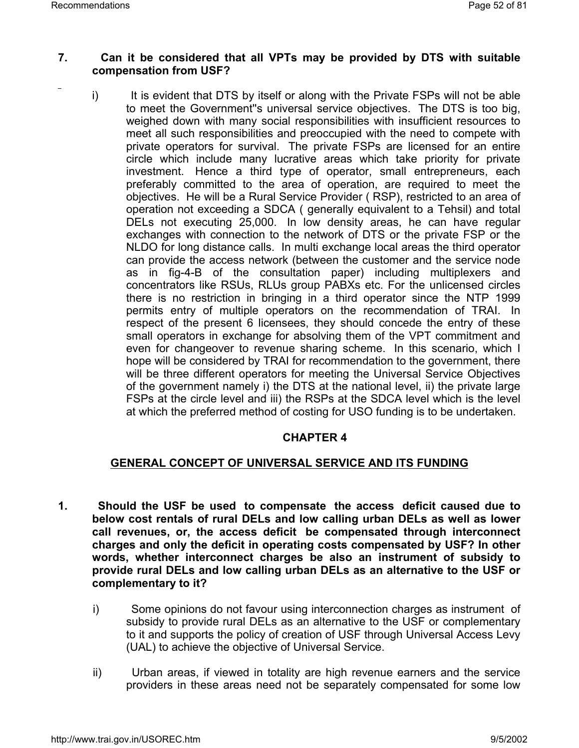## **7. Can it be considered that all VPTs may be provided by DTS with suitable compensation from USF?**

i) It is evident that DTS by itself or along with the Private FSPs will not be able to meet the Government''s universal service objectives. The DTS is too big, weighed down with many social responsibilities with insufficient resources to meet all such responsibilities and preoccupied with the need to compete with private operators for survival. The private FSPs are licensed for an entire circle which include many lucrative areas which take priority for private investment. Hence a third type of operator, small entrepreneurs, each preferably committed to the area of operation, are required to meet the objectives. He will be a Rural Service Provider ( RSP), restricted to an area of operation not exceeding a SDCA ( generally equivalent to a Tehsil) and total DELs not executing 25,000. In low density areas, he can have regular exchanges with connection to the network of DTS or the private FSP or the NLDO for long distance calls. In multi exchange local areas the third operator can provide the access network (between the customer and the service node as in fig-4-B of the consultation paper) including multiplexers and concentrators like RSUs, RLUs group PABXs etc. For the unlicensed circles there is no restriction in bringing in a third operator since the NTP 1999 permits entry of multiple operators on the recommendation of TRAI. In respect of the present 6 licensees, they should concede the entry of these small operators in exchange for absolving them of the VPT commitment and even for changeover to revenue sharing scheme. In this scenario, which I hope will be considered by TRAI for recommendation to the government, there will be three different operators for meeting the Universal Service Objectives of the government namely i) the DTS at the national level, ii) the private large FSPs at the circle level and iii) the RSPs at the SDCA level which is the level at which the preferred method of costing for USO funding is to be undertaken.

## **CHAPTER 4**

## **GENERAL CONCEPT OF UNIVERSAL SERVICE AND ITS FUNDING**

- **1. Should the USF be used to compensate the access deficit caused due to below cost rentals of rural DELs and low calling urban DELs as well as lower call revenues, or, the access deficit be compensated through interconnect charges and only the deficit in operating costs compensated by USF? In other words, whether interconnect charges be also an instrument of subsidy to provide rural DELs and low calling urban DELs as an alternative to the USF or complementary to it?**
	- i) Some opinions do not favour using interconnection charges as instrument of subsidy to provide rural DELs as an alternative to the USF or complementary to it and supports the policy of creation of USF through Universal Access Levy (UAL) to achieve the objective of Universal Service.
	- ii) Urban areas, if viewed in totality are high revenue earners and the service providers in these areas need not be separately compensated for some low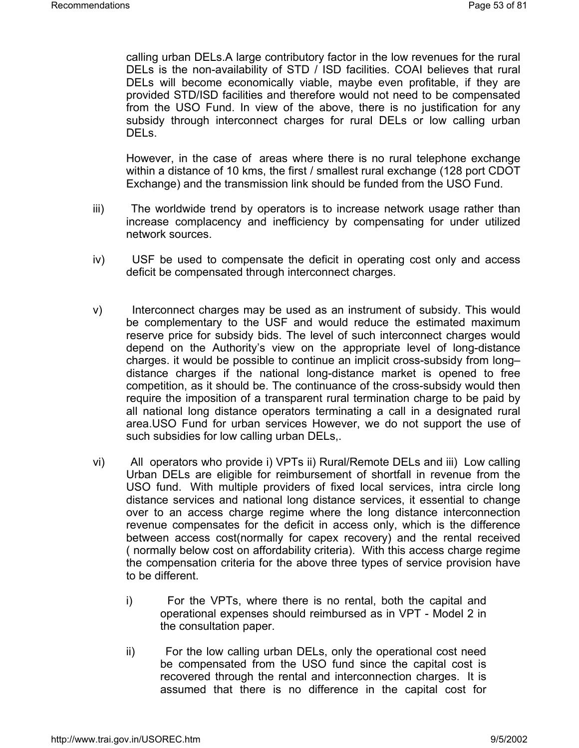calling urban DELs.A large contributory factor in the low revenues for the rural DELs is the non-availability of STD / ISD facilities. COAI believes that rural DELs will become economically viable, maybe even profitable, if they are provided STD/ISD facilities and therefore would not need to be compensated from the USO Fund. In view of the above, there is no justification for any subsidy through interconnect charges for rural DELs or low calling urban DELs.

However, in the case of areas where there is no rural telephone exchange within a distance of 10 kms, the first / smallest rural exchange (128 port CDOT Exchange) and the transmission link should be funded from the USO Fund.

- iii) The worldwide trend by operators is to increase network usage rather than increase complacency and inefficiency by compensating for under utilized network sources.
- iv) USF be used to compensate the deficit in operating cost only and access deficit be compensated through interconnect charges.
- v) Interconnect charges may be used as an instrument of subsidy. This would be complementary to the USF and would reduce the estimated maximum reserve price for subsidy bids. The level of such interconnect charges would depend on the Authority's view on the appropriate level of long-distance charges. it would be possible to continue an implicit cross-subsidy from long– distance charges if the national long-distance market is opened to free competition, as it should be. The continuance of the cross-subsidy would then require the imposition of a transparent rural termination charge to be paid by all national long distance operators terminating a call in a designated rural area.USO Fund for urban services However, we do not support the use of such subsidies for low calling urban DELs,.
- vi) All operators who provide i) VPTs ii) Rural/Remote DELs and iii) Low calling Urban DELs are eligible for reimbursement of shortfall in revenue from the USO fund. With multiple providers of fixed local services, intra circle long distance services and national long distance services, it essential to change over to an access charge regime where the long distance interconnection revenue compensates for the deficit in access only, which is the difference between access cost(normally for capex recovery) and the rental received ( normally below cost on affordability criteria). With this access charge regime the compensation criteria for the above three types of service provision have to be different.
	- i) For the VPTs, where there is no rental, both the capital and operational expenses should reimbursed as in VPT - Model 2 in the consultation paper.
	- ii) For the low calling urban DELs, only the operational cost need be compensated from the USO fund since the capital cost is recovered through the rental and interconnection charges. It is assumed that there is no difference in the capital cost for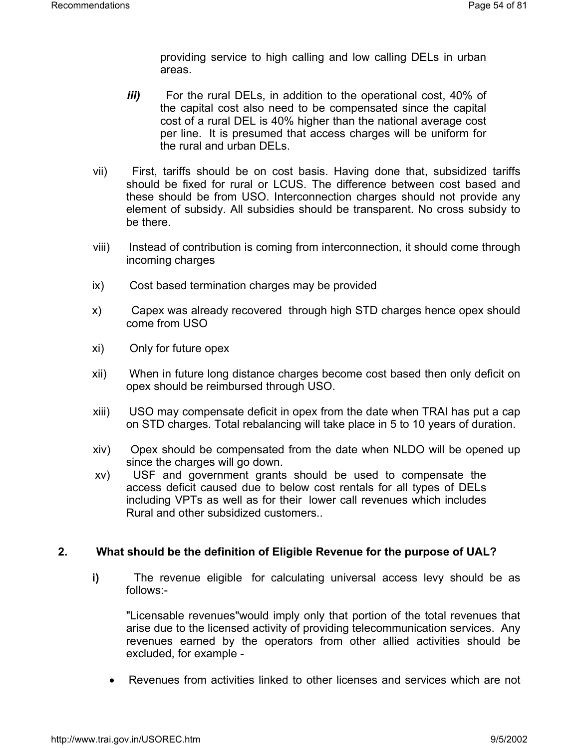providing service to high calling and low calling DELs in urban areas.

- *iii)* For the rural DELs, in addition to the operational cost, 40% of the capital cost also need to be compensated since the capital cost of a rural DEL is 40% higher than the national average cost per line. It is presumed that access charges will be uniform for the rural and urban DELs.
- vii) First, tariffs should be on cost basis. Having done that, subsidized tariffs should be fixed for rural or LCUS. The difference between cost based and these should be from USO. Interconnection charges should not provide any element of subsidy. All subsidies should be transparent. No cross subsidy to be there.
- viii) Instead of contribution is coming from interconnection, it should come through incoming charges
- ix) Cost based termination charges may be provided
- x) Capex was already recovered through high STD charges hence opex should come from USO
- xi) Only for future opex
- xii) When in future long distance charges become cost based then only deficit on opex should be reimbursed through USO.
- xiii) USO may compensate deficit in opex from the date when TRAI has put a cap on STD charges. Total rebalancing will take place in 5 to 10 years of duration.
- xiv) Opex should be compensated from the date when NLDO will be opened up since the charges will go down.
- xv) USF and government grants should be used to compensate the access deficit caused due to below cost rentals for all types of DELs including VPTs as well as for their lower call revenues which includes Rural and other subsidized customers..

## **2. What should be the definition of Eligible Revenue for the purpose of UAL?**

**i)** The revenue eligible for calculating universal access levy should be as follows:-

"Licensable revenues"would imply only that portion of the total revenues that arise due to the licensed activity of providing telecommunication services. Any revenues earned by the operators from other allied activities should be excluded, for example -

• Revenues from activities linked to other licenses and services which are not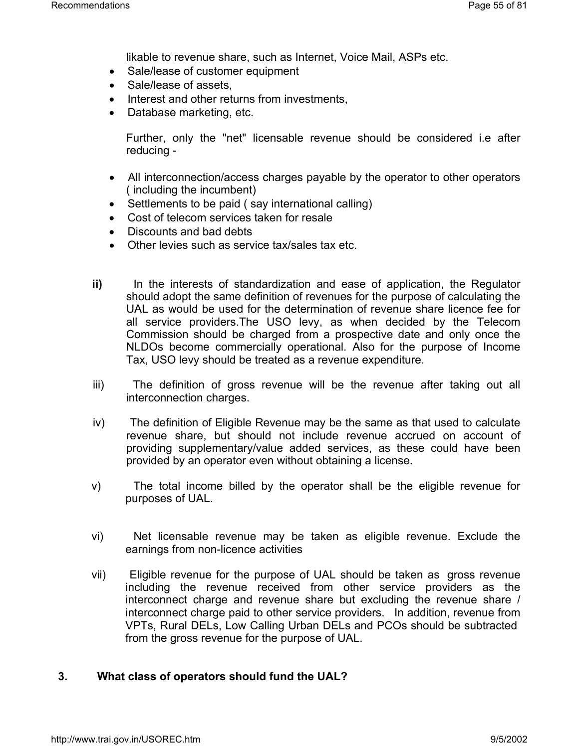likable to revenue share, such as Internet, Voice Mail, ASPs etc.

- Sale/lease of customer equipment
- Sale/lease of assets,
- Interest and other returns from investments,
- Database marketing, etc.

Further, only the "net" licensable revenue should be considered i.e after reducing -

- All interconnection/access charges payable by the operator to other operators ( including the incumbent)
- Settlements to be paid (say international calling)
- Cost of telecom services taken for resale
- Discounts and bad debts
- Other levies such as service tax/sales tax etc.
- **ii)** In the interests of standardization and ease of application, the Regulator should adopt the same definition of revenues for the purpose of calculating the UAL as would be used for the determination of revenue share licence fee for all service providers.The USO levy, as when decided by the Telecom Commission should be charged from a prospective date and only once the NLDOs become commercially operational. Also for the purpose of Income Tax, USO levy should be treated as a revenue expenditure.
- iii) The definition of gross revenue will be the revenue after taking out all interconnection charges.
- iv) The definition of Eligible Revenue may be the same as that used to calculate revenue share, but should not include revenue accrued on account of providing supplementary/value added services, as these could have been provided by an operator even without obtaining a license.
- v) The total income billed by the operator shall be the eligible revenue for purposes of UAL.
- vi) Net licensable revenue may be taken as eligible revenue. Exclude the earnings from non-licence activities
- vii) Eligible revenue for the purpose of UAL should be taken as gross revenue including the revenue received from other service providers as the interconnect charge and revenue share but excluding the revenue share / interconnect charge paid to other service providers. In addition, revenue from VPTs, Rural DELs, Low Calling Urban DELs and PCOs should be subtracted from the gross revenue for the purpose of UAL.

## **3. What class of operators should fund the UAL?**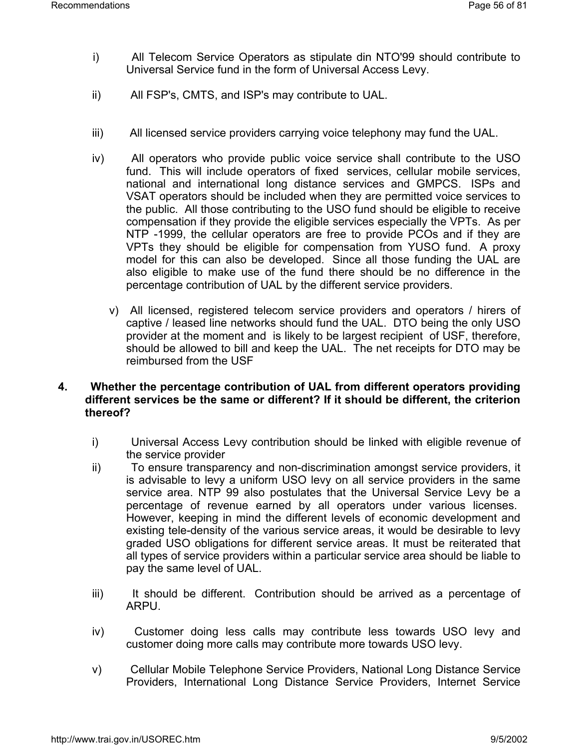- i) All Telecom Service Operators as stipulate din NTO'99 should contribute to Universal Service fund in the form of Universal Access Levy.
- ii) All FSP's, CMTS, and ISP's may contribute to UAL.
- iii) All licensed service providers carrying voice telephony may fund the UAL.
- iv) All operators who provide public voice service shall contribute to the USO fund. This will include operators of fixed services, cellular mobile services, national and international long distance services and GMPCS. ISPs and VSAT operators should be included when they are permitted voice services to the public. All those contributing to the USO fund should be eligible to receive compensation if they provide the eligible services especially the VPTs. As per NTP -1999, the cellular operators are free to provide PCOs and if they are VPTs they should be eligible for compensation from YUSO fund. A proxy model for this can also be developed. Since all those funding the UAL are also eligible to make use of the fund there should be no difference in the percentage contribution of UAL by the different service providers.
	- v) All licensed, registered telecom service providers and operators / hirers of captive / leased line networks should fund the UAL. DTO being the only USO provider at the moment and is likely to be largest recipient of USF, therefore, should be allowed to bill and keep the UAL. The net receipts for DTO may be reimbursed from the USF

## **4. Whether the percentage contribution of UAL from different operators providing different services be the same or different? If it should be different, the criterion thereof?**

- i) Universal Access Levy contribution should be linked with eligible revenue of the service provider
- ii) To ensure transparency and non-discrimination amongst service providers, it is advisable to levy a uniform USO levy on all service providers in the same service area. NTP 99 also postulates that the Universal Service Levy be a percentage of revenue earned by all operators under various licenses. However, keeping in mind the different levels of economic development and existing tele-density of the various service areas, it would be desirable to levy graded USO obligations for different service areas. It must be reiterated that all types of service providers within a particular service area should be liable to pay the same level of UAL.
- iii) It should be different. Contribution should be arrived as a percentage of ARPU.
- iv) Customer doing less calls may contribute less towards USO levy and customer doing more calls may contribute more towards USO levy.
- v) Cellular Mobile Telephone Service Providers, National Long Distance Service Providers, International Long Distance Service Providers, Internet Service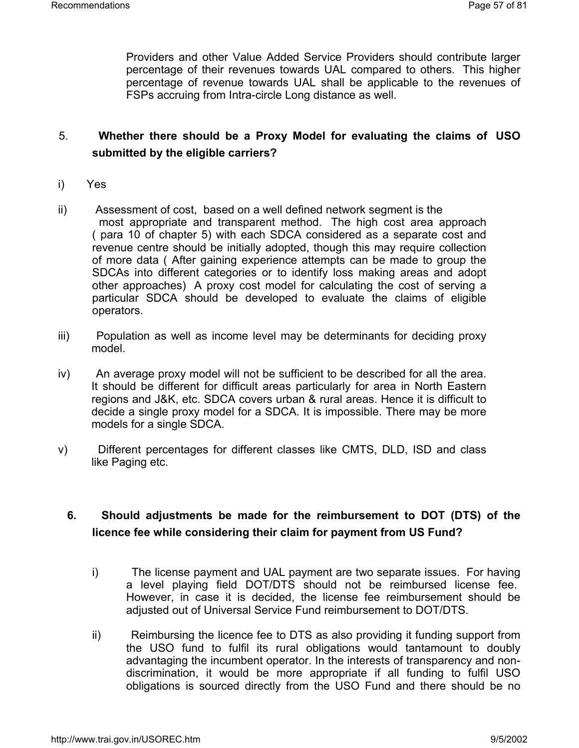Providers and other Value Added Service Providers should contribute larger percentage of their revenues towards UAL compared to others. This higher percentage of revenue towards UAL shall be applicable to the revenues of FSPs accruing from Intra-circle Long distance as well.

## 5. **Whether there should be a Proxy Model for evaluating the claims of USO submitted by the eligible carriers?**

- i) Yes
- ii) Assessment of cost, based on a well defined network segment is the most appropriate and transparent method. The high cost area approach ( para 10 of chapter 5) with each SDCA considered as a separate cost and revenue centre should be initially adopted, though this may require collection of more data ( After gaining experience attempts can be made to group the SDCAs into different categories or to identify loss making areas and adopt other approaches) A proxy cost model for calculating the cost of serving a particular SDCA should be developed to evaluate the claims of eligible operators.
- iii) Population as well as income level may be determinants for deciding proxy model.
- iv) An average proxy model will not be sufficient to be described for all the area. It should be different for difficult areas particularly for area in North Eastern regions and J&K, etc. SDCA covers urban & rural areas. Hence it is difficult to decide a single proxy model for a SDCA. It is impossible. There may be more models for a single SDCA.
- v) Different percentages for different classes like CMTS, DLD, ISD and class like Paging etc.

## **6. Should adjustments be made for the reimbursement to DOT (DTS) of the licence fee while considering their claim for payment from US Fund?**

- i) The license payment and UAL payment are two separate issues. For having a level playing field DOT/DTS should not be reimbursed license fee. However, in case it is decided, the license fee reimbursement should be adjusted out of Universal Service Fund reimbursement to DOT/DTS.
- ii) Reimbursing the licence fee to DTS as also providing it funding support from the USO fund to fulfil its rural obligations would tantamount to doubly advantaging the incumbent operator. In the interests of transparency and nondiscrimination, it would be more appropriate if all funding to fulfil USO obligations is sourced directly from the USO Fund and there should be no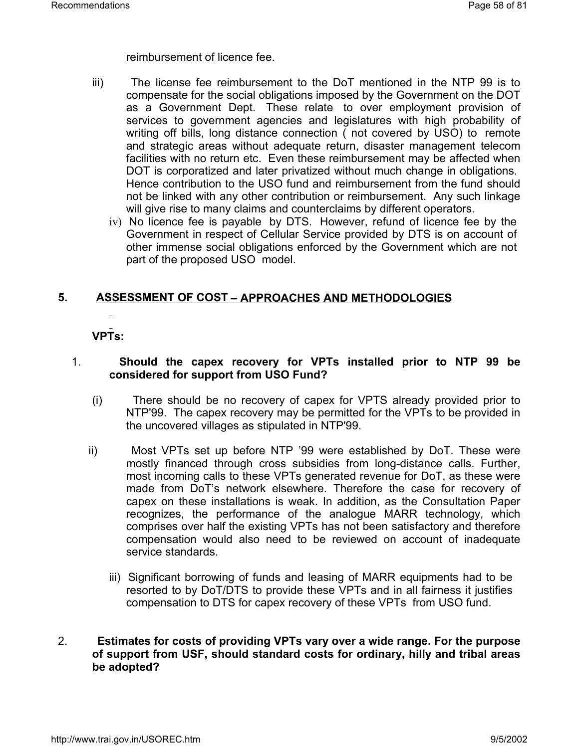reimbursement of licence fee.

- iii) The license fee reimbursement to the DoT mentioned in the NTP 99 is to compensate for the social obligations imposed by the Government on the DOT as a Government Dept. These relate to over employment provision of services to government agencies and legislatures with high probability of writing off bills, long distance connection ( not covered by USO) to remote and strategic areas without adequate return, disaster management telecom facilities with no return etc. Even these reimbursement may be affected when DOT is corporatized and later privatized without much change in obligations. Hence contribution to the USO fund and reimbursement from the fund should not be linked with any other contribution or reimbursement. Any such linkage will give rise to many claims and counterclaims by different operators.
	- iv)No licence fee is payable by DTS. However, refund of licence fee by the Government in respect of Cellular Service provided by DTS is on account of other immense social obligations enforced by the Government which are not part of the proposed USO model.

## **5. ASSESSMENT OF COST – APPROACHES AND METHODOLOGIES**

## **VPTs:**

## 1. **Should the capex recovery for VPTs installed prior to NTP 99 be considered for support from USO Fund?**

- (i) There should be no recovery of capex for VPTS already provided prior to NTP'99. The capex recovery may be permitted for the VPTs to be provided in the uncovered villages as stipulated in NTP'99.
- ii) Most VPTs set up before NTP '99 were established by DoT. These were mostly financed through cross subsidies from long-distance calls. Further, most incoming calls to these VPTs generated revenue for DoT, as these were made from DoT's network elsewhere. Therefore the case for recovery of capex on these installations is weak. In addition, as the Consultation Paper recognizes, the performance of the analogue MARR technology, which comprises over half the existing VPTs has not been satisfactory and therefore compensation would also need to be reviewed on account of inadequate service standards.
	- iii) Significant borrowing of funds and leasing of MARR equipments had to be resorted to by DoT/DTS to provide these VPTs and in all fairness it justifies compensation to DTS for capex recovery of these VPTs from USO fund.

## 2. **Estimates for costs of providing VPTs vary over a wide range. For the purpose of support from USF, should standard costs for ordinary, hilly and tribal areas be adopted?**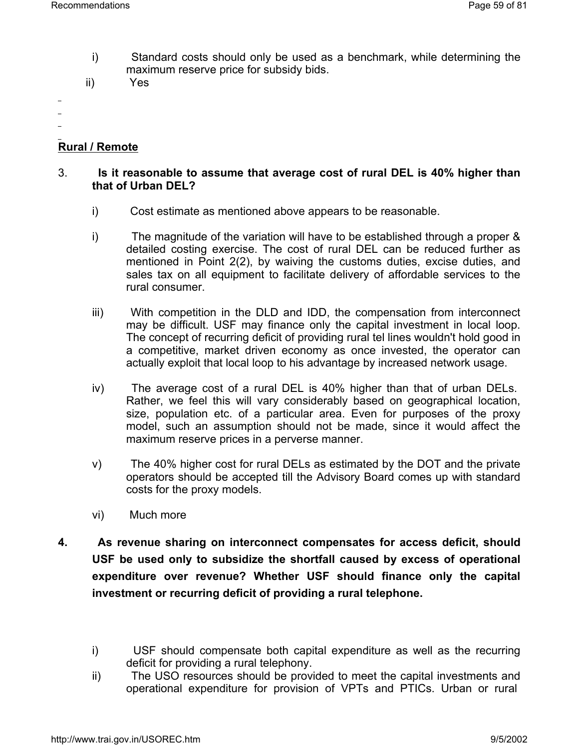- i) Standard costs should only be used as a benchmark, while determining the maximum reserve price for subsidy bids.
- ii) Yes
- 
- 

## **Rural / Remote**

## 3. **Is it reasonable to assume that average cost of rural DEL is 40% higher than that of Urban DEL?**

- i) Cost estimate as mentioned above appears to be reasonable.
- i) The magnitude of the variation will have to be established through a proper & detailed costing exercise. The cost of rural DEL can be reduced further as mentioned in Point 2(2), by waiving the customs duties, excise duties, and sales tax on all equipment to facilitate delivery of affordable services to the rural consumer.
- iii) With competition in the DLD and IDD, the compensation from interconnect may be difficult. USF may finance only the capital investment in local loop. The concept of recurring deficit of providing rural tel lines wouldn't hold good in a competitive, market driven economy as once invested, the operator can actually exploit that local loop to his advantage by increased network usage.
- iv) The average cost of a rural DEL is 40% higher than that of urban DELs. Rather, we feel this will vary considerably based on geographical location, size, population etc. of a particular area. Even for purposes of the proxy model, such an assumption should not be made, since it would affect the maximum reserve prices in a perverse manner.
- v) The 40% higher cost for rural DELs as estimated by the DOT and the private operators should be accepted till the Advisory Board comes up with standard costs for the proxy models.
- vi) Much more
- **4. As revenue sharing on interconnect compensates for access deficit, should USF be used only to subsidize the shortfall caused by excess of operational expenditure over revenue? Whether USF should finance only the capital investment or recurring deficit of providing a rural telephone.**

ii) The USO resources should be provided to meet the capital investments and operational expenditure for provision of VPTs and PTICs. Urban or rural

i) USF should compensate both capital expenditure as well as the recurring deficit for providing a rural telephony.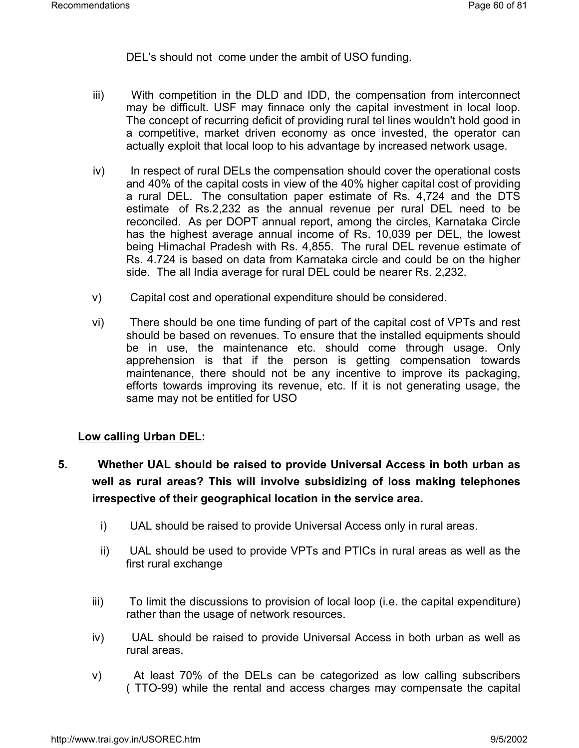DEL's should not come under the ambit of USO funding.

- iii) With competition in the DLD and IDD, the compensation from interconnect may be difficult. USF may finnace only the capital investment in local loop. The concept of recurring deficit of providing rural tel lines wouldn't hold good in a competitive, market driven economy as once invested, the operator can actually exploit that local loop to his advantage by increased network usage.
- iv) In respect of rural DELs the compensation should cover the operational costs and 40% of the capital costs in view of the 40% higher capital cost of providing a rural DEL. The consultation paper estimate of Rs. 4,724 and the DTS estimate of Rs.2,232 as the annual revenue per rural DEL need to be reconciled. As per DOPT annual report, among the circles, Karnataka Circle has the highest average annual income of Rs. 10,039 per DEL, the lowest being Himachal Pradesh with Rs. 4,855. The rural DEL revenue estimate of Rs. 4.724 is based on data from Karnataka circle and could be on the higher side. The all India average for rural DEL could be nearer Rs. 2,232.
- v) Capital cost and operational expenditure should be considered.
- vi) There should be one time funding of part of the capital cost of VPTs and rest should be based on revenues. To ensure that the installed equipments should be in use, the maintenance etc. should come through usage. Only apprehension is that if the person is getting compensation towards maintenance, there should not be any incentive to improve its packaging, efforts towards improving its revenue, etc. If it is not generating usage, the same may not be entitled for USO

## **Low calling Urban DEL:**

- **5. Whether UAL should be raised to provide Universal Access in both urban as well as rural areas? This will involve subsidizing of loss making telephones irrespective of their geographical location in the service area.**
	- i) UAL should be raised to provide Universal Access only in rural areas.
	- ii) UAL should be used to provide VPTs and PTICs in rural areas as well as the first rural exchange
	- iii) To limit the discussions to provision of local loop (i.e. the capital expenditure) rather than the usage of network resources.
	- iv) UAL should be raised to provide Universal Access in both urban as well as rural areas.
	- v) At least 70% of the DELs can be categorized as low calling subscribers ( TTO-99) while the rental and access charges may compensate the capital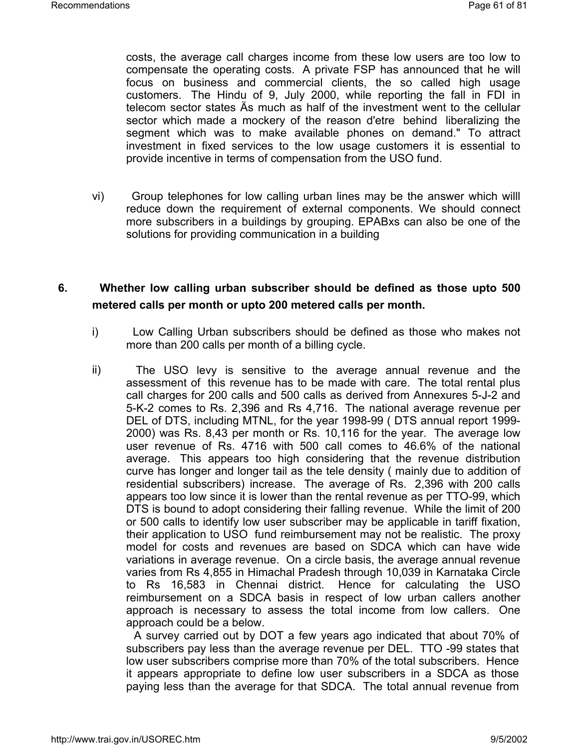costs, the average call charges income from these low users are too low to compensate the operating costs. A private FSP has announced that he will focus on business and commercial clients, the so called high usage customers. The Hindu of 9, July 2000, while reporting the fall in FDI in telecom sector states Äs much as half of the investment went to the cellular sector which made a mockery of the reason d'etre behind liberalizing the segment which was to make available phones on demand." To attract investment in fixed services to the low usage customers it is essential to provide incentive in terms of compensation from the USO fund.

vi) Group telephones for low calling urban lines may be the answer which willl reduce down the requirement of external components. We should connect more subscribers in a buildings by grouping. EPABxs can also be one of the solutions for providing communication in a building

## **6. Whether low calling urban subscriber should be defined as those upto 500 metered calls per month or upto 200 metered calls per month.**

- i) Low Calling Urban subscribers should be defined as those who makes not more than 200 calls per month of a billing cycle.
- ii) The USO levy is sensitive to the average annual revenue and the assessment of this revenue has to be made with care. The total rental plus call charges for 200 calls and 500 calls as derived from Annexures 5-J-2 and 5-K-2 comes to Rs. 2,396 and Rs 4,716. The national average revenue per DEL of DTS, including MTNL, for the year 1998-99 ( DTS annual report 1999- 2000) was Rs. 8,43 per month or Rs. 10,116 for the year. The average low user revenue of Rs. 4716 with 500 call comes to 46.6% of the national average. This appears too high considering that the revenue distribution curve has longer and longer tail as the tele density ( mainly due to addition of residential subscribers) increase. The average of Rs. 2,396 with 200 calls appears too low since it is lower than the rental revenue as per TTO-99, which DTS is bound to adopt considering their falling revenue. While the limit of 200 or 500 calls to identify low user subscriber may be applicable in tariff fixation, their application to USO fund reimbursement may not be realistic. The proxy model for costs and revenues are based on SDCA which can have wide variations in average revenue. On a circle basis, the average annual revenue varies from Rs 4,855 in Himachal Pradesh through 10,039 in Karnataka Circle to Rs 16,583 in Chennai district. Hence for calculating the USO reimbursement on a SDCA basis in respect of low urban callers another approach is necessary to assess the total income from low callers. One approach could be a below.

A survey carried out by DOT a few years ago indicated that about 70% of subscribers pay less than the average revenue per DEL. TTO -99 states that low user subscribers comprise more than 70% of the total subscribers. Hence it appears appropriate to define low user subscribers in a SDCA as those paying less than the average for that SDCA. The total annual revenue from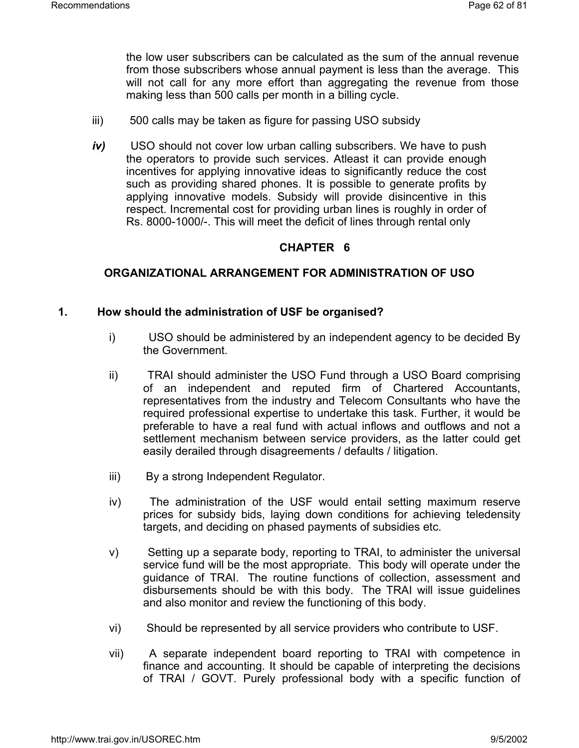the low user subscribers can be calculated as the sum of the annual revenue from those subscribers whose annual payment is less than the average. This will not call for any more effort than aggregating the revenue from those making less than 500 calls per month in a billing cycle.

- iii) 500 calls may be taken as figure for passing USO subsidy
- *iv)* USO should not cover low urban calling subscribers. We have to push the operators to provide such services. Atleast it can provide enough incentives for applying innovative ideas to significantly reduce the cost such as providing shared phones. It is possible to generate profits by applying innovative models. Subsidy will provide disincentive in this respect. Incremental cost for providing urban lines is roughly in order of Rs. 8000-1000/-. This will meet the deficit of lines through rental only

#### **CHAPTER 6**

## **ORGANIZATIONAL ARRANGEMENT FOR ADMINISTRATION OF USO**

#### **1. How should the administration of USF be organised?**

- i) USO should be administered by an independent agency to be decided By the Government.
- ii) TRAI should administer the USO Fund through a USO Board comprising of an independent and reputed firm of Chartered Accountants, representatives from the industry and Telecom Consultants who have the required professional expertise to undertake this task. Further, it would be preferable to have a real fund with actual inflows and outflows and not a settlement mechanism between service providers, as the latter could get easily derailed through disagreements / defaults / litigation.
- iii) By a strong Independent Regulator.
- iv) The administration of the USF would entail setting maximum reserve prices for subsidy bids, laying down conditions for achieving teledensity targets, and deciding on phased payments of subsidies etc.
- v) Setting up a separate body, reporting to TRAI, to administer the universal service fund will be the most appropriate. This body will operate under the guidance of TRAI. The routine functions of collection, assessment and disbursements should be with this body. The TRAI will issue guidelines and also monitor and review the functioning of this body.
- vi) Should be represented by all service providers who contribute to USF.
- vii) A separate independent board reporting to TRAI with competence in finance and accounting. It should be capable of interpreting the decisions of TRAI / GOVT. Purely professional body with a specific function of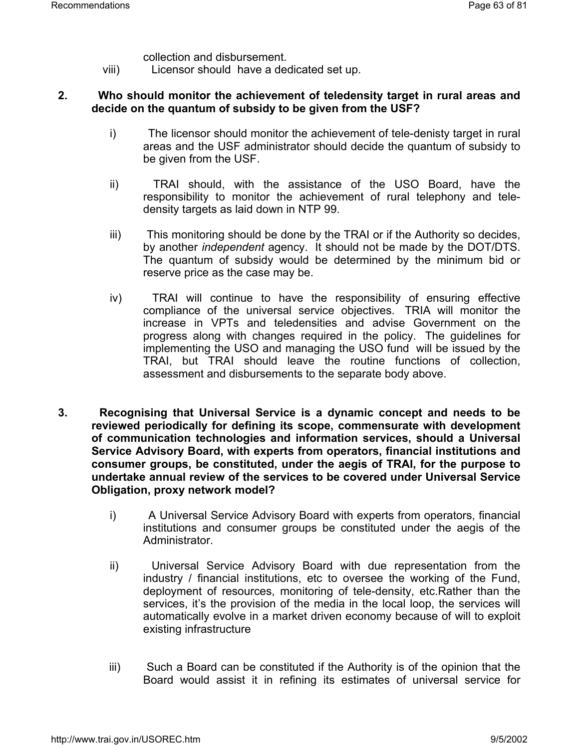- collection and disbursement.
- viii) Licensor should have a dedicated set up.

## **2. Who should monitor the achievement of teledensity target in rural areas and decide on the quantum of subsidy to be given from the USF?**

- i) The licensor should monitor the achievement of tele-denisty target in rural areas and the USF administrator should decide the quantum of subsidy to be given from the USF.
- ii) TRAI should, with the assistance of the USO Board, have the responsibility to monitor the achievement of rural telephony and teledensity targets as laid down in NTP 99.
- iii) This monitoring should be done by the TRAI or if the Authority so decides, by another *independent* agency. It should not be made by the DOT/DTS. The quantum of subsidy would be determined by the minimum bid or reserve price as the case may be.
- iv) TRAI will continue to have the responsibility of ensuring effective compliance of the universal service objectives. TRIA will monitor the increase in VPTs and teledensities and advise Government on the progress along with changes required in the policy. The guidelines for implementing the USO and managing the USO fund will be issued by the TRAI, but TRAI should leave the routine functions of collection, assessment and disbursements to the separate body above.
- **3. Recognising that Universal Service is a dynamic concept and needs to be reviewed periodically for defining its scope, commensurate with development of communication technologies and information services, should a Universal Service Advisory Board, with experts from operators, financial institutions and consumer groups, be constituted, under the aegis of TRAI, for the purpose to undertake annual review of the services to be covered under Universal Service Obligation, proxy network model?**
	- i) A Universal Service Advisory Board with experts from operators, financial institutions and consumer groups be constituted under the aegis of the Administrator.
	- ii) Universal Service Advisory Board with due representation from the industry / financial institutions, etc to oversee the working of the Fund, deployment of resources, monitoring of tele-density, etc.Rather than the services, it's the provision of the media in the local loop, the services will automatically evolve in a market driven economy because of will to exploit existing infrastructure
	- iii) Such a Board can be constituted if the Authority is of the opinion that the Board would assist it in refining its estimates of universal service for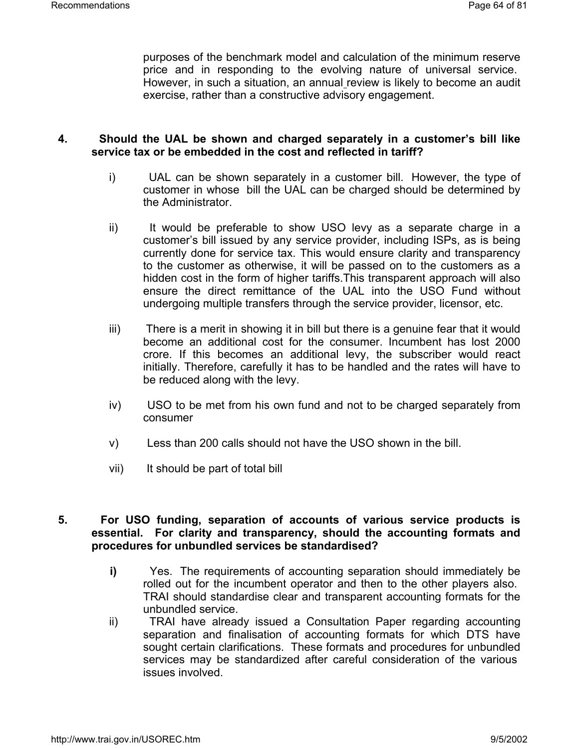purposes of the benchmark model and calculation of the minimum reserve price and in responding to the evolving nature of universal service. However, in such a situation, an annual review is likely to become an audit exercise, rather than a constructive advisory engagement.

## **4. Should the UAL be shown and charged separately in a customer's bill like service tax or be embedded in the cost and reflected in tariff?**

- i) UAL can be shown separately in a customer bill. However, the type of customer in whose bill the UAL can be charged should be determined by the Administrator.
- ii) It would be preferable to show USO levy as a separate charge in a customer's bill issued by any service provider, including ISPs, as is being currently done for service tax. This would ensure clarity and transparency to the customer as otherwise, it will be passed on to the customers as a hidden cost in the form of higher tariffs.This transparent approach will also ensure the direct remittance of the UAL into the USO Fund without undergoing multiple transfers through the service provider, licensor, etc.
- iii) There is a merit in showing it in bill but there is a genuine fear that it would become an additional cost for the consumer. Incumbent has lost 2000 crore. If this becomes an additional levy, the subscriber would react initially. Therefore, carefully it has to be handled and the rates will have to be reduced along with the levy.
- iv) USO to be met from his own fund and not to be charged separately from consumer
- v) Less than 200 calls should not have the USO shown in the bill.
- vii) It should be part of total bill

## **5. For USO funding, separation of accounts of various service products is essential. For clarity and transparency, should the accounting formats and procedures for unbundled services be standardised?**

- **i)** Yes. The requirements of accounting separation should immediately be rolled out for the incumbent operator and then to the other players also. TRAI should standardise clear and transparent accounting formats for the unbundled service.
- ii) TRAI have already issued a Consultation Paper regarding accounting separation and finalisation of accounting formats for which DTS have sought certain clarifications. These formats and procedures for unbundled services may be standardized after careful consideration of the various issues involved.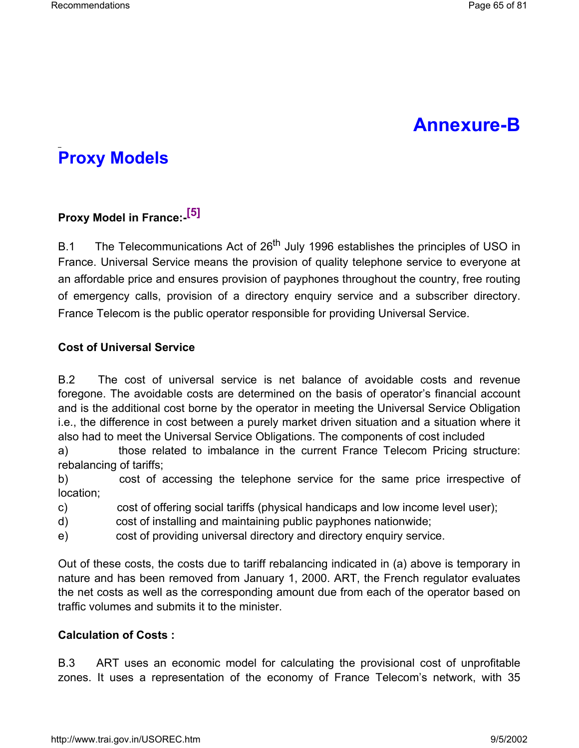# **Annexure-B**

# **Proxy Models**

# **Proxy Model in France:-[5]**

B.1 The Telecommunications Act of 26<sup>th</sup> July 1996 establishes the principles of USO in France. Universal Service means the provision of quality telephone service to everyone at an affordable price and ensures provision of payphones throughout the country, free routing of emergency calls, provision of a directory enquiry service and a subscriber directory. France Telecom is the public operator responsible for providing Universal Service.

## **Cost of Universal Service**

B.2 The cost of universal service is net balance of avoidable costs and revenue foregone. The avoidable costs are determined on the basis of operator's financial account and is the additional cost borne by the operator in meeting the Universal Service Obligation i.e., the difference in cost between a purely market driven situation and a situation where it also had to meet the Universal Service Obligations. The components of cost included

a) those related to imbalance in the current France Telecom Pricing structure: rebalancing of tariffs;

b) cost of accessing the telephone service for the same price irrespective of location;

- c) cost of offering social tariffs (physical handicaps and low income level user);
- d) cost of installing and maintaining public payphones nationwide;
- e) cost of providing universal directory and directory enquiry service.

Out of these costs, the costs due to tariff rebalancing indicated in (a) above is temporary in nature and has been removed from January 1, 2000. ART, the French regulator evaluates the net costs as well as the corresponding amount due from each of the operator based on traffic volumes and submits it to the minister.

## **Calculation of Costs :**

B.3 ART uses an economic model for calculating the provisional cost of unprofitable zones. It uses a representation of the economy of France Telecom's network, with 35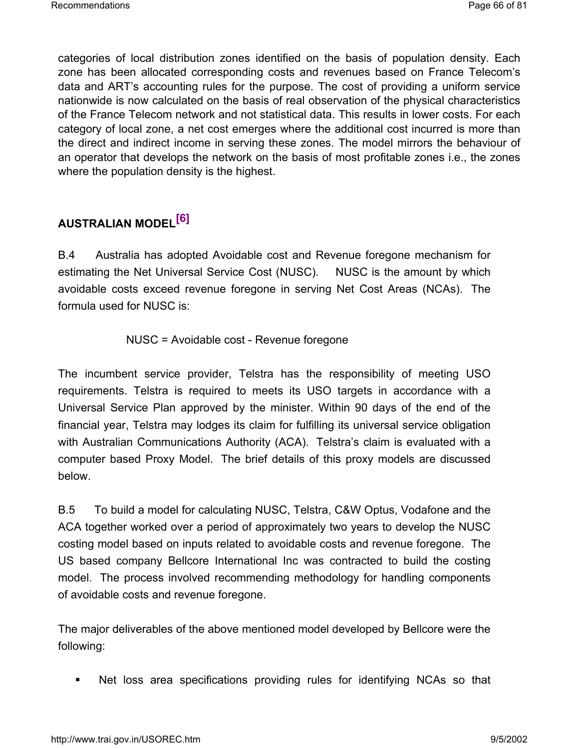categories of local distribution zones identified on the basis of population density. Each zone has been allocated corresponding costs and revenues based on France Telecom's data and ART's accounting rules for the purpose. The cost of providing a uniform service nationwide is now calculated on the basis of real observation of the physical characteristics of the France Telecom network and not statistical data. This results in lower costs. For each category of local zone, a net cost emerges where the additional cost incurred is more than the direct and indirect income in serving these zones. The model mirrors the behaviour of an operator that develops the network on the basis of most profitable zones i.e., the zones where the population density is the highest.

# **AUSTRALIAN MODEL[6]**

B.4 Australia has adopted Avoidable cost and Revenue foregone mechanism for estimating the Net Universal Service Cost (NUSC). NUSC is the amount by which avoidable costs exceed revenue foregone in serving Net Cost Areas (NCAs). The formula used for NUSC is:

NUSC = Avoidable cost - Revenue foregone

The incumbent service provider, Telstra has the responsibility of meeting USO requirements. Telstra is required to meets its USO targets in accordance with a Universal Service Plan approved by the minister. Within 90 days of the end of the financial year, Telstra may lodges its claim for fulfilling its universal service obligation with Australian Communications Authority (ACA). Telstra's claim is evaluated with a computer based Proxy Model. The brief details of this proxy models are discussed below.

B.5 To build a model for calculating NUSC, Telstra, C&W Optus, Vodafone and the ACA together worked over a period of approximately two years to develop the NUSC costing model based on inputs related to avoidable costs and revenue foregone. The US based company Bellcore International Inc was contracted to build the costing model. The process involved recommending methodology for handling components of avoidable costs and revenue foregone.

The major deliverables of the above mentioned model developed by Bellcore were the following:

Net loss area specifications providing rules for identifying NCAs so that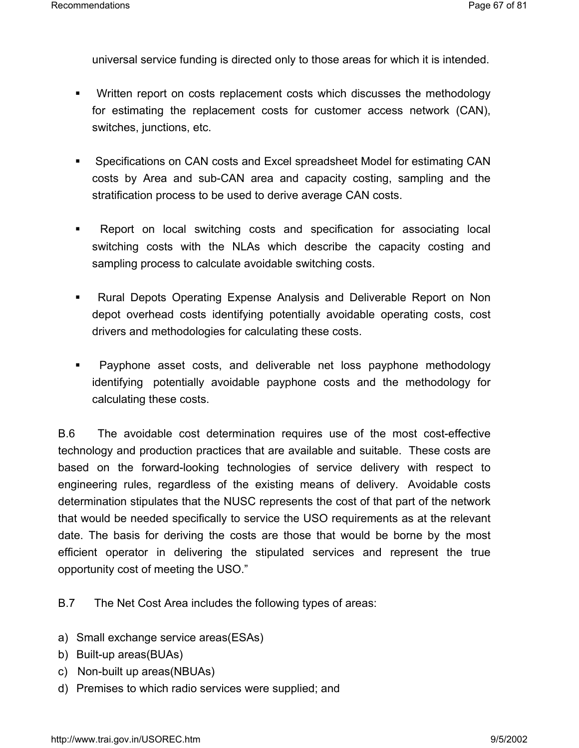universal service funding is directed only to those areas for which it is intended.

- **Written report on costs replacement costs which discusses the methodology** for estimating the replacement costs for customer access network (CAN), switches, junctions, etc.
- Specifications on CAN costs and Excel spreadsheet Model for estimating CAN costs by Area and sub-CAN area and capacity costing, sampling and the stratification process to be used to derive average CAN costs.
- Report on local switching costs and specification for associating local switching costs with the NLAs which describe the capacity costing and sampling process to calculate avoidable switching costs.
- Rural Depots Operating Expense Analysis and Deliverable Report on Non depot overhead costs identifying potentially avoidable operating costs, cost drivers and methodologies for calculating these costs.
- **Payphone asset costs, and deliverable net loss payphone methodology** identifying potentially avoidable payphone costs and the methodology for calculating these costs.

B.6 The avoidable cost determination requires use of the most cost-effective technology and production practices that are available and suitable. These costs are based on the forward-looking technologies of service delivery with respect to engineering rules, regardless of the existing means of delivery. Avoidable costs determination stipulates that the NUSC represents the cost of that part of the network that would be needed specifically to service the USO requirements as at the relevant date. The basis for deriving the costs are those that would be borne by the most efficient operator in delivering the stipulated services and represent the true opportunity cost of meeting the USO."

B.7 The Net Cost Area includes the following types of areas:

- a) Small exchange service areas(ESAs)
- b) Built-up areas(BUAs)
- c) Non-built up areas(NBUAs)
- d) Premises to which radio services were supplied; and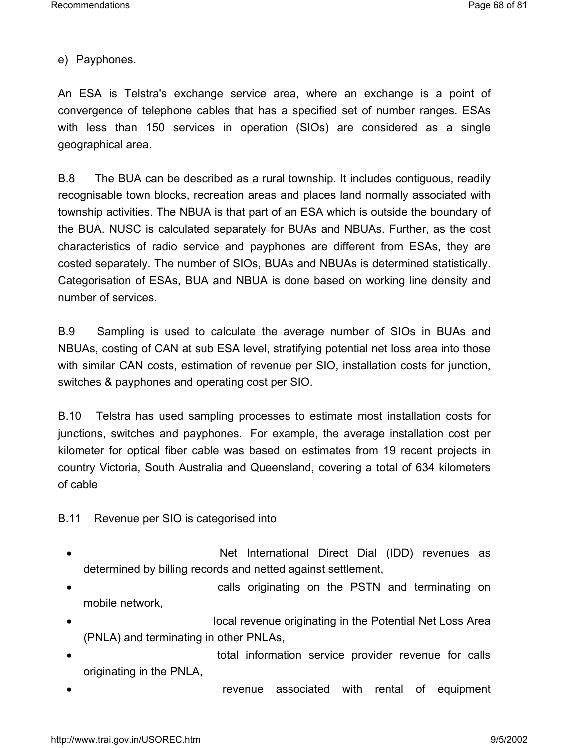e) Payphones.

An ESA is Telstra's exchange service area, where an exchange is a point of convergence of telephone cables that has a specified set of number ranges. ESAs with less than 150 services in operation (SIOs) are considered as a single geographical area.

B.8 The BUA can be described as a rural township. It includes contiguous, readily recognisable town blocks, recreation areas and places land normally associated with township activities. The NBUA is that part of an ESA which is outside the boundary of the BUA. NUSC is calculated separately for BUAs and NBUAs. Further, as the cost characteristics of radio service and payphones are different from ESAs, they are costed separately. The number of SIOs, BUAs and NBUAs is determined statistically. Categorisation of ESAs, BUA and NBUA is done based on working line density and number of services.

B.9 Sampling is used to calculate the average number of SIOs in BUAs and NBUAs, costing of CAN at sub ESA level, stratifying potential net loss area into those with similar CAN costs, estimation of revenue per SIO, installation costs for junction, switches & payphones and operating cost per SIO.

B.10 Telstra has used sampling processes to estimate most installation costs for junctions, switches and payphones. For example, the average installation cost per kilometer for optical fiber cable was based on estimates from 19 recent projects in country Victoria, South Australia and Queensland, covering a total of 634 kilometers of cable

B.11 Revenue per SIO is categorised into

- Net International Direct Dial (IDD) revenues as determined by billing records and netted against settlement,
- calls originating on the PSTN and terminating on mobile network,
- local revenue originating in the Potential Net Loss Area (PNLA) and terminating in other PNLAs,
- total information service provider revenue for calls originating in the PNLA,
- revenue associated with rental of equipment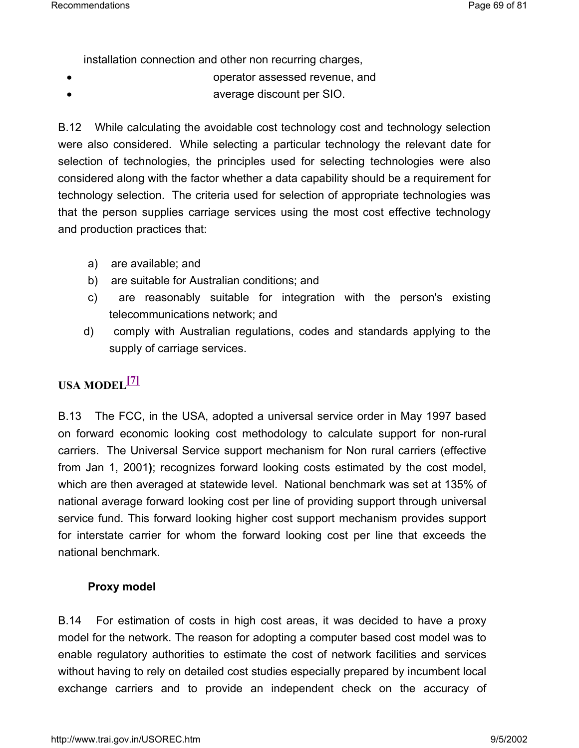installation connection and other non recurring charges,

- operator assessed revenue, and
- **average discount per SIO.**

B.12 While calculating the avoidable cost technology cost and technology selection were also considered. While selecting a particular technology the relevant date for selection of technologies, the principles used for selecting technologies were also considered along with the factor whether a data capability should be a requirement for technology selection. The criteria used for selection of appropriate technologies was that the person supplies carriage services using the most cost effective technology and production practices that:

- a) are available; and
- b) are suitable for Australian conditions; and
- c) are reasonably suitable for integration with the person's existing telecommunications network; and
- d) comply with Australian regulations, codes and standards applying to the supply of carriage services.

## **USA MODEL[7]**

B.13 The FCC, in the USA, adopted a universal service order in May 1997 based on forward economic looking cost methodology to calculate support for non-rural carriers. The Universal Service support mechanism for Non rural carriers (effective from Jan 1, 2001**)**; recognizes forward looking costs estimated by the cost model, which are then averaged at statewide level. National benchmark was set at 135% of national average forward looking cost per line of providing support through universal service fund. This forward looking higher cost support mechanism provides support for interstate carrier for whom the forward looking cost per line that exceeds the national benchmark.

## **Proxy model**

B.14 For estimation of costs in high cost areas, it was decided to have a proxy model for the network. The reason for adopting a computer based cost model was to enable regulatory authorities to estimate the cost of network facilities and services without having to rely on detailed cost studies especially prepared by incumbent local exchange carriers and to provide an independent check on the accuracy of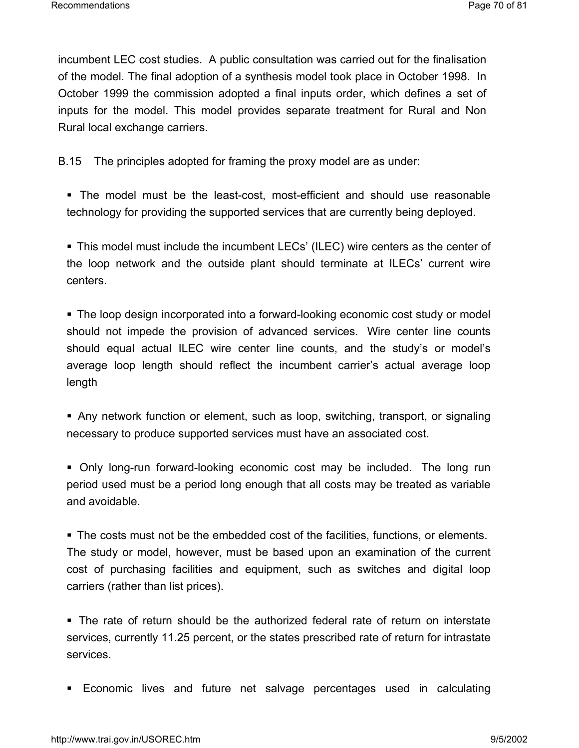incumbent LEC cost studies. A public consultation was carried out for the finalisation of the model. The final adoption of a synthesis model took place in October 1998. In October 1999 the commission adopted a final inputs order, which defines a set of inputs for the model. This model provides separate treatment for Rural and Non Rural local exchange carriers.

B.15 The principles adopted for framing the proxy model are as under:

 The model must be the least-cost, most-efficient and should use reasonable technology for providing the supported services that are currently being deployed.

 This model must include the incumbent LECs' (ILEC) wire centers as the center of the loop network and the outside plant should terminate at ILECs' current wire centers.

 The loop design incorporated into a forward-looking economic cost study or model should not impede the provision of advanced services. Wire center line counts should equal actual ILEC wire center line counts, and the study's or model's average loop length should reflect the incumbent carrier's actual average loop length

 Any network function or element, such as loop, switching, transport, or signaling necessary to produce supported services must have an associated cost.

 Only long-run forward-looking economic cost may be included. The long run period used must be a period long enough that all costs may be treated as variable and avoidable.

 The costs must not be the embedded cost of the facilities, functions, or elements. The study or model, however, must be based upon an examination of the current cost of purchasing facilities and equipment, such as switches and digital loop carriers (rather than list prices).

 The rate of return should be the authorized federal rate of return on interstate services, currently 11.25 percent, or the states prescribed rate of return for intrastate services.

Economic lives and future net salvage percentages used in calculating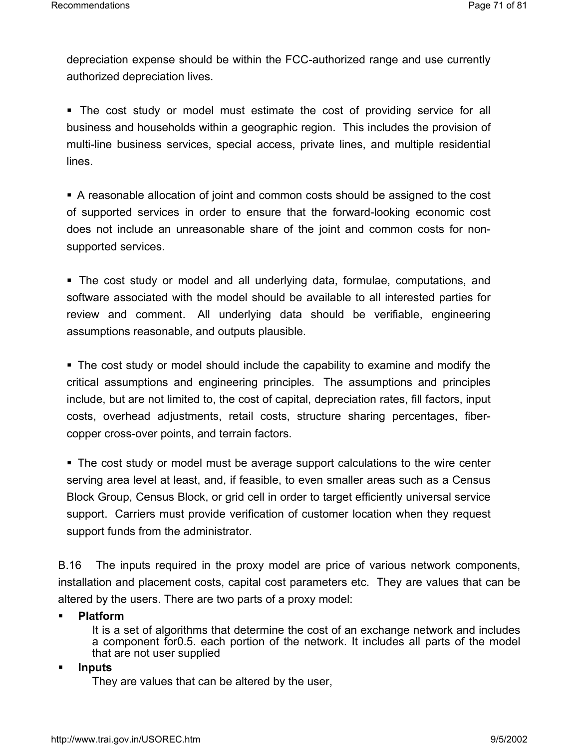depreciation expense should be within the FCC-authorized range and use currently authorized depreciation lives.

 The cost study or model must estimate the cost of providing service for all business and households within a geographic region. This includes the provision of multi-line business services, special access, private lines, and multiple residential lines.

 A reasonable allocation of joint and common costs should be assigned to the cost of supported services in order to ensure that the forward-looking economic cost does not include an unreasonable share of the joint and common costs for nonsupported services.

 The cost study or model and all underlying data, formulae, computations, and software associated with the model should be available to all interested parties for review and comment. All underlying data should be verifiable, engineering assumptions reasonable, and outputs plausible.

 The cost study or model should include the capability to examine and modify the critical assumptions and engineering principles. The assumptions and principles include, but are not limited to, the cost of capital, depreciation rates, fill factors, input costs, overhead adjustments, retail costs, structure sharing percentages, fibercopper cross-over points, and terrain factors.

 The cost study or model must be average support calculations to the wire center serving area level at least, and, if feasible, to even smaller areas such as a Census Block Group, Census Block, or grid cell in order to target efficiently universal service support. Carriers must provide verification of customer location when they request support funds from the administrator.

B.16 The inputs required in the proxy model are price of various network components, installation and placement costs, capital cost parameters etc. They are values that can be altered by the users. There are two parts of a proxy model:

## **Platform**

It is a set of algorithms that determine the cost of an exchange network and includes a component for0.5. each portion of the network. It includes all parts of the model that are not user supplied

## **Inputs**

They are values that can be altered by the user,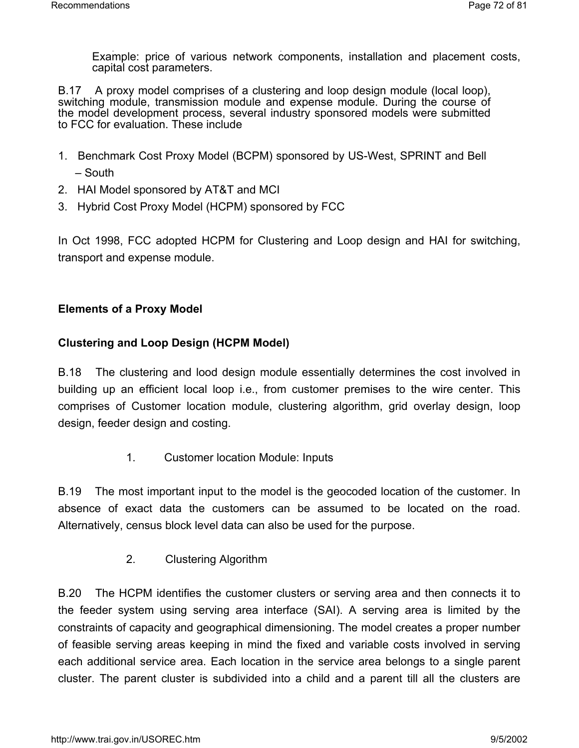Example: price of various network components, installation and placement costs, capital cost parameters.

B.17 A proxy model comprises of a clustering and loop design module (local loop), switching module, transmission module and expense module. During the course of the model development process, several industry sponsored models were submitted to FCC for evaluation. These include

- 1. Benchmark Cost Proxy Model (BCPM) sponsored by US-West, SPRINT and Bell – South
- 2. HAI Model sponsored by AT&T and MCI
- 3. Hybrid Cost Proxy Model (HCPM) sponsored by FCC

In Oct 1998, FCC adopted HCPM for Clustering and Loop design and HAI for switching, transport and expense module.

## **Elements of a Proxy Model**

## **Clustering and Loop Design (HCPM Model)**

B.18 The clustering and lood design module essentially determines the cost involved in building up an efficient local loop i.e., from customer premises to the wire center. This comprises of Customer location module, clustering algorithm, grid overlay design, loop design, feeder design and costing.

1. Customer location Module: Inputs

B.19 The most important input to the model is the geocoded location of the customer. In absence of exact data the customers can be assumed to be located on the road. Alternatively, census block level data can also be used for the purpose.

2. Clustering Algorithm

B.20 The HCPM identifies the customer clusters or serving area and then connects it to the feeder system using serving area interface (SAI). A serving area is limited by the constraints of capacity and geographical dimensioning. The model creates a proper number of feasible serving areas keeping in mind the fixed and variable costs involved in serving each additional service area. Each location in the service area belongs to a single parent cluster. The parent cluster is subdivided into a child and a parent till all the clusters are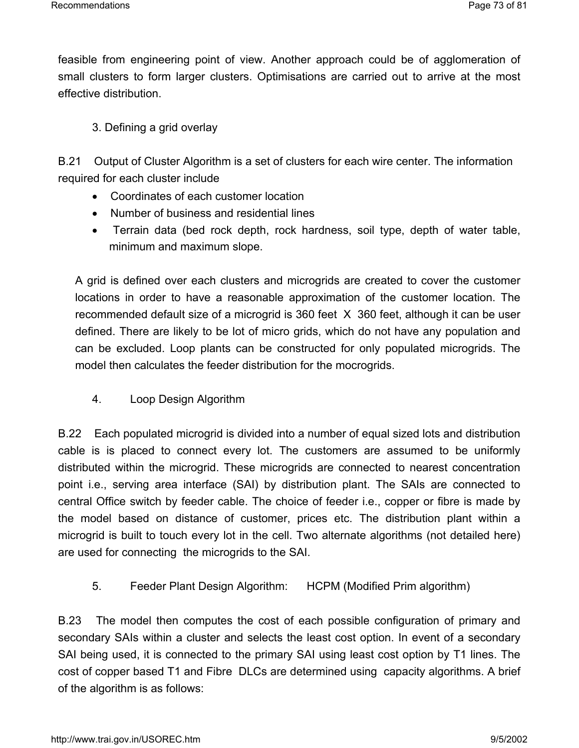feasible from engineering point of view. Another approach could be of agglomeration of small clusters to form larger clusters. Optimisations are carried out to arrive at the most effective distribution.

3. Defining a grid overlay

B.21 Output of Cluster Algorithm is a set of clusters for each wire center. The information required for each cluster include

- Coordinates of each customer location
- Number of business and residential lines
- Terrain data (bed rock depth, rock hardness, soil type, depth of water table, minimum and maximum slope.

A grid is defined over each clusters and microgrids are created to cover the customer locations in order to have a reasonable approximation of the customer location. The recommended default size of a microgrid is 360 feet X 360 feet, although it can be user defined. There are likely to be lot of micro grids, which do not have any population and can be excluded. Loop plants can be constructed for only populated microgrids. The model then calculates the feeder distribution for the mocrogrids.

4. Loop Design Algorithm

B.22 Each populated microgrid is divided into a number of equal sized lots and distribution cable is is placed to connect every lot. The customers are assumed to be uniformly distributed within the microgrid. These microgrids are connected to nearest concentration point i.e., serving area interface (SAI) by distribution plant. The SAIs are connected to central Office switch by feeder cable. The choice of feeder i.e., copper or fibre is made by the model based on distance of customer, prices etc. The distribution plant within a microgrid is built to touch every lot in the cell. Two alternate algorithms (not detailed here) are used for connecting the microgrids to the SAI.

5. Feeder Plant Design Algorithm: HCPM (Modified Prim algorithm)

B.23 The model then computes the cost of each possible configuration of primary and secondary SAIs within a cluster and selects the least cost option. In event of a secondary SAI being used, it is connected to the primary SAI using least cost option by T1 lines. The cost of copper based T1 and Fibre DLCs are determined using capacity algorithms. A brief of the algorithm is as follows: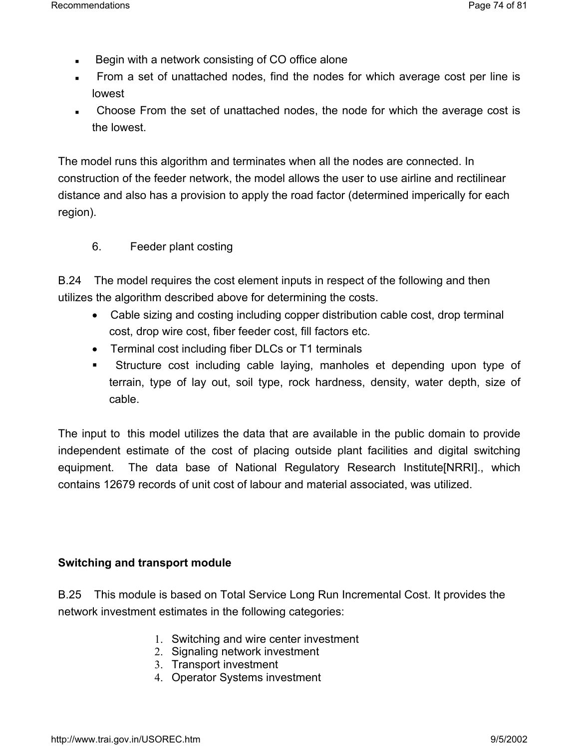- Begin with a network consisting of CO office alone
- From a set of unattached nodes, find the nodes for which average cost per line is lowest
- Choose From the set of unattached nodes, the node for which the average cost is the lowest.

The model runs this algorithm and terminates when all the nodes are connected. In construction of the feeder network, the model allows the user to use airline and rectilinear distance and also has a provision to apply the road factor (determined imperically for each region).

6. Feeder plant costing

B.24 The model requires the cost element inputs in respect of the following and then utilizes the algorithm described above for determining the costs.

- Cable sizing and costing including copper distribution cable cost, drop terminal cost, drop wire cost, fiber feeder cost, fill factors etc.
- Terminal cost including fiber DLCs or T1 terminals
- Structure cost including cable laying, manholes et depending upon type of terrain, type of lay out, soil type, rock hardness, density, water depth, size of cable.

The input to this model utilizes the data that are available in the public domain to provide independent estimate of the cost of placing outside plant facilities and digital switching equipment. The data base of National Regulatory Research Institute[NRRI]., which contains 12679 records of unit cost of labour and material associated, was utilized.

#### **Switching and transport module**

B.25 This module is based on Total Service Long Run Incremental Cost. It provides the network investment estimates in the following categories:

- 1. Switching and wire center investment
- 2. Signaling network investment
- 3. Transport investment
- 4. Operator Systems investment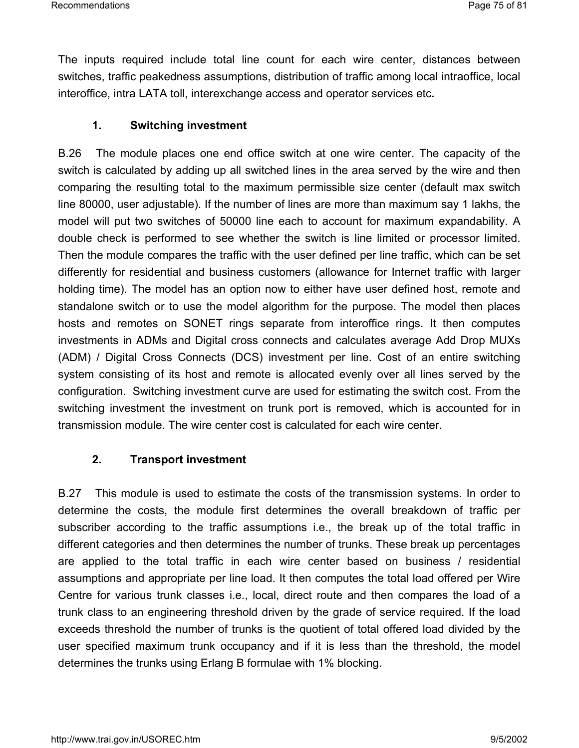The inputs required include total line count for each wire center, distances between switches, traffic peakedness assumptions, distribution of traffic among local intraoffice, local interoffice, intra LATA toll, interexchange access and operator services etc**.** 

#### **1. Switching investment**

B.26 The module places one end office switch at one wire center. The capacity of the switch is calculated by adding up all switched lines in the area served by the wire and then comparing the resulting total to the maximum permissible size center (default max switch line 80000, user adjustable). If the number of lines are more than maximum say 1 lakhs, the model will put two switches of 50000 line each to account for maximum expandability. A double check is performed to see whether the switch is line limited or processor limited. Then the module compares the traffic with the user defined per line traffic, which can be set differently for residential and business customers (allowance for Internet traffic with larger holding time). The model has an option now to either have user defined host, remote and standalone switch or to use the model algorithm for the purpose. The model then places hosts and remotes on SONET rings separate from interoffice rings. It then computes investments in ADMs and Digital cross connects and calculates average Add Drop MUXs (ADM) / Digital Cross Connects (DCS) investment per line. Cost of an entire switching system consisting of its host and remote is allocated evenly over all lines served by the configuration. Switching investment curve are used for estimating the switch cost. From the switching investment the investment on trunk port is removed, which is accounted for in transmission module. The wire center cost is calculated for each wire center.

#### **2. Transport investment**

B.27 This module is used to estimate the costs of the transmission systems. In order to determine the costs, the module first determines the overall breakdown of traffic per subscriber according to the traffic assumptions i.e., the break up of the total traffic in different categories and then determines the number of trunks. These break up percentages are applied to the total traffic in each wire center based on business / residential assumptions and appropriate per line load. It then computes the total load offered per Wire Centre for various trunk classes i.e., local, direct route and then compares the load of a trunk class to an engineering threshold driven by the grade of service required. If the load exceeds threshold the number of trunks is the quotient of total offered load divided by the user specified maximum trunk occupancy and if it is less than the threshold, the model determines the trunks using Erlang B formulae with 1% blocking.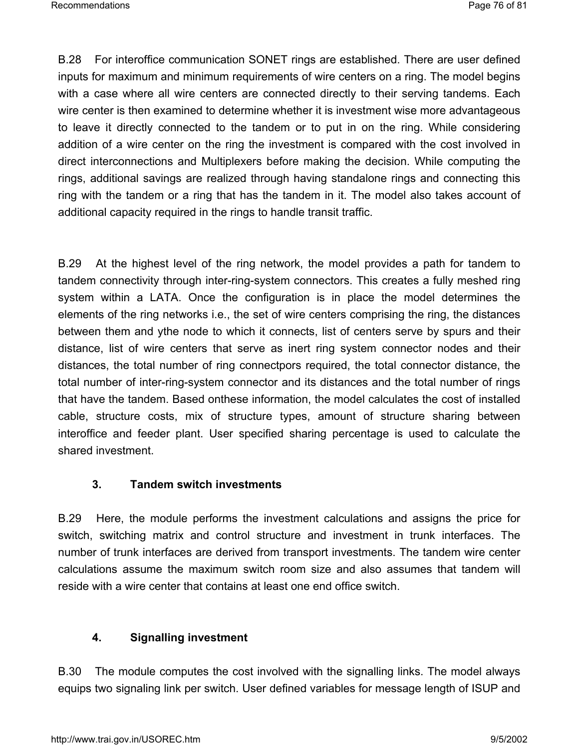Recommendations Page 76 of 81

B.28 For interoffice communication SONET rings are established. There are user defined inputs for maximum and minimum requirements of wire centers on a ring. The model begins with a case where all wire centers are connected directly to their serving tandems. Each wire center is then examined to determine whether it is investment wise more advantageous to leave it directly connected to the tandem or to put in on the ring. While considering addition of a wire center on the ring the investment is compared with the cost involved in direct interconnections and Multiplexers before making the decision. While computing the rings, additional savings are realized through having standalone rings and connecting this ring with the tandem or a ring that has the tandem in it. The model also takes account of additional capacity required in the rings to handle transit traffic.

B.29 At the highest level of the ring network, the model provides a path for tandem to tandem connectivity through inter-ring-system connectors. This creates a fully meshed ring system within a LATA. Once the configuration is in place the model determines the elements of the ring networks i.e., the set of wire centers comprising the ring, the distances between them and ythe node to which it connects, list of centers serve by spurs and their distance, list of wire centers that serve as inert ring system connector nodes and their distances, the total number of ring connectpors required, the total connector distance, the total number of inter-ring-system connector and its distances and the total number of rings that have the tandem. Based onthese information, the model calculates the cost of installed cable, structure costs, mix of structure types, amount of structure sharing between interoffice and feeder plant. User specified sharing percentage is used to calculate the shared investment.

## **3. Tandem switch investments**

B.29 Here, the module performs the investment calculations and assigns the price for switch, switching matrix and control structure and investment in trunk interfaces. The number of trunk interfaces are derived from transport investments. The tandem wire center calculations assume the maximum switch room size and also assumes that tandem will reside with a wire center that contains at least one end office switch.

## **4. Signalling investment**

B.30 The module computes the cost involved with the signalling links. The model always equips two signaling link per switch. User defined variables for message length of ISUP and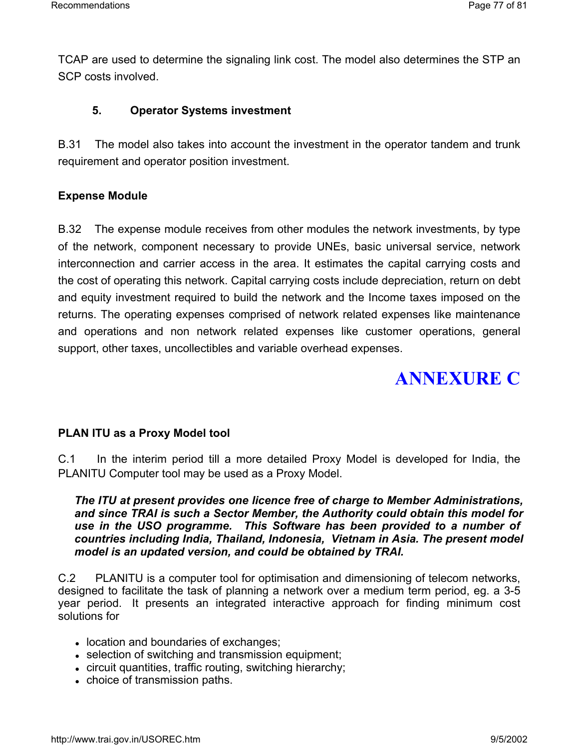TCAP are used to determine the signaling link cost. The model also determines the STP an SCP costs involved.

#### **5. Operator Systems investment**

B.31 The model also takes into account the investment in the operator tandem and trunk requirement and operator position investment.

#### **Expense Module**

B.32 The expense module receives from other modules the network investments, by type of the network, component necessary to provide UNEs, basic universal service, network interconnection and carrier access in the area. It estimates the capital carrying costs and the cost of operating this network. Capital carrying costs include depreciation, return on debt and equity investment required to build the network and the Income taxes imposed on the returns. The operating expenses comprised of network related expenses like maintenance and operations and non network related expenses like customer operations, general support, other taxes, uncollectibles and variable overhead expenses.

# **ANNEXURE C**

#### **PLAN ITU as a Proxy Model tool**

C.1 In the interim period till a more detailed Proxy Model is developed for India, the PLANITU Computer tool may be used as a Proxy Model.

*The ITU at present provides one licence free of charge to Member Administrations, and since TRAI is such a Sector Member, the Authority could obtain this model for use in the USO programme. This Software has been provided to a number of countries including India, Thailand, Indonesia, Vietnam in Asia. The present model model is an updated version, and could be obtained by TRAI.* 

C.2 PLANITU is a computer tool for optimisation and dimensioning of telecom networks, designed to facilitate the task of planning a network over a medium term period, eg. a 3-5 year period. It presents an integrated interactive approach for finding minimum cost solutions for

- location and boundaries of exchanges;
- selection of switching and transmission equipment;
- circuit quantities, traffic routing, switching hierarchy;
- choice of transmission paths.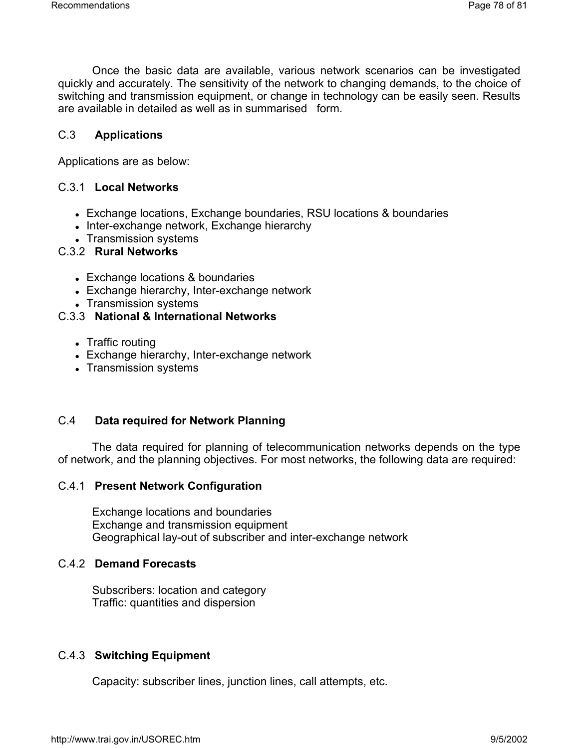Once the basic data are available, various network scenarios can be investigated quickly and accurately. The sensitivity of the network to changing demands, to the choice of switching and transmission equipment, or change in technology can be easily seen. Results are available in detailed as well as in summarised form.

#### C.3 **Applications**

Applications are as below:

#### C.3.1 **Local Networks**

- Exchange locations, Exchange boundaries, RSU locations & boundaries
- Inter-exchange network, Exchange hierarchy
- Transmission systems

## C.3.2 **Rural Networks**

- Exchange locations & boundaries
- Exchange hierarchy, Inter-exchange network
- Transmission systems

#### C.3.3 **National & International Networks**

- Traffic routing
- Exchange hierarchy, Inter-exchange network
- Transmission systems

#### C.4 **Data required for Network Planning**

The data required for planning of telecommunication networks depends on the type of network, and the planning objectives. For most networks, the following data are required:

#### C.4.1 **Present Network Configuration**

Exchange locations and boundaries Exchange and transmission equipment Geographical lay-out of subscriber and inter-exchange network

## C.4.2 **Demand Forecasts**

Subscribers: location and category Traffic: quantities and dispersion

#### C.4.3 **Switching Equipment**

Capacity: subscriber lines, junction lines, call attempts, etc.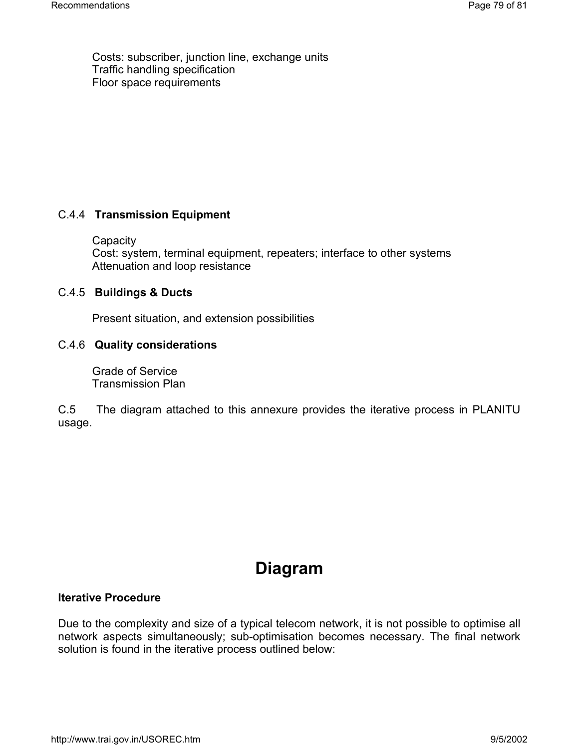Costs: subscriber, junction line, exchange units Traffic handling specification Floor space requirements

## C.4.4 **Transmission Equipment**

**Capacity** Cost: system, terminal equipment, repeaters; interface to other systems Attenuation and loop resistance

## C.4.5 **Buildings & Ducts**

Present situation, and extension possibilities

## C.4.6 **Quality considerations**

Grade of Service Transmission Plan

C.5 The diagram attached to this annexure provides the iterative process in PLANITU usage.

## **Diagram**

## **Iterative Procedure**

Due to the complexity and size of a typical telecom network, it is not possible to optimise all network aspects simultaneously; sub-optimisation becomes necessary. The final network solution is found in the iterative process outlined below: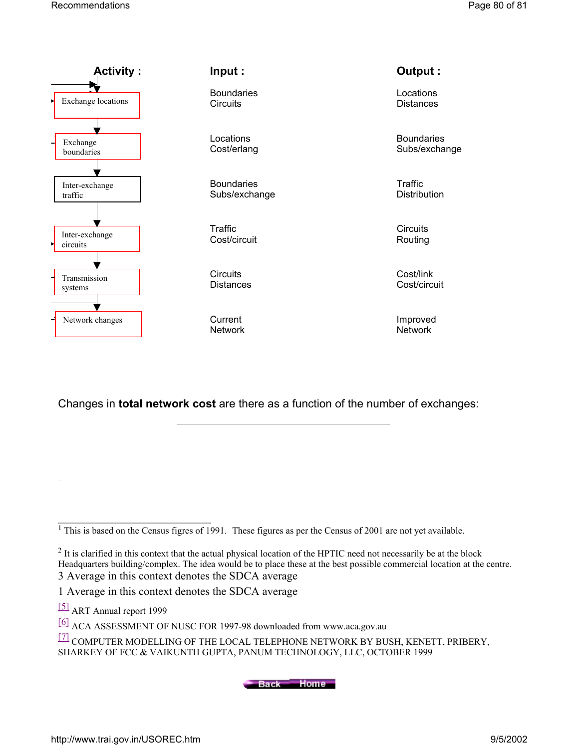

Changes in **total network cost** are there as a function of the number of exchanges:

[5] ART Annual report 1999

Back Home

 $\frac{1}{1}$  This is based on the Census figres of 1991. These figures as per the Census of 2001 are not yet available.

<sup>&</sup>lt;sup>2</sup> It is clarified in this context that the actual physical location of the HPTIC need not necessarily be at the block Headquarters building/complex. The idea would be to place these at the best possible commercial location at the centre. 3 Average in this context denotes the SDCA average

<sup>1</sup> Average in this context denotes the SDCA average

<sup>[6]</sup> ACA ASSESSMENT OF NUSC FOR 1997-98 downloaded from www.aca.gov.au

<sup>[7]</sup> COMPUTER MODELLING OF THE LOCAL TELEPHONE NETWORK BY BUSH, KENETT, PRIBERY, SHARKEY OF FCC & VAIKUNTH GUPTA, PANUM TECHNOLOGY, LLC, OCTOBER 1999